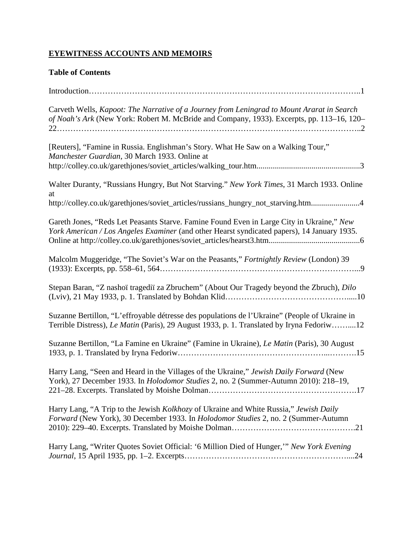# **EYEWITNESS ACCOUNTS AND MEMOIRS**

# **Table of Contents**

| Carveth Wells, Kapoot: The Narrative of a Journey from Leningrad to Mount Ararat in Search<br>of Noah's Ark (New York: Robert M. McBride and Company, 1933). Excerpts, pp. 113-16, 120-    |
|--------------------------------------------------------------------------------------------------------------------------------------------------------------------------------------------|
| [Reuters], "Famine in Russia. Englishman's Story. What He Saw on a Walking Tour,"<br>Manchester Guardian, 30 March 1933. Online at                                                         |
| Walter Duranty, "Russians Hungry, But Not Starving." New York Times, 31 March 1933. Online<br>at<br>http://colley.co.uk/garethjones/soviet_articles/russians_hungry_not_starving.htm4      |
| Gareth Jones, "Reds Let Peasants Starve. Famine Found Even in Large City in Ukraine," New<br>York American / Los Angeles Examiner (and other Hearst syndicated papers), 14 January 1935.   |
| Malcolm Muggeridge, "The Soviet's War on the Peasants," Fortnightly Review (London) 39                                                                                                     |
| Stepan Baran, "Z nashoï tragediï za Zbruchem" (About Our Tragedy beyond the Zbruch), Dilo                                                                                                  |
| Suzanne Bertillon, "L'effroyable détresse des populations de l'Ukraine" (People of Ukraine in<br>Terrible Distress), Le Matin (Paris), 29 August 1933, p. 1. Translated by Iryna Fedoriw12 |
| Suzanne Bertillon, "La Famine en Ukraine" (Famine in Ukraine), Le Matin (Paris), 30 August                                                                                                 |
| Harry Lang, "Seen and Heard in the Villages of the Ukraine," Jewish Daily Forward (New<br>York), 27 December 1933. In <i>Holodomor Studies</i> 2, no. 2 (Summer-Autumn 2010): 218-19,      |
| Harry Lang, "A Trip to the Jewish Kolkhozy of Ukraine and White Russia," Jewish Daily<br>Forward (New York), 30 December 1933. In Holodomor Studies 2, no. 2 (Summer-Autumn                |
| Harry Lang, "Writer Quotes Soviet Official: '6 Million Died of Hunger," New York Evening                                                                                                   |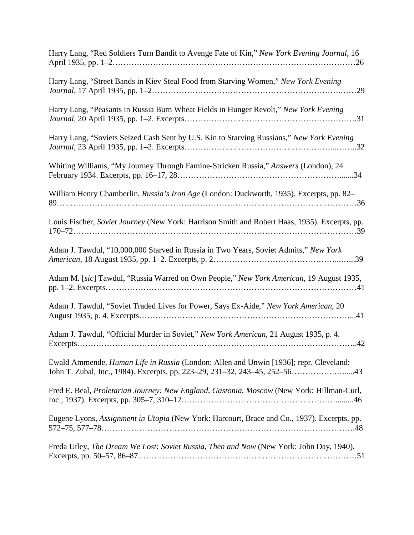| Harry Lang, "Red Soldiers Turn Bandit to Avenge Fate of Kin," New York Evening Journal, 16    |
|-----------------------------------------------------------------------------------------------|
| Harry Lang, "Street Bands in Kiev Steal Food from Starving Women," New York Evening           |
| Harry Lang, "Peasants in Russia Burn Wheat Fields in Hunger Revolt," New York Evening         |
| Harry Lang, "Soviets Seized Cash Sent by U.S. Kin to Starving Russians," New York Evening     |
| Whiting Williams, "My Journey Through Famine-Stricken Russia," Answers (London), 24           |
| William Henry Chamberlin, Russia's Iron Age (London: Duckworth, 1935). Excerpts, pp. 82–      |
| Louis Fischer, Soviet Journey (New York: Harrison Smith and Robert Haas, 1935). Excerpts, pp. |
| Adam J. Tawdul, "10,000,000 Starved in Russia in Two Years, Soviet Admits," New York          |
| Adam M. [sic] Tawdul, "Russia Warred on Own People," New York American, 19 August 1935,       |
| Adam J. Tawdul, "Soviet Traded Lives for Power, Says Ex-Aide," New York American, 20          |
| Adam J. Tawdul, "Official Murder in Soviet," New York American, 21 August 1935, p. 4.         |
| Ewald Ammende, <i>Human Life in Russia</i> (London: Allen and Unwin [1936]; repr. Cleveland:  |
| Fred E. Beal, Proletarian Journey: New England, Gastonia, Moscow (New York: Hillman-Curl,     |
| Eugene Lyons, Assignment in Utopia (New York: Harcourt, Brace and Co., 1937). Excerpts, pp.   |
| Freda Utley, The Dream We Lost: Soviet Russia, Then and Now (New York: John Day, 1940).       |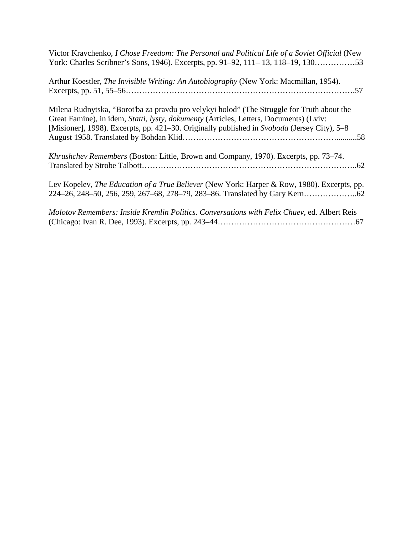| Victor Kravchenko, I Chose Freedom: The Personal and Political Life of a Soviet Official (New<br>York: Charles Scribner's Sons, 1946). Excerpts, pp. 91–92, 111–13, 118–19, 130                                                                                                     |
|-------------------------------------------------------------------------------------------------------------------------------------------------------------------------------------------------------------------------------------------------------------------------------------|
| Arthur Koestler, The Invisible Writing: An Autobiography (New York: Macmillan, 1954).                                                                                                                                                                                               |
| Milena Rudnytska, "Borot'ba za pravdu pro velykyi holod" (The Struggle for Truth about the<br>Great Famine), in idem, Statti, lysty, dokumenty (Articles, Letters, Documents) (Lviv:<br>[Misioner], 1998). Excerpts, pp. 421–30. Originally published in Svoboda (Jersey City), 5–8 |
| Khrushchev Remembers (Boston: Little, Brown and Company, 1970). Excerpts, pp. 73–74.                                                                                                                                                                                                |
| Lev Kopelev, <i>The Education of a True Believer</i> (New York: Harper & Row, 1980). Excerpts, pp.                                                                                                                                                                                  |
| Molotov Remembers: Inside Kremlin Politics. Conversations with Felix Chuev, ed. Albert Reis                                                                                                                                                                                         |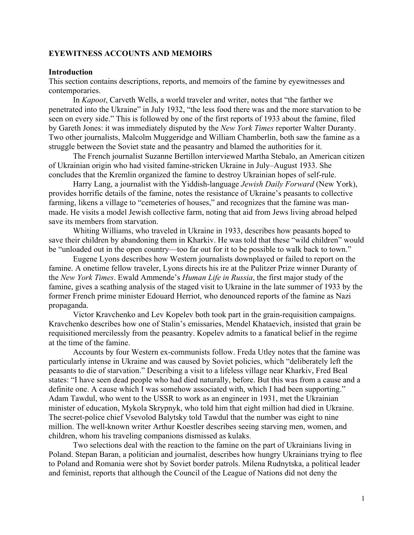## **EYEWITNESS ACCOUNTS AND MEMOIRS**

### **Introduction**

This section contains descriptions, reports, and memoirs of the famine by eyewitnesses and contemporaries.

In *Kapoot*, Carveth Wells, a world traveler and writer, notes that "the farther we penetrated into the Ukraine" in July 1932, "the less food there was and the more starvation to be seen on every side." This is followed by one of the first reports of 1933 about the famine, filed by Gareth Jones: it was immediately disputed by the *New York Times* reporter Walter Duranty. Two other journalists, Malcolm Muggeridge and William Chamberlin, both saw the famine as a struggle between the Soviet state and the peasantry and blamed the authorities for it.

The French journalist Suzanne Bertillon interviewed Martha Stebalo, an American citizen of Ukrainian origin who had visited famine-stricken Ukraine in July–August 1933. She concludes that the Kremlin organized the famine to destroy Ukrainian hopes of self-rule.

Harry Lang, a journalist with the Yiddish-language *Jewish Daily Forward* (New York), provides horrific details of the famine, notes the resistance of Ukraine's peasants to collective farming, likens a village to "cemeteries of houses," and recognizes that the famine was manmade. He visits a model Jewish collective farm, noting that aid from Jews living abroad helped save its members from starvation.

Whiting Williams, who traveled in Ukraine in 1933, describes how peasants hoped to save their children by abandoning them in Kharkiv. He was told that these "wild children" would be "unloaded out in the open country—too far out for it to be possible to walk back to town."

Eugene Lyons describes how Western journalists downplayed or failed to report on the famine. A onetime fellow traveler, Lyons directs his ire at the Pulitzer Prize winner Duranty of the *New York Times*. Ewald Ammende's *Human Life in Russia*, the first major study of the famine, gives a scathing analysis of the staged visit to Ukraine in the late summer of 1933 by the former French prime minister Edouard Herriot, who denounced reports of the famine as Nazi propaganda.

Victor Kravchenko and Lev Kopelev both took part in the grain-requisition campaigns. Kravchenko describes how one of Stalin's emissaries, Mendel Khataevich, insisted that grain be requisitioned mercilessly from the peasantry. Kopelev admits to a fanatical belief in the regime at the time of the famine.

Accounts by four Western ex-communists follow. Freda Utley notes that the famine was particularly intense in Ukraine and was caused by Soviet policies, which "deliberately left the peasants to die of starvation." Describing a visit to a lifeless village near Kharkiv, Fred Beal states: "I have seen dead people who had died naturally, before. But this was from a cause and a definite one. A cause which I was somehow associated with, which I had been supporting." Adam Tawdul, who went to the USSR to work as an engineer in 1931, met the Ukrainian minister of education, Mykola Skrypnyk, who told him that eight million had died in Ukraine. The secret-police chief Vsevolod Balytsky told Tawdul that the number was eight to nine million. The well-known writer Arthur Koestler describes seeing starving men, women, and children, whom his traveling companions dismissed as kulaks.

Two selections deal with the reaction to the famine on the part of Ukrainians living in Poland. Stepan Baran, a politician and journalist, describes how hungry Ukrainians trying to flee to Poland and Romania were shot by Soviet border patrols. Milena Rudnytska, a political leader and feminist, reports that although the Council of the League of Nations did not deny the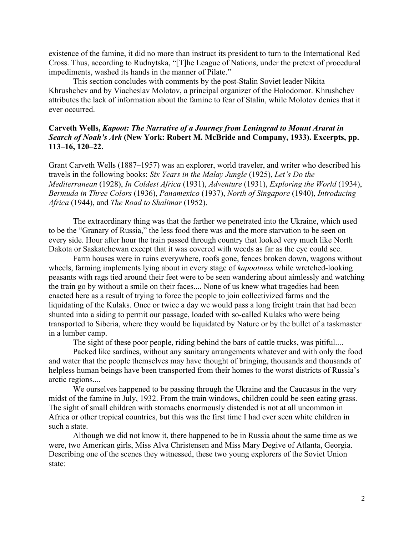existence of the famine, it did no more than instruct its president to turn to the International Red Cross. Thus, according to Rudnytska, "[T]he League of Nations, under the pretext of procedural impediments, washed its hands in the manner of Pilate."

This section concludes with comments by the post-Stalin Soviet leader Nikita Khrushchev and by Viacheslav Molotov, a principal organizer of the Holodomor. Khrushchev attributes the lack of information about the famine to fear of Stalin, while Molotov denies that it ever occurred.

# **Carveth Wells,** *Kapoot: The Narrative of a Journey from Leningrad to Mount Ararat in Search of Noah's Ark* **(New York: Robert M. McBride and Company, 1933). Excerpts, pp. 113–16, 120–22.**

Grant Carveth Wells (1887–1957) was an explorer, world traveler, and writer who described his travels in the following books: *Six Years in the Malay Jungle* (1925), *Let's Do the Mediterranean* (1928), *In Coldest Africa* (1931), *Adventure* (1931), *Exploring the World* (1934), *Bermuda in Three Colors* (1936), *Panamexico* (1937), *North of Singapore* (1940), *Introducing Africa* (1944), and *The Road to Shalimar* (1952).

The extraordinary thing was that the farther we penetrated into the Ukraine, which used to be the "Granary of Russia," the less food there was and the more starvation to be seen on every side. Hour after hour the train passed through country that looked very much like North Dakota or Saskatchewan except that it was covered with weeds as far as the eye could see.

Farm houses were in ruins everywhere, roofs gone, fences broken down, wagons without wheels, farming implements lying about in every stage of *kapootness* while wretched-looking peasants with rags tied around their feet were to be seen wandering about aimlessly and watching the train go by without a smile on their faces.... None of us knew what tragedies had been enacted here as a result of trying to force the people to join collectivized farms and the liquidating of the Kulaks. Once or twice a day we would pass a long freight train that had been shunted into a siding to permit our passage, loaded with so-called Kulaks who were being transported to Siberia, where they would be liquidated by Nature or by the bullet of a taskmaster in a lumber camp.

The sight of these poor people, riding behind the bars of cattle trucks, was pitiful....

Packed like sardines, without any sanitary arrangements whatever and with only the food and water that the people themselves may have thought of bringing, thousands and thousands of helpless human beings have been transported from their homes to the worst districts of Russia's arctic regions....

We ourselves happened to be passing through the Ukraine and the Caucasus in the very midst of the famine in July, 1932. From the train windows, children could be seen eating grass. The sight of small children with stomachs enormously distended is not at all uncommon in Africa or other tropical countries, but this was the first time I had ever seen white children in such a state.

Although we did not know it, there happened to be in Russia about the same time as we were, two American girls, Miss Alva Christensen and Miss Mary Degive of Atlanta, Georgia. Describing one of the scenes they witnessed, these two young explorers of the Soviet Union state: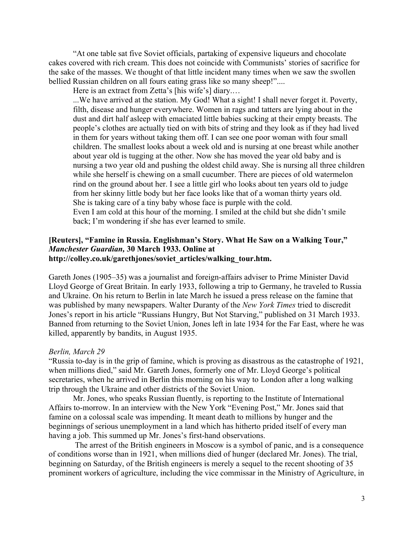"At one table sat five Soviet officials, partaking of expensive liqueurs and chocolate cakes covered with rich cream. This does not coincide with Communists' stories of sacrifice for the sake of the masses. We thought of that little incident many times when we saw the swollen bellied Russian children on all fours eating grass like so many sheep!"....

Here is an extract from Zetta's [his wife's] diary.…

...We have arrived at the station. My God! What a sight! I shall never forget it. Poverty, filth, disease and hunger everywhere. Women in rags and tatters are lying about in the dust and dirt half asleep with emaciated little babies sucking at their empty breasts. The people's clothes are actually tied on with bits of string and they look as if they had lived in them for years without taking them off. I can see one poor woman with four small children. The smallest looks about a week old and is nursing at one breast while another about year old is tugging at the other. Now she has moved the year old baby and is nursing a two year old and pushing the oldest child away. She is nursing all three children while she herself is chewing on a small cucumber. There are pieces of old watermelon rind on the ground about her. I see a little girl who looks about ten years old to judge from her skinny little body but her face looks like that of a woman thirty years old. She is taking care of a tiny baby whose face is purple with the cold. Even I am cold at this hour of the morning. I smiled at the child but she didn't smile back; I'm wondering if she has ever learned to smile.

# **[Reuters], "Famine in Russia. Englishman's Story. What He Saw on a Walking Tour,"**  *Manchester Guardian,* **30 March 1933. Online at http://colley.co.uk/garethjones/soviet\_articles/walking\_tour.htm.**

Gareth Jones (1905–35) was a journalist and foreign-affairs adviser to Prime Minister David Lloyd George of Great Britain. In early 1933, following a trip to Germany, he traveled to Russia and Ukraine. On his return to Berlin in late March he issued a press release on the famine that was published by many newspapers. Walter Duranty of the *New York Times* tried to discredit Jones's report in his article "Russians Hungry, But Not Starving," published on 31 March 1933. Banned from returning to the Soviet Union, Jones left in late 1934 for the Far East, where he was killed, apparently by bandits, in August 1935.

# *Berlin, March 29*

"Russia to-day is in the grip of famine, which is proving as disastrous as the catastrophe of 1921, when millions died," said Mr. Gareth Jones, formerly one of Mr. Lloyd George's political secretaries, when he arrived in Berlin this morning on his way to London after a long walking trip through the Ukraine and other districts of the Soviet Union.

Mr. Jones, who speaks Russian fluently, is reporting to the Institute of International Affairs to-morrow. In an interview with the New York "Evening Post," Mr. Jones said that famine on a colossal scale was impending. It meant death to millions by hunger and the beginnings of serious unemployment in a land which has hitherto prided itself of every man having a job. This summed up Mr. Jones's first-hand observations.

The arrest of the British engineers in Moscow is a symbol of panic, and is a consequence of conditions worse than in 1921, when millions died of hunger (declared Mr. Jones). The trial, beginning on Saturday, of the British engineers is merely a sequel to the recent shooting of 35 prominent workers of agriculture, including the vice commissar in the Ministry of Agriculture, in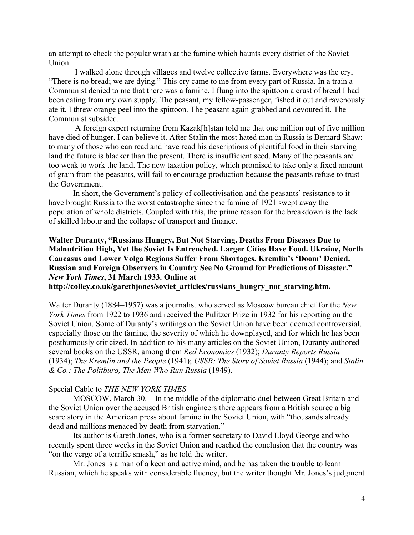an attempt to check the popular wrath at the famine which haunts every district of the Soviet Union.

I walked alone through villages and twelve collective farms. Everywhere was the cry, "There is no bread; we are dying." This cry came to me from every part of Russia. In a train a Communist denied to me that there was a famine. I flung into the spittoon a crust of bread I had been eating from my own supply. The peasant, my fellow-passenger, fished it out and ravenously ate it. I threw orange peel into the spittoon. The peasant again grabbed and devoured it. The Communist subsided.

A foreign expert returning from Kazak[h]stan told me that one million out of five million have died of hunger. I can believe it. After Stalin the most hated man in Russia is Bernard Shaw; to many of those who can read and have read his descriptions of plentiful food in their starving land the future is blacker than the present. There is insufficient seed. Many of the peasants are too weak to work the land. The new taxation policy, which promised to take only a fixed amount of grain from the peasants, will fail to encourage production because the peasants refuse to trust the Government.

In short, the Government's policy of collectivisation and the peasants' resistance to it have brought Russia to the worst catastrophe since the famine of 1921 swept away the population of whole districts. Coupled with this, the prime reason for the breakdown is the lack of skilled labour and the collapse of transport and finance.

**Walter Duranty, "Russians Hungry, But Not Starving. Deaths From Diseases Due to Malnutrition High, Yet the Soviet Is Entrenched. Larger Cities Have Food. Ukraine, North Caucasus and Lower Volga Regions Suffer From Shortages. Kremlin's 'Doom' Denied. Russian and Foreign Observers in Country See No Ground for Predictions of Disaster."** *New York Times***, 31 March 1933. Online at** 

**http://colley.co.uk/garethjones/soviet\_articles/russians\_hungry\_not\_starving.htm.**

Walter Duranty (1884–1957) was a journalist who served as Moscow bureau chief for the *New York Times* from 1922 to 1936 and received the Pulitzer Prize in 1932 for his reporting on the Soviet Union. Some of Duranty's writings on the Soviet Union have been deemed controversial, especially those on the famine, the severity of which he downplayed, and for which he has been posthumously criticized. In addition to his many articles on the Soviet Union, Duranty authored several books on the USSR, among them *Red Economics* (1932); *Duranty Reports Russia* (1934); *The Kremlin and the People* (1941); *USSR: The Story of Soviet Russia* (1944); and *Stalin & Co.: The Politburo, The Men Who Run Russia* (1949).

### Special Cable to *THE NEW YORK TIMES*

MOSCOW, March 30.—In the middle of the diplomatic duel between Great Britain and the Soviet Union over the accused British engineers there appears from a British source a big scare story in the American press about famine in the Soviet Union, with "thousands already dead and millions menaced by death from starvation."

Its author is Gareth Jones**,** who is a former secretary to David Lloyd George and who recently spent three weeks in the Soviet Union and reached the conclusion that the country was "on the verge of a terrific smash," as he told the writer.

Mr. Jones is a man of a keen and active mind, and he has taken the trouble to learn Russian, which he speaks with considerable fluency, but the writer thought Mr. Jones's judgment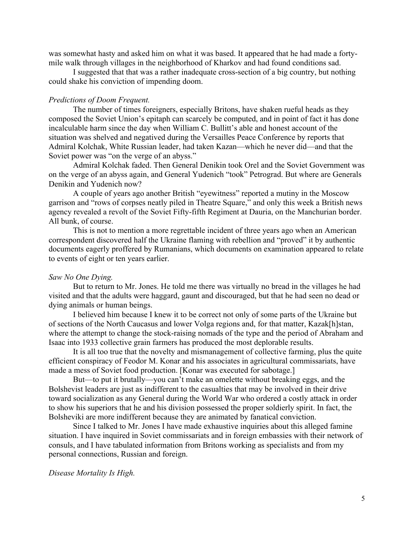was somewhat hasty and asked him on what it was based. It appeared that he had made a fortymile walk through villages in the neighborhood of Kharkov and had found conditions sad.

I suggested that that was a rather inadequate cross-section of a big country, but nothing could shake his conviction of impending doom.

### *Predictions of Doom Frequent.*

The number of times foreigners, especially Britons, have shaken rueful heads as they composed the Soviet Union's epitaph can scarcely be computed, and in point of fact it has done incalculable harm since the day when William C. Bullitt's able and honest account of the situation was shelved and negatived during the Versailles Peace Conference by reports that Admiral Kolchak, White Russian leader, had taken Kazan—which he never did—and that the Soviet power was "on the verge of an abyss."

Admiral Kolchak faded. Then General Denikin took Orel and the Soviet Government was on the verge of an abyss again, and General Yudenich "took" Petrograd. But where are Generals Denikin and Yudenich now?

A couple of years ago another British "eyewitness" reported a mutiny in the Moscow garrison and "rows of corpses neatly piled in Theatre Square," and only this week a British news agency revealed a revolt of the Soviet Fifty-fifth Regiment at Dauria, on the Manchurian border. All bunk, of course.

This is not to mention a more regrettable incident of three years ago when an American correspondent discovered half the Ukraine flaming with rebellion and "proved" it by authentic documents eagerly proffered by Rumanians, which documents on examination appeared to relate to events of eight or ten years earlier.

### *Saw No One Dying.*

But to return to Mr. Jones. He told me there was virtually no bread in the villages he had visited and that the adults were haggard, gaunt and discouraged, but that he had seen no dead or dying animals or human beings.

I believed him because I knew it to be correct not only of some parts of the Ukraine but of sections of the North Caucasus and lower Volga regions and, for that matter, Kazak[h]stan, where the attempt to change the stock-raising nomads of the type and the period of Abraham and Isaac into 1933 collective grain farmers has produced the most deplorable results.

It is all too true that the novelty and mismanagement of collective farming, plus the quite efficient conspiracy of Feodor M. Konar and his associates in agricultural commissariats, have made a mess of Soviet food production. [Konar was executed for sabotage.]

But—to put it brutally—you can't make an omelette without breaking eggs, and the Bolshevist leaders are just as indifferent to the casualties that may be involved in their drive toward socialization as any General during the World War who ordered a costly attack in order to show his superiors that he and his division possessed the proper soldierly spirit. In fact, the Bolsheviki are more indifferent because they are animated by fanatical conviction.

Since I talked to Mr. Jones I have made exhaustive inquiries about this alleged famine situation. I have inquired in Soviet commissariats and in foreign embassies with their network of consuls, and I have tabulated information from Britons working as specialists and from my personal connections, Russian and foreign.

*Disease Mortality Is High.*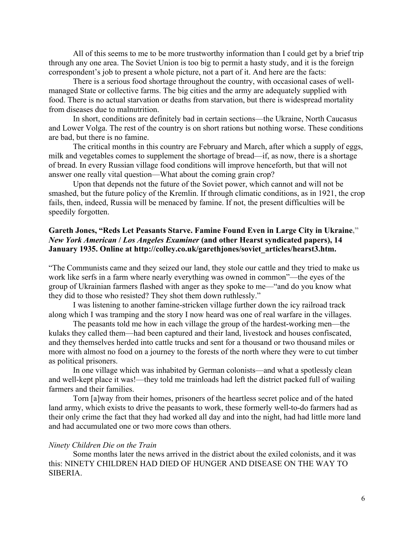All of this seems to me to be more trustworthy information than I could get by a brief trip through any one area. The Soviet Union is too big to permit a hasty study, and it is the foreign correspondent's job to present a whole picture, not a part of it. And here are the facts:

There is a serious food shortage throughout the country, with occasional cases of wellmanaged State or collective farms. The big cities and the army are adequately supplied with food. There is no actual starvation or deaths from starvation, but there is widespread mortality from diseases due to malnutrition.

In short, conditions are definitely bad in certain sections—the Ukraine, North Caucasus and Lower Volga. The rest of the country is on short rations but nothing worse. These conditions are bad, but there is no famine.

The critical months in this country are February and March, after which a supply of eggs, milk and vegetables comes to supplement the shortage of bread—if, as now, there is a shortage of bread. In every Russian village food conditions will improve henceforth, but that will not answer one really vital question—What about the coming grain crop?

Upon that depends not the future of the Soviet power, which cannot and will not be smashed, but the future policy of the Kremlin. If through climatic conditions, as in 1921, the crop fails, then, indeed, Russia will be menaced by famine. If not, the present difficulties will be speedily forgotten.

# **Gareth Jones, "Reds Let Peasants Starve. Famine Found Even in Large City in Ukraine,"**  *New York American* **/** *Los Angeles Examiner* **(and other Hearst syndicated papers), 14 January 1935. Online at http://colley.co.uk/garethjones/soviet\_articles/hearst3.htm.**

"The Communists came and they seized our land, they stole our cattle and they tried to make us work like serfs in a farm where nearly everything was owned in common"—the eyes of the group of Ukrainian farmers flashed with anger as they spoke to me—"and do you know what they did to those who resisted? They shot them down ruthlessly."

I was listening to another famine-stricken village further down the icy railroad track along which I was tramping and the story I now heard was one of real warfare in the villages.

The peasants told me how in each village the group of the hardest-working men—the kulaks they called them—had been captured and their land, livestock and houses confiscated, and they themselves herded into cattle trucks and sent for a thousand or two thousand miles or more with almost no food on a journey to the forests of the north where they were to cut timber as political prisoners.

In one village which was inhabited by German colonists—and what a spotlessly clean and well-kept place it was!—they told me trainloads had left the district packed full of wailing farmers and their families.

Torn [a]way from their homes, prisoners of the heartless secret police and of the hated land army, which exists to drive the peasants to work, these formerly well-to-do farmers had as their only crime the fact that they had worked all day and into the night, had had little more land and had accumulated one or two more cows than others.

### *Ninety Children Die on the Train*

Some months later the news arrived in the district about the exiled colonists, and it was this: NINETY CHILDREN HAD DIED OF HUNGER AND DISEASE ON THE WAY TO SIBERIA.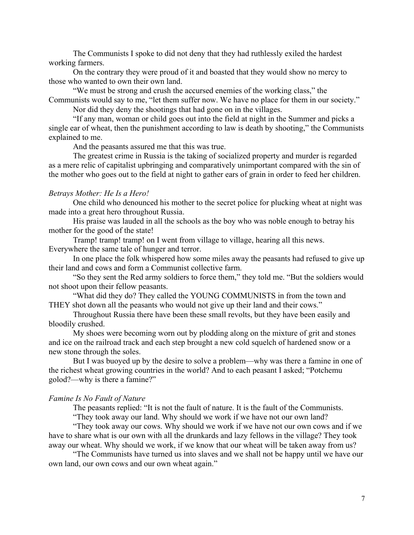The Communists I spoke to did not deny that they had ruthlessly exiled the hardest working farmers.

On the contrary they were proud of it and boasted that they would show no mercy to those who wanted to own their own land.

"We must be strong and crush the accursed enemies of the working class," the Communists would say to me, "let them suffer now. We have no place for them in our society."

Nor did they deny the shootings that had gone on in the villages.

"If any man, woman or child goes out into the field at night in the Summer and picks a single ear of wheat, then the punishment according to law is death by shooting," the Communists explained to me.

And the peasants assured me that this was true.

The greatest crime in Russia is the taking of socialized property and murder is regarded as a mere relic of capitalist upbringing and comparatively unimportant compared with the sin of the mother who goes out to the field at night to gather ears of grain in order to feed her children.

### *Betrays Mother: He Is a Hero!*

One child who denounced his mother to the secret police for plucking wheat at night was made into a great hero throughout Russia.

His praise was lauded in all the schools as the boy who was noble enough to betray his mother for the good of the state!

Tramp! tramp! tramp! on I went from village to village, hearing all this news. Everywhere the same tale of hunger and terror.

In one place the folk whispered how some miles away the peasants had refused to give up their land and cows and form a Communist collective farm.

"So they sent the Red army soldiers to force them," they told me. "But the soldiers would not shoot upon their fellow peasants.

"What did they do? They called the YOUNG COMMUNISTS in from the town and THEY shot down all the peasants who would not give up their land and their cows."

Throughout Russia there have been these small revolts, but they have been easily and bloodily crushed.

My shoes were becoming worn out by plodding along on the mixture of grit and stones and ice on the railroad track and each step brought a new cold squelch of hardened snow or a new stone through the soles.

But I was buoyed up by the desire to solve a problem—why was there a famine in one of the richest wheat growing countries in the world? And to each peasant I asked; "Potchemu golod?—why is there a famine?"

### *Famine Is No Fault of Nature*

The peasants replied: "It is not the fault of nature. It is the fault of the Communists.

"They took away our land. Why should we work if we have not our own land?

"They took away our cows. Why should we work if we have not our own cows and if we have to share what is our own with all the drunkards and lazy fellows in the village? They took away our wheat. Why should we work, if we know that our wheat will be taken away from us?

"The Communists have turned us into slaves and we shall not be happy until we have our own land, our own cows and our own wheat again."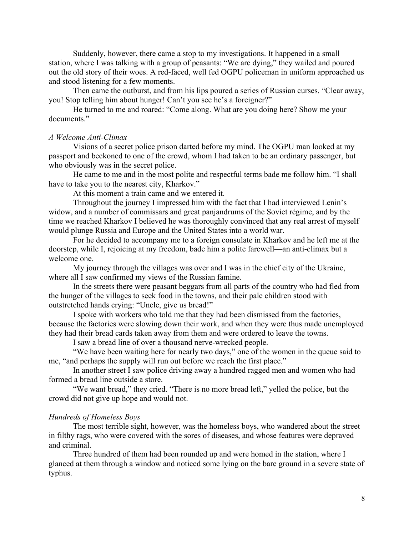Suddenly, however, there came a stop to my investigations. It happened in a small station, where I was talking with a group of peasants: "We are dying," they wailed and poured out the old story of their woes. A red-faced, well fed OGPU policeman in uniform approached us and stood listening for a few moments.

Then came the outburst, and from his lips poured a series of Russian curses. "Clear away, you! Stop telling him about hunger! Can't you see he's a foreigner?"

He turned to me and roared: "Come along. What are you doing here? Show me your documents."

### *A Welcome Anti-Climax*

Visions of a secret police prison darted before my mind. The OGPU man looked at my passport and beckoned to one of the crowd, whom I had taken to be an ordinary passenger, but who obviously was in the secret police.

He came to me and in the most polite and respectful terms bade me follow him. "I shall have to take you to the nearest city, Kharkov."

At this moment a train came and we entered it.

Throughout the journey I impressed him with the fact that I had interviewed Lenin's widow, and a number of commissars and great panjandrums of the Soviet régime, and by the time we reached Kharkov I believed he was thoroughly convinced that any real arrest of myself would plunge Russia and Europe and the United States into a world war.

For he decided to accompany me to a foreign consulate in Kharkov and he left me at the doorstep, while I, rejoicing at my freedom, bade him a polite farewell—an anti-climax but a welcome one.

My journey through the villages was over and I was in the chief city of the Ukraine, where all I saw confirmed my views of the Russian famine.

In the streets there were peasant beggars from all parts of the country who had fled from the hunger of the villages to seek food in the towns, and their pale children stood with outstretched hands crying: "Uncle, give us bread!"

I spoke with workers who told me that they had been dismissed from the factories, because the factories were slowing down their work, and when they were thus made unemployed they had their bread cards taken away from them and were ordered to leave the towns.

I saw a bread line of over a thousand nerve-wrecked people.

"We have been waiting here for nearly two days," one of the women in the queue said to me, "and perhaps the supply will run out before we reach the first place."

In another street I saw police driving away a hundred ragged men and women who had formed a bread line outside a store.

"We want bread," they cried. "There is no more bread left," yelled the police, but the crowd did not give up hope and would not.

### *Hundreds of Homeless Boys*

The most terrible sight, however, was the homeless boys, who wandered about the street in filthy rags, who were covered with the sores of diseases, and whose features were depraved and criminal.

Three hundred of them had been rounded up and were homed in the station, where I glanced at them through a window and noticed some lying on the bare ground in a severe state of typhus.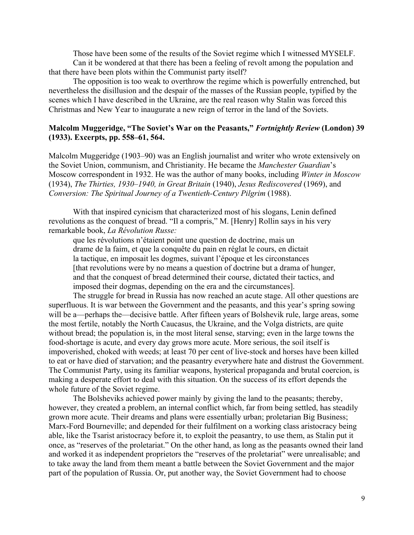Those have been some of the results of the Soviet regime which I witnessed MYSELF. Can it be wondered at that there has been a feeling of revolt among the population and that there have been plots within the Communist party itself?

The opposition is too weak to overthrow the regime which is powerfully entrenched, but nevertheless the disillusion and the despair of the masses of the Russian people, typified by the scenes which I have described in the Ukraine, are the real reason why Stalin was forced this Christmas and New Year to inaugurate a new reign of terror in the land of the Soviets.

## **Malcolm Muggeridge, "The Soviet's War on the Peasants,"** *Fortnightly Review* **(London) 39 (1933). Excerpts, pp. 558–61, 564.**

Malcolm Muggeridge (1903–90) was an English journalist and writer who wrote extensively on the Soviet Union, communism, and Christianity. He became the *Manchester Guardian*'s Moscow correspondent in 1932. He was the author of many books, including *Winter in Moscow* (1934), *The Thirties, 1930–1940, in Great Britain* (1940), *Jesus Rediscovered* (1969), and *Conversion: The Spiritual Journey of a Twentieth-Century Pilgrim* (1988).

With that inspired cynicism that characterized most of his slogans, Lenin defined revolutions as the conquest of bread. "Il a compris," M. [Henry] Rollin says in his very remarkable book, *La Révolution Russe:*

que les révolutions n'étaient point une question de doctrine, mais un drame de la faim, et que la conquête du pain en réglat le cours, en dictait la tactique, en imposait les dogmes, suivant l'époque et les circonstances [that revolutions were by no means a question of doctrine but a drama of hunger, and that the conquest of bread determined their course, dictated their tactics, and imposed their dogmas, depending on the era and the circumstances].

The struggle for bread in Russia has now reached an acute stage. All other questions are superfluous. It is war between the Government and the peasants, and this year's spring sowing will be a—perhaps the—decisive battle. After fifteen years of Bolshevik rule, large areas, some the most fertile, notably the North Caucasus, the Ukraine, and the Volga districts, are quite without bread; the population is, in the most literal sense, starving; even in the large towns the food-shortage is acute, and every day grows more acute. More serious, the soil itself is impoverished, choked with weeds; at least 70 per cent of live-stock and horses have been killed to eat or have died of starvation; and the peasantry everywhere hate and distrust the Government. The Communist Party, using its familiar weapons, hysterical propaganda and brutal coercion, is making a desperate effort to deal with this situation. On the success of its effort depends the whole future of the Soviet regime.

The Bolsheviks achieved power mainly by giving the land to the peasants; thereby, however, they created a problem, an internal conflict which, far from being settled, has steadily grown more acute. Their dreams and plans were essentially urban; proletarian Big Business; Marx-Ford Bourneville; and depended for their fulfilment on a working class aristocracy being able, like the Tsarist aristocracy before it, to exploit the peasantry, to use them, as Stalin put it once, as "reserves of the proletariat." On the other hand, as long as the peasants owned their land and worked it as independent proprietors the "reserves of the proletariat" were unrealisable; and to take away the land from them meant a battle between the Soviet Government and the major part of the population of Russia. Or, put another way, the Soviet Government had to choose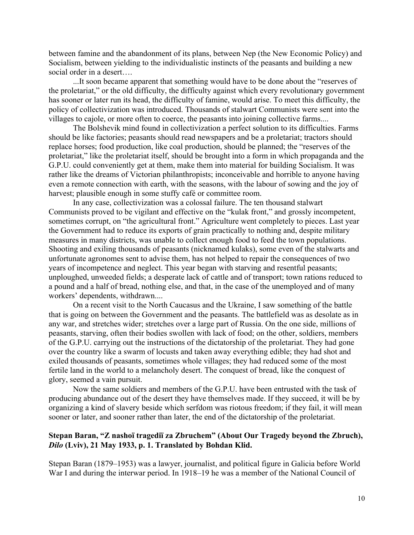between famine and the abandonment of its plans, between Nep (the New Economic Policy) and Socialism, between yielding to the individualistic instincts of the peasants and building a new social order in a desert….

...It soon became apparent that something would have to be done about the "reserves of the proletariat," or the old difficulty, the difficulty against which every revolutionary government has sooner or later run its head, the difficulty of famine, would arise. To meet this difficulty, the policy of collectivization was introduced. Thousands of stalwart Communists were sent into the villages to cajole, or more often to coerce, the peasants into joining collective farms....

The Bolshevik mind found in collectivization a perfect solution to its difficulties. Farms should be like factories; peasants should read newspapers and be a proletariat; tractors should replace horses; food production, like coal production, should be planned; the "reserves of the proletariat," like the proletariat itself, should be brought into a form in which propaganda and the G.P.U. could conveniently get at them, make them into material for building Socialism. It was rather like the dreams of Victorian philanthropists; inconceivable and horrible to anyone having even a remote connection with earth, with the seasons, with the labour of sowing and the joy of harvest; plausible enough in some stuffy café or committee room.

In any case, collectivization was a colossal failure. The ten thousand stalwart Communists proved to be vigilant and effective on the "kulak front," and grossly incompetent, sometimes corrupt, on "the agricultural front." Agriculture went completely to pieces. Last year the Government had to reduce its exports of grain practically to nothing and, despite military measures in many districts, was unable to collect enough food to feed the town populations. Shooting and exiling thousands of peasants (nicknamed kulaks), some even of the stalwarts and unfortunate agronomes sent to advise them, has not helped to repair the consequences of two years of incompetence and neglect. This year began with starving and resentful peasants; unploughed, unweeded fields; a desperate lack of cattle and of transport; town rations reduced to a pound and a half of bread, nothing else, and that, in the case of the unemployed and of many workers' dependents, withdrawn....

On a recent visit to the North Caucasus and the Ukraine, I saw something of the battle that is going on between the Government and the peasants. The battlefield was as desolate as in any war, and stretches wider; stretches over a large part of Russia. On the one side, millions of peasants, starving, often their bodies swollen with lack of food; on the other, soldiers, members of the G.P.U. carrying out the instructions of the dictatorship of the proletariat. They had gone over the country like a swarm of locusts and taken away everything edible; they had shot and exiled thousands of peasants, sometimes whole villages; they had reduced some of the most fertile land in the world to a melancholy desert. The conquest of bread, like the conquest of glory, seemed a vain pursuit.

Now the same soldiers and members of the G.P.U. have been entrusted with the task of producing abundance out of the desert they have themselves made. If they succeed, it will be by organizing a kind of slavery beside which serfdom was riotous freedom; if they fail, it will mean sooner or later, and sooner rather than later, the end of the dictatorship of the proletariat.

# **Stepan Baran, "Z nashoï tragediï za Zbruchem" (About Our Tragedy beyond the Zbruch),**  *Dilo* **(Lviv), 21 May 1933, p. 1. Translated by Bohdan Klid.**

Stepan Baran (1879–1953) was a lawyer, journalist, and political figure in Galicia before World War I and during the interwar period. In 1918–19 he was a member of the National Council of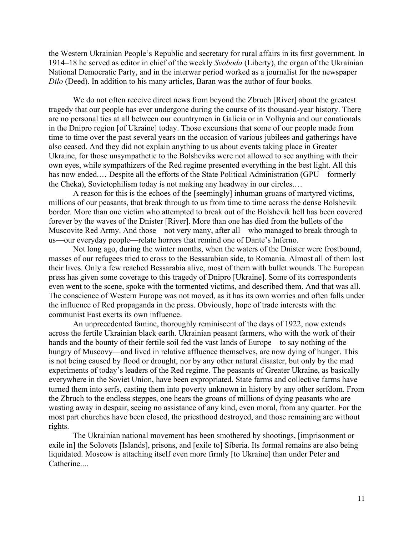the Western Ukrainian People's Republic and secretary for rural affairs in its first government. In 1914–18 he served as editor in chief of the weekly *Svoboda* (Liberty), the organ of the Ukrainian National Democratic Party, and in the interwar period worked as a journalist for the newspaper *Dilo* (Deed). In addition to his many articles, Baran was the author of four books.

We do not often receive direct news from beyond the Zbruch [River] about the greatest tragedy that our people has ever undergone during the course of its thousand-year history. There are no personal ties at all between our countrymen in Galicia or in Volhynia and our conationals in the Dnipro region [of Ukraine] today. Those excursions that some of our people made from time to time over the past several years on the occasion of various jubilees and gatherings have also ceased. And they did not explain anything to us about events taking place in Greater Ukraine, for those unsympathetic to the Bolsheviks were not allowed to see anything with their own eyes, while sympathizers of the Red regime presented everything in the best light. All this has now ended.... Despite all the efforts of the State Political Administration (GPU—formerly the Cheka), Sovietophilism today is not making any headway in our circles.…

A reason for this is the echoes of the [seemingly] inhuman groans of martyred victims, millions of our peasants, that break through to us from time to time across the dense Bolshevik border. More than one victim who attempted to break out of the Bolshevik hell has been covered forever by the waves of the Dnister [River]. More than one has died from the bullets of the Muscovite Red Army. And those—not very many, after all—who managed to break through to us—our everyday people—relate horrors that remind one of Dante's Inferno.

Not long ago, during the winter months, when the waters of the Dnister were frostbound, masses of our refugees tried to cross to the Bessarabian side, to Romania. Almost all of them lost their lives. Only a few reached Bessarabia alive, most of them with bullet wounds. The European press has given some coverage to this tragedy of Dnipro [Ukraine]. Some of its correspondents even went to the scene, spoke with the tormented victims, and described them. And that was all. The conscience of Western Europe was not moved, as it has its own worries and often falls under the influence of Red propaganda in the press. Obviously, hope of trade interests with the communist East exerts its own influence.

An unprecedented famine, thoroughly reminiscent of the days of 1922, now extends across the fertile Ukrainian black earth. Ukrainian peasant farmers, who with the work of their hands and the bounty of their fertile soil fed the vast lands of Europe—to say nothing of the hungry of Muscovy—and lived in relative affluence themselves, are now dying of hunger. This is not being caused by flood or drought, nor by any other natural disaster, but only by the mad experiments of today's leaders of the Red regime. The peasants of Greater Ukraine, as basically everywhere in the Soviet Union, have been expropriated. State farms and collective farms have turned them into serfs, casting them into poverty unknown in history by any other serfdom. From the Zbruch to the endless steppes, one hears the groans of millions of dying peasants who are wasting away in despair, seeing no assistance of any kind, even moral, from any quarter. For the most part churches have been closed, the priesthood destroyed, and those remaining are without rights.

The Ukrainian national movement has been smothered by shootings, [imprisonment or exile in] the Solovets [Islands], prisons, and [exile to] Siberia. Its formal remains are also being liquidated. Moscow is attaching itself even more firmly [to Ukraine] than under Peter and Catherine....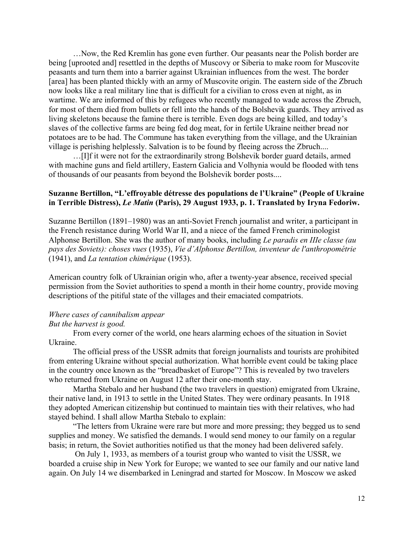…Now, the Red Kremlin has gone even further. Our peasants near the Polish border are being [uprooted and] resettled in the depths of Muscovy or Siberia to make room for Muscovite peasants and turn them into a barrier against Ukrainian influences from the west. The border [area] has been planted thickly with an army of Muscovite origin. The eastern side of the Zbruch now looks like a real military line that is difficult for a civilian to cross even at night, as in wartime. We are informed of this by refugees who recently managed to wade across the Zbruch, for most of them died from bullets or fell into the hands of the Bolshevik guards. They arrived as living skeletons because the famine there is terrible. Even dogs are being killed, and today's slaves of the collective farms are being fed dog meat, for in fertile Ukraine neither bread nor potatoes are to be had. The Commune has taken everything from the village, and the Ukrainian village is perishing helplessly. Salvation is to be found by fleeing across the Zbruch....

…[I]f it were not for the extraordinarily strong Bolshevik border guard details, armed with machine guns and field artillery, Eastern Galicia and Volhynia would be flooded with tens of thousands of our peasants from beyond the Bolshevik border posts....

# **Suzanne Bertillon, "L'effroyable détresse des populations de l'Ukraine" (People of Ukraine in Terrible Distress),** *Le Matin* **(Paris), 29 August 1933, p. 1. Translated by Iryna Fedoriw.**

Suzanne Bertillon (1891–1980) was an anti-Soviet French journalist and writer, a participant in the French resistance during World War II, and a niece of the famed French criminologist Alphonse Bertillon. She was the author of many books, including *Le paradis en IIIe classe (au pays des Soviets): choses vues* (1935), *Vie d'Alphonse Bertillon, inventeur de l'anthropométrie* (1941), and *La tentation chimérique* (1953).

American country folk of Ukrainian origin who, after a twenty-year absence, received special permission from the Soviet authorities to spend a month in their home country, provide moving descriptions of the pitiful state of the villages and their emaciated compatriots.

### *Where cases of cannibalism appear But the harvest is good.*

From every corner of the world, one hears alarming echoes of the situation in Soviet Ukraine.

The official press of the USSR admits that foreign journalists and tourists are prohibited from entering Ukraine without special authorization. What horrible event could be taking place in the country once known as the "breadbasket of Europe"? This is revealed by two travelers who returned from Ukraine on August 12 after their one-month stay.

Martha Stebalo and her husband (the two travelers in question) emigrated from Ukraine, their native land, in 1913 to settle in the United States. They were ordinary peasants. In 1918 they adopted American citizenship but continued to maintain ties with their relatives, who had stayed behind. I shall allow Martha Stebalo to explain:

"The letters from Ukraine were rare but more and more pressing; they begged us to send supplies and money. We satisfied the demands. I would send money to our family on a regular basis; in return, the Soviet authorities notified us that the money had been delivered safely.

On July 1, 1933, as members of a tourist group who wanted to visit the USSR, we boarded a cruise ship in New York for Europe; we wanted to see our family and our native land again. On July 14 we disembarked in Leningrad and started for Moscow. In Moscow we asked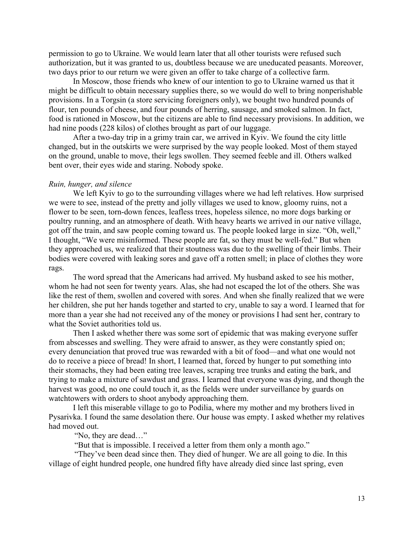permission to go to Ukraine. We would learn later that all other tourists were refused such authorization, but it was granted to us, doubtless because we are uneducated peasants. Moreover, two days prior to our return we were given an offer to take charge of a collective farm.

In Moscow, those friends who knew of our intention to go to Ukraine warned us that it might be difficult to obtain necessary supplies there, so we would do well to bring nonperishable provisions. In a Torgsin (a store servicing foreigners only), we bought two hundred pounds of flour, ten pounds of cheese, and four pounds of herring, sausage, and smoked salmon. In fact, food is rationed in Moscow, but the citizens are able to find necessary provisions. In addition, we had nine poods (228 kilos) of clothes brought as part of our luggage.

After a two-day trip in a grimy train car, we arrived in Kyiv. We found the city little changed, but in the outskirts we were surprised by the way people looked. Most of them stayed on the ground, unable to move, their legs swollen. They seemed feeble and ill. Others walked bent over, their eyes wide and staring. Nobody spoke.

### *Ruin, hunger, and silence*

We left Kyiv to go to the surrounding villages where we had left relatives. How surprised we were to see, instead of the pretty and jolly villages we used to know, gloomy ruins, not a flower to be seen, torn-down fences, leafless trees, hopeless silence, no more dogs barking or poultry running, and an atmosphere of death. With heavy hearts we arrived in our native village, got off the train, and saw people coming toward us. The people looked large in size. "Oh, well," I thought, "We were misinformed. These people are fat, so they must be well-fed." But when they approached us, we realized that their stoutness was due to the swelling of their limbs. Their bodies were covered with leaking sores and gave off a rotten smell; in place of clothes they wore rags.

The word spread that the Americans had arrived. My husband asked to see his mother, whom he had not seen for twenty years. Alas, she had not escaped the lot of the others. She was like the rest of them, swollen and covered with sores. And when she finally realized that we were her children, she put her hands together and started to cry, unable to say a word. I learned that for more than a year she had not received any of the money or provisions I had sent her, contrary to what the Soviet authorities told us.

Then I asked whether there was some sort of epidemic that was making everyone suffer from abscesses and swelling. They were afraid to answer, as they were constantly spied on; every denunciation that proved true was rewarded with a bit of food—and what one would not do to receive a piece of bread! In short, I learned that, forced by hunger to put something into their stomachs, they had been eating tree leaves, scraping tree trunks and eating the bark, and trying to make a mixture of sawdust and grass. I learned that everyone was dying, and though the harvest was good, no one could touch it, as the fields were under surveillance by guards on watchtowers with orders to shoot anybody approaching them.

I left this miserable village to go to Podilia, where my mother and my brothers lived in Pysarivka. I found the same desolation there. Our house was empty. I asked whether my relatives had moved out.

"No, they are dead…"

"But that is impossible. I received a letter from them only a month ago."

"They've been dead since then. They died of hunger. We are all going to die. In this village of eight hundred people, one hundred fifty have already died since last spring, even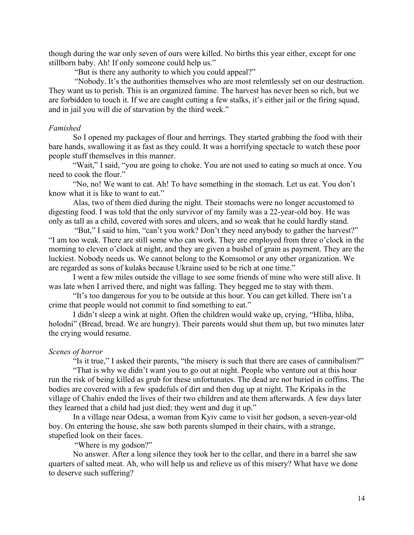though during the war only seven of ours were killed. No births this year either, except for one stillborn baby. Ah! If only someone could help us."

"But is there any authority to which you could appeal?"

"Nobody. It's the authorities themselves who are most relentlessly set on our destruction. They want us to perish. This is an organized famine. The harvest has never been so rich, but we are forbidden to touch it. If we are caught cutting a few stalks, it's either jail or the firing squad, and in jail you will die of starvation by the third week."

### *Famished*

So I opened my packages of flour and herrings. They started grabbing the food with their bare hands, swallowing it as fast as they could. It was a horrifying spectacle to watch these poor people stuff themselves in this manner.

"Wait," I said, "you are going to choke. You are not used to eating so much at once. You need to cook the flour."

"No, no! We want to eat. Ah! To have something in the stomach. Let us eat. You don't know what it is like to want to eat."

Alas, two of them died during the night. Their stomachs were no longer accustomed to digesting food. I was told that the only survivor of my family was a 22-year-old boy. He was only as tall as a child, covered with sores and ulcers, and so weak that he could hardly stand.

"But," I said to him, "can't you work? Don't they need anybody to gather the harvest?" "I am too weak. There are still some who can work. They are employed from three o'clock in the morning to eleven o'clock at night, and they are given a bushel of grain as payment. They are the luckiest. Nobody needs us. We cannot belong to the Komsomol or any other organization. We are regarded as sons of kulaks because Ukraine used to be rich at one time."

I went a few miles outside the village to see some friends of mine who were still alive. It was late when I arrived there, and night was falling. They begged me to stay with them.

"It's too dangerous for you to be outside at this hour. You can get killed. There isn't a crime that people would not commit to find something to eat."

I didn't sleep a wink at night. Often the children would wake up, crying, "Hliba, hliba, holodni" (Bread, bread. We are hungry). Their parents would shut them up, but two minutes later the crying would resume.

### *Scenes of horror*

"Is it true," I asked their parents, "the misery is such that there are cases of cannibalism?"

"That is why we didn't want you to go out at night. People who venture out at this hour run the risk of being killed as grub for these unfortunates. The dead are not buried in coffins. The bodies are covered with a few spadefuls of dirt and then dug up at night. The Kripaks in the village of Chahiv ended the lives of their two children and ate them afterwards. A few days later they learned that a child had just died; they went and dug it up."

In a village near Odesa, a woman from Kyiv came to visit her godson, a seven-year-old boy. On entering the house, she saw both parents slumped in their chairs, with a strange, stupefied look on their faces.

"Where is my godson?"

No answer. After a long silence they took her to the cellar, and there in a barrel she saw quarters of salted meat. Ah, who will help us and relieve us of this misery? What have we done to deserve such suffering?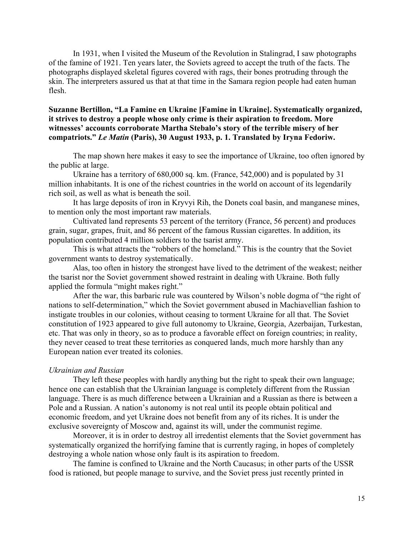In 1931, when I visited the Museum of the Revolution in Stalingrad, I saw photographs of the famine of 1921. Ten years later, the Soviets agreed to accept the truth of the facts. The photographs displayed skeletal figures covered with rags, their bones protruding through the skin. The interpreters assured us that at that time in the Samara region people had eaten human flesh.

# **Suzanne Bertillon, "La Famine en Ukraine [Famine in Ukraine]. Systematically organized, it strives to destroy a people whose only crime is their aspiration to freedom. More witnesses' accounts corroborate Martha Stebalo's story of the terrible misery of her compatriots."** *Le Matin* **(Paris), 30 August 1933, p. 1. Translated by Iryna Fedoriw.**

The map shown here makes it easy to see the importance of Ukraine, too often ignored by the public at large.

Ukraine has a territory of 680,000 sq. km. (France, 542,000) and is populated by 31 million inhabitants. It is one of the richest countries in the world on account of its legendarily rich soil, as well as what is beneath the soil.

It has large deposits of iron in Kryvyi Rih, the Donets coal basin, and manganese mines, to mention only the most important raw materials.

Cultivated land represents 53 percent of the territory (France, 56 percent) and produces grain, sugar, grapes, fruit, and 86 percent of the famous Russian cigarettes. In addition, its population contributed 4 million soldiers to the tsarist army.

This is what attracts the "robbers of the homeland." This is the country that the Soviet government wants to destroy systematically.

Alas, too often in history the strongest have lived to the detriment of the weakest; neither the tsarist nor the Soviet government showed restraint in dealing with Ukraine. Both fully applied the formula "might makes right."

After the war, this barbaric rule was countered by Wilson's noble dogma of "the right of nations to self-determination," which the Soviet government abused in Machiavellian fashion to instigate troubles in our colonies, without ceasing to torment Ukraine for all that. The Soviet constitution of 1923 appeared to give full autonomy to Ukraine, Georgia, Azerbaijan, Turkestan, etc. That was only in theory, so as to produce a favorable effect on foreign countries; in reality, they never ceased to treat these territories as conquered lands, much more harshly than any European nation ever treated its colonies.

### *Ukrainian and Russian*

They left these peoples with hardly anything but the right to speak their own language; hence one can establish that the Ukrainian language is completely different from the Russian language. There is as much difference between a Ukrainian and a Russian as there is between a Pole and a Russian. A nation's autonomy is not real until its people obtain political and economic freedom, and yet Ukraine does not benefit from any of its riches. It is under the exclusive sovereignty of Moscow and, against its will, under the communist regime.

Moreover, it is in order to destroy all irredentist elements that the Soviet government has systematically organized the horrifying famine that is currently raging, in hopes of completely destroying a whole nation whose only fault is its aspiration to freedom.

The famine is confined to Ukraine and the North Caucasus; in other parts of the USSR food is rationed, but people manage to survive, and the Soviet press just recently printed in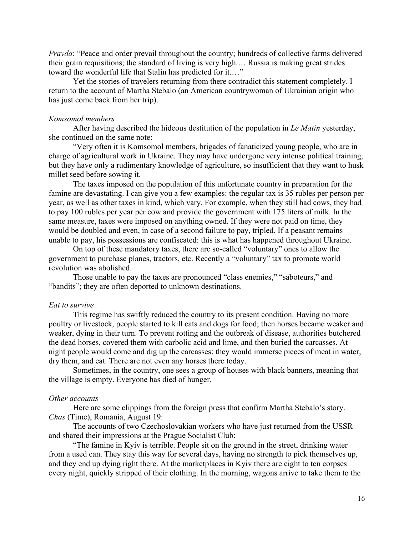*Pravda*: "Peace and order prevail throughout the country; hundreds of collective farms delivered their grain requisitions; the standard of living is very high.… Russia is making great strides toward the wonderful life that Stalin has predicted for it.…"

Yet the stories of travelers returning from there contradict this statement completely. I return to the account of Martha Stebalo (an American countrywoman of Ukrainian origin who has just come back from her trip).

### *Komsomol members*

After having described the hideous destitution of the population in *Le Matin* yesterday, she continued on the same note:

"Very often it is Komsomol members, brigades of fanaticized young people, who are in charge of agricultural work in Ukraine. They may have undergone very intense political training, but they have only a rudimentary knowledge of agriculture, so insufficient that they want to husk millet seed before sowing it.

The taxes imposed on the population of this unfortunate country in preparation for the famine are devastating. I can give you a few examples: the regular tax is 35 rubles per person per year, as well as other taxes in kind, which vary. For example, when they still had cows, they had to pay 100 rubles per year per cow and provide the government with 175 liters of milk. In the same measure, taxes were imposed on anything owned. If they were not paid on time, they would be doubled and even, in case of a second failure to pay, tripled. If a peasant remains unable to pay, his possessions are confiscated: this is what has happened throughout Ukraine.

On top of these mandatory taxes, there are so-called "voluntary" ones to allow the government to purchase planes, tractors, etc. Recently a "voluntary" tax to promote world revolution was abolished.

Those unable to pay the taxes are pronounced "class enemies," "saboteurs," and "bandits"; they are often deported to unknown destinations.

### *Eat to survive*

This regime has swiftly reduced the country to its present condition. Having no more poultry or livestock, people started to kill cats and dogs for food; then horses became weaker and weaker, dying in their turn. To prevent rotting and the outbreak of disease, authorities butchered the dead horses, covered them with carbolic acid and lime, and then buried the carcasses. At night people would come and dig up the carcasses; they would immerse pieces of meat in water, dry them, and eat. There are not even any horses there today.

Sometimes, in the country, one sees a group of houses with black banners, meaning that the village is empty. Everyone has died of hunger.

### *Other accounts*

Here are some clippings from the foreign press that confirm Martha Stebalo's story. *Chas* (Time), Romania, August 19:

The accounts of two Czechoslovakian workers who have just returned from the USSR and shared their impressions at the Prague Socialist Club:

"The famine in Kyiv is terrible. People sit on the ground in the street, drinking water from a used can. They stay this way for several days, having no strength to pick themselves up, and they end up dying right there. At the marketplaces in Kyiv there are eight to ten corpses every night, quickly stripped of their clothing. In the morning, wagons arrive to take them to the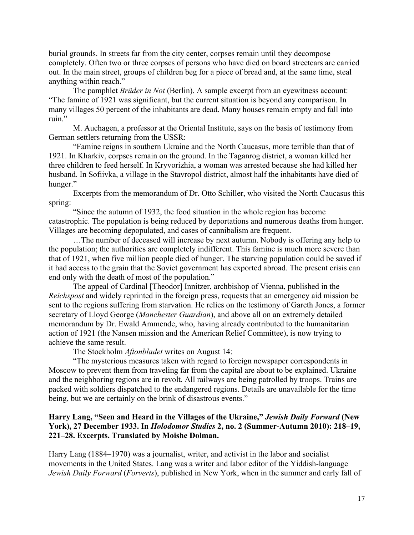burial grounds. In streets far from the city center, corpses remain until they decompose completely. Often two or three corpses of persons who have died on board streetcars are carried out. In the main street, groups of children beg for a piece of bread and, at the same time, steal anything within reach."

The pamphlet *Brüder in Not* (Berlin). A sample excerpt from an eyewitness account: "The famine of 1921 was significant, but the current situation is beyond any comparison. In many villages 50 percent of the inhabitants are dead. Many houses remain empty and fall into ruin."

M. Auchagen, a professor at the Oriental Institute, says on the basis of testimony from German settlers returning from the USSR:

"Famine reigns in southern Ukraine and the North Caucasus, more terrible than that of 1921. In Kharkiv, corpses remain on the ground. In the Taganrog district, a woman killed her three children to feed herself. In Kryvorizhia, a woman was arrested because she had killed her husband. In Sofiivka, a village in the Stavropol district, almost half the inhabitants have died of hunger."

Excerpts from the memorandum of Dr. Otto Schiller, who visited the North Caucasus this spring:

"Since the autumn of 1932, the food situation in the whole region has become catastrophic. The population is being reduced by deportations and numerous deaths from hunger. Villages are becoming depopulated, and cases of cannibalism are frequent.

…The number of deceased will increase by next autumn. Nobody is offering any help to the population; the authorities are completely indifferent. This famine is much more severe than that of 1921, when five million people died of hunger. The starving population could be saved if it had access to the grain that the Soviet government has exported abroad. The present crisis can end only with the death of most of the population."

The appeal of Cardinal [Theodor] Innitzer, archbishop of Vienna, published in the *Reichspost* and widely reprinted in the foreign press, requests that an emergency aid mission be sent to the regions suffering from starvation. He relies on the testimony of Gareth Jones, a former secretary of Lloyd George (*Manchester Guardian*), and above all on an extremely detailed memorandum by Dr. Ewald Ammende, who, having already contributed to the humanitarian action of 1921 (the Nansen mission and the American Relief Committee), is now trying to achieve the same result.

The Stockholm *Aftonbladet* writes on August 14:

"The mysterious measures taken with regard to foreign newspaper correspondents in Moscow to prevent them from traveling far from the capital are about to be explained. Ukraine and the neighboring regions are in revolt. All railways are being patrolled by troops. Trains are packed with soldiers dispatched to the endangered regions. Details are unavailable for the time being, but we are certainly on the brink of disastrous events."

# **Harry Lang, "Seen and Heard in the Villages of the Ukraine,"** *Jewish Daily Forward* **(New York), 27 December 1933. In** *Holodomor Studies* **2, no. 2 (Summer-Autumn 2010): 218–19, 221–28. Excerpts. Translated by Moishe Dolman.**

Harry Lang (1884–1970) was a journalist, writer, and activist in the labor and socialist movements in the United States. Lang was a writer and labor editor of the Yiddish-language *Jewish Daily Forward* (*Forverts*), published in New York, when in the summer and early fall of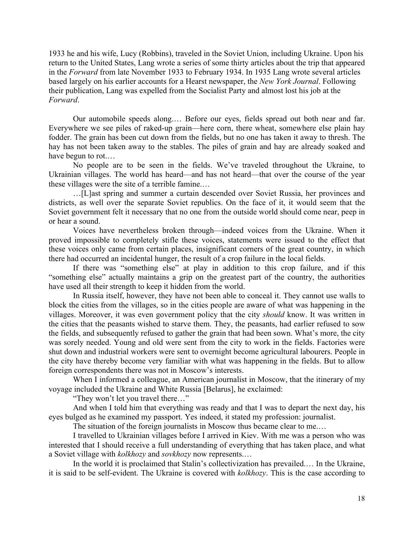1933 he and his wife, Lucy (Robbins), traveled in the Soviet Union, including Ukraine. Upon his return to the United States, Lang wrote a series of some thirty articles about the trip that appeared in the *Forward* from late November 1933 to February 1934. In 1935 Lang wrote several articles based largely on his earlier accounts for a Hearst newspaper, the *New York Journal*. Following their publication, Lang was expelled from the Socialist Party and almost lost his job at the *Forward*.

Our automobile speeds along.… Before our eyes, fields spread out both near and far. Everywhere we see piles of raked-up grain—here corn, there wheat, somewhere else plain hay fodder. The grain has been cut down from the fields, but no one has taken it away to thresh. The hay has not been taken away to the stables. The piles of grain and hay are already soaked and have begun to rot.…

No people are to be seen in the fields. We've traveled throughout the Ukraine, to Ukrainian villages. The world has heard—and has not heard—that over the course of the year these villages were the site of a terrible famine.…

…[L]ast spring and summer a curtain descended over Soviet Russia, her provinces and districts, as well over the separate Soviet republics. On the face of it, it would seem that the Soviet government felt it necessary that no one from the outside world should come near, peep in or hear a sound.

Voices have nevertheless broken through—indeed voices from the Ukraine. When it proved impossible to completely stifle these voices, statements were issued to the effect that these voices only came from certain places, insignificant corners of the great country, in which there had occurred an incidental hunger, the result of a crop failure in the local fields.

If there was "something else" at play in addition to this crop failure, and if this "something else" actually maintains a grip on the greatest part of the country, the authorities have used all their strength to keep it hidden from the world.

In Russia itself, however, they have not been able to conceal it. They cannot use walls to block the cities from the villages, so in the cities people are aware of what was happening in the villages. Moreover, it was even government policy that the city *should* know. It was written in the cities that the peasants wished to starve them. They, the peasants, had earlier refused to sow the fields, and subsequently refused to gather the grain that had been sown. What's more, the city was sorely needed. Young and old were sent from the city to work in the fields. Factories were shut down and industrial workers were sent to overnight become agricultural labourers. People in the city have thereby become very familiar with what was happening in the fields. But to allow foreign correspondents there was not in Moscow's interests.

When I informed a colleague, an American journalist in Moscow, that the itinerary of my voyage included the Ukraine and White Russia [Belarus], he exclaimed:

"They won't let you travel there…"

And when I told him that everything was ready and that I was to depart the next day, his eyes bulged as he examined my passport. Yes indeed, it stated my profession: journalist.

The situation of the foreign journalists in Moscow thus became clear to me.…

I travelled to Ukrainian villages before I arrived in Kiev. With me was a person who was interested that I should receive a full understanding of everything that has taken place, and what a Soviet village with *kolkhozy* and *sovkhozy* now represents.…

In the world it is proclaimed that Stalin's collectivization has prevailed.… In the Ukraine, it is said to be self-evident. The Ukraine is covered with *kolkhozy*. This is the case according to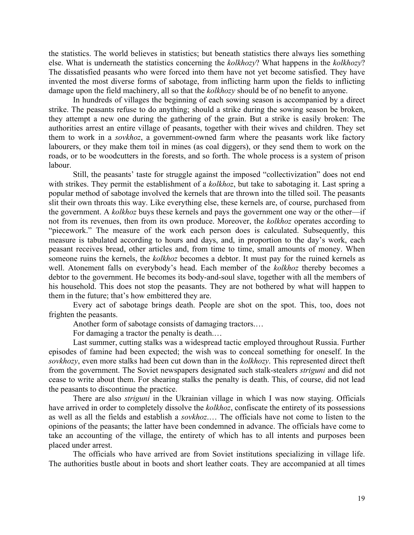the statistics. The world believes in statistics; but beneath statistics there always lies something else. What is underneath the statistics concerning the *kolkhozy*? What happens in the *kolkhozy*? The dissatisfied peasants who were forced into them have not yet become satisfied. They have invented the most diverse forms of sabotage, from inflicting harm upon the fields to inflicting damage upon the field machinery, all so that the *kolkhozy* should be of no benefit to anyone.

In hundreds of villages the beginning of each sowing season is accompanied by a direct strike. The peasants refuse to do anything; should a strike during the sowing season be broken, they attempt a new one during the gathering of the grain. But a strike is easily broken: The authorities arrest an entire village of peasants, together with their wives and children. They set them to work in a *sovkhoz*, a government-owned farm where the peasants work like factory labourers, or they make them toil in mines (as coal diggers), or they send them to work on the roads, or to be woodcutters in the forests, and so forth. The whole process is a system of prison labour.

Still, the peasants' taste for struggle against the imposed "collectivization" does not end with strikes. They permit the establishment of a *kolkhoz*, but take to sabotaging it. Last spring a popular method of sabotage involved the kernels that are thrown into the tilled soil. The peasants slit their own throats this way. Like everything else, these kernels are, of course, purchased from the government. A *kolkhoz* buys these kernels and pays the government one way or the other—if not from its revenues, then from its own produce. Moreover, the *kolkhoz* operates according to "piecework." The measure of the work each person does is calculated. Subsequently, this measure is tabulated according to hours and days, and, in proportion to the day's work, each peasant receives bread, other articles and, from time to time, small amounts of money. When someone ruins the kernels, the *kolkhoz* becomes a debtor. It must pay for the ruined kernels as well. Atonement falls on everybody's head. Each member of the *kolkhoz* thereby becomes a debtor to the government. He becomes its body-and-soul slave, together with all the members of his household. This does not stop the peasants. They are not bothered by what will happen to them in the future; that's how embittered they are.

Every act of sabotage brings death. People are shot on the spot. This, too, does not frighten the peasants.

Another form of sabotage consists of damaging tractors.…

For damaging a tractor the penalty is death.…

Last summer, cutting stalks was a widespread tactic employed throughout Russia. Further episodes of famine had been expected; the wish was to conceal something for oneself. In the *sovkhozy*, even more stalks had been cut down than in the *kolkhozy*. This represented direct theft from the government. The Soviet newspapers designated such stalk-stealers *striguni* and did not cease to write about them. For shearing stalks the penalty is death. This, of course, did not lead the peasants to discontinue the practice.

There are also *striguni* in the Ukrainian village in which I was now staying. Officials have arrived in order to completely dissolve the *kolkhoz*, confiscate the entirety of its possessions as well as all the fields and establish a *sovkhoz*.… The officials have not come to listen to the opinions of the peasants; the latter have been condemned in advance. The officials have come to take an accounting of the village, the entirety of which has to all intents and purposes been placed under arrest.

The officials who have arrived are from Soviet institutions specializing in village life. The authorities bustle about in boots and short leather coats. They are accompanied at all times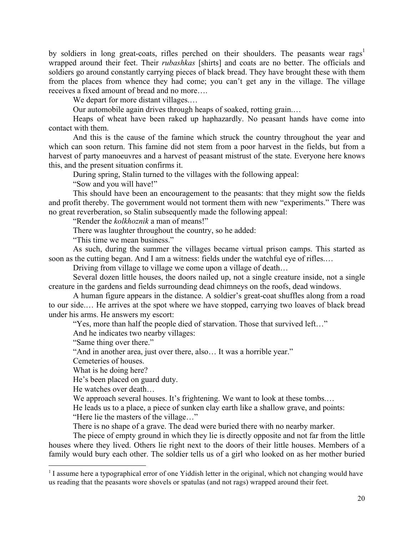by soldiers in long great-coats, rifles perched on their shoulders. The peasants wear rags<sup>1</sup> wrapped around their feet. Their *rubashkas* [shirts] and coats are no better. The officials and soldiers go around constantly carrying pieces of black bread. They have brought these with them from the places from whence they had come; you can't get any in the village. The village receives a fixed amount of bread and no more….

We depart for more distant villages...

Our automobile again drives through heaps of soaked, rotting grain.…

Heaps of wheat have been raked up haphazardly. No peasant hands have come into contact with them.

And this is the cause of the famine which struck the country throughout the year and which can soon return. This famine did not stem from a poor harvest in the fields, but from a harvest of party manoeuvres and a harvest of peasant mistrust of the state. Everyone here knows this, and the present situation confirms it.

During spring, Stalin turned to the villages with the following appeal:

"Sow and you will have!"

This should have been an encouragement to the peasants: that they might sow the fields and profit thereby. The government would not torment them with new "experiments." There was no great reverberation, so Stalin subsequently made the following appeal:

"Render the *kolkhoznik* a man of means!"

There was laughter throughout the country, so he added:

"This time we mean business."

As such, during the summer the villages became virtual prison camps. This started as soon as the cutting began. And I am a witness: fields under the watchful eye of rifles.…

Driving from village to village we come upon a village of death…

Several dozen little houses, the doors nailed up, not a single creature inside, not a single creature in the gardens and fields surrounding dead chimneys on the roofs, dead windows.

A human figure appears in the distance. A soldier's great-coat shuffles along from a road to our side.… He arrives at the spot where we have stopped, carrying two loaves of black bread under his arms. He answers my escort:

"Yes, more than half the people died of starvation. Those that survived left…"

And he indicates two nearby villages:

"Same thing over there."

"And in another area, just over there, also… It was a horrible year."

Cemeteries of houses.

What is he doing here?

He's been placed on guard duty.

He watches over death…

We approach several houses. It's frightening. We want to look at these tombs....

He leads us to a place, a piece of sunken clay earth like a shallow grave, and points:

"Here lie the masters of the village…"

There is no shape of a grave. The dead were buried there with no nearby marker.

The piece of empty ground in which they lie is directly opposite and not far from the little houses where they lived. Others lie right next to the doors of their little houses. Members of a family would bury each other. The soldier tells us of a girl who looked on as her mother buried

<sup>&</sup>lt;sup>1</sup> I assume here a typographical error of one Yiddish letter in the original, which not changing would have us reading that the peasants wore shovels or spatulas (and not rags) wrapped around their feet.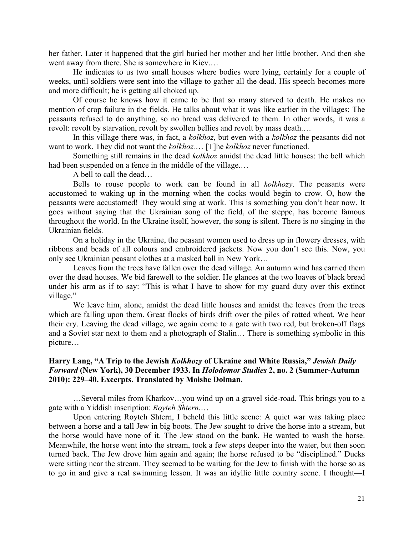her father. Later it happened that the girl buried her mother and her little brother. And then she went away from there. She is somewhere in Kiev.…

He indicates to us two small houses where bodies were lying, certainly for a couple of weeks, until soldiers were sent into the village to gather all the dead. His speech becomes more and more difficult; he is getting all choked up.

Of course he knows how it came to be that so many starved to death. He makes no mention of crop failure in the fields. He talks about what it was like earlier in the villages: The peasants refused to do anything, so no bread was delivered to them. In other words, it was a revolt: revolt by starvation, revolt by swollen bellies and revolt by mass death.…

In this village there was, in fact, a *kolkhoz*, but even with a *kolkhoz* the peasants did not want to work. They did not want the *kolkhoz.*… [T]he *kolkhoz* never functioned.

Something still remains in the dead *kolkhoz* amidst the dead little houses: the bell which had been suspended on a fence in the middle of the village....

A bell to call the dead…

Bells to rouse people to work can be found in all *kolkhozy*. The peasants were accustomed to waking up in the morning when the cocks would begin to crow. O, how the peasants were accustomed! They would sing at work. This is something you don't hear now. It goes without saying that the Ukrainian song of the field, of the steppe, has become famous throughout the world. In the Ukraine itself, however, the song is silent. There is no singing in the Ukrainian fields.

On a holiday in the Ukraine, the peasant women used to dress up in flowery dresses, with ribbons and beads of all colours and embroidered jackets. Now you don't see this. Now, you only see Ukrainian peasant clothes at a masked ball in New York…

Leaves from the trees have fallen over the dead village. An autumn wind has carried them over the dead houses. We bid farewell to the soldier. He glances at the two loaves of black bread under his arm as if to say: "This is what I have to show for my guard duty over this extinct village."

We leave him, alone, amidst the dead little houses and amidst the leaves from the trees which are falling upon them. Great flocks of birds drift over the piles of rotted wheat. We hear their cry. Leaving the dead village, we again come to a gate with two red, but broken-off flags and a Soviet star next to them and a photograph of Stalin… There is something symbolic in this picture…

# **Harry Lang, "A Trip to the Jewish** *Kolkhozy* **of Ukraine and White Russia,"** *Jewish Daily Forward* **(New York), 30 December 1933. In** *Holodomor Studies* **2, no. 2 (Summer-Autumn 2010): 229–40. Excerpts. Translated by Moishe Dolman.**

…Several miles from Kharkov…you wind up on a gravel side-road. This brings you to a gate with a Yiddish inscription: *Royteh Shtern*.…

Upon entering Royteh Shtern, I beheld this little scene: A quiet war was taking place between a horse and a tall Jew in big boots. The Jew sought to drive the horse into a stream, but the horse would have none of it. The Jew stood on the bank. He wanted to wash the horse. Meanwhile, the horse went into the stream, took a few steps deeper into the water, but then soon turned back. The Jew drove him again and again; the horse refused to be "disciplined." Ducks were sitting near the stream. They seemed to be waiting for the Jew to finish with the horse so as to go in and give a real swimming lesson. It was an idyllic little country scene. I thought—I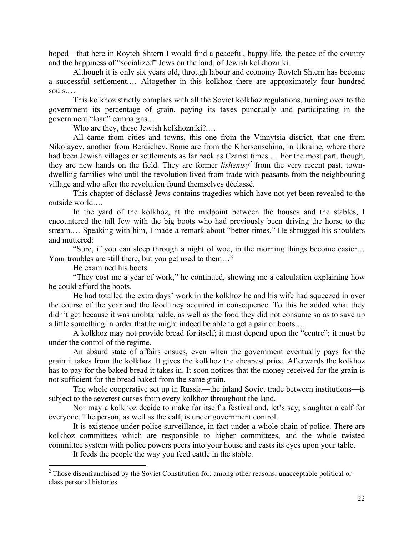hoped—that here in Royteh Shtern I would find a peaceful, happy life, the peace of the country and the happiness of "socialized" Jews on the land, of Jewish kolkhozniki.

Although it is only six years old, through labour and economy Royteh Shtern has become a successful settlement.… Altogether in this kolkhoz there are approximately four hundred souls.…

This kolkhoz strictly complies with all the Soviet kolkhoz regulations, turning over to the government its percentage of grain, paying its taxes punctually and participating in the government "loan" campaigns.…

Who are they, these Jewish kolkhozniki?....

All came from cities and towns, this one from the Vinnytsia district, that one from Nikolayev, another from Berdichev. Some are from the Khersonschina, in Ukraine, where there had been Jewish villages or settlements as far back as Czarist times.… For the most part, though, they are new hands on the field. They are former *lishentsy<sup>2</sup>* from the very recent past, towndwelling families who until the revolution lived from trade with peasants from the neighbouring village and who after the revolution found themselves déclassé.

This chapter of déclassé Jews contains tragedies which have not yet been revealed to the outside world.…

In the yard of the kolkhoz, at the midpoint between the houses and the stables, I encountered the tall Jew with the big boots who had previously been driving the horse to the stream.… Speaking with him, I made a remark about "better times." He shrugged his shoulders and muttered:

"Sure, if you can sleep through a night of woe, in the morning things become easier… Your troubles are still there, but you get used to them…"

He examined his boots.

"They cost me a year of work," he continued, showing me a calculation explaining how he could afford the boots.

He had totalled the extra days' work in the kolkhoz he and his wife had squeezed in over the course of the year and the food they acquired in consequence. To this he added what they didn't get because it was unobtainable, as well as the food they did not consume so as to save up a little something in order that he might indeed be able to get a pair of boots.…

A kolkhoz may not provide bread for itself; it must depend upon the "centre"; it must be under the control of the regime.

An absurd state of affairs ensues, even when the government eventually pays for the grain it takes from the kolkhoz. It gives the kolkhoz the cheapest price. Afterwards the kolkhoz has to pay for the baked bread it takes in. It soon notices that the money received for the grain is not sufficient for the bread baked from the same grain.

The whole cooperative set up in Russia—the inland Soviet trade between institutions—is subject to the severest curses from every kolkhoz throughout the land.

Nor may a kolkhoz decide to make for itself a festival and, let's say, slaughter a calf for everyone. The person, as well as the calf, is under government control.

It is existence under police surveillance, in fact under a whole chain of police. There are kolkhoz committees which are responsible to higher committees, and the whole twisted committee system with police powers peers into your house and casts its eyes upon your table.

It feeds the people the way you feed cattle in the stable.

<sup>&</sup>lt;sup>2</sup> Those disenfranchised by the Soviet Constitution for, among other reasons, unacceptable political or class personal histories.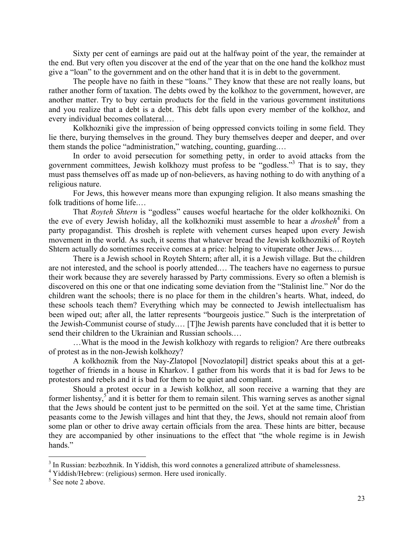Sixty per cent of earnings are paid out at the halfway point of the year, the remainder at the end. But very often you discover at the end of the year that on the one hand the kolkhoz must give a "loan" to the government and on the other hand that it is in debt to the government.

The people have no faith in these "loans." They know that these are not really loans, but rather another form of taxation. The debts owed by the kolkhoz to the government, however, are another matter. Try to buy certain products for the field in the various government institutions and you realize that a debt is a debt. This debt falls upon every member of the kolkhoz, and every individual becomes collateral.…

Kolkhozniki give the impression of being oppressed convicts toiling in some field. They lie there, burying themselves in the ground. They bury themselves deeper and deeper, and over them stands the police "administration," watching, counting, guarding.…

In order to avoid persecution for something petty, in order to avoid attacks from the government committees, Jewish kolkhozy must profess to be "godless."3 That is to say, they must pass themselves off as made up of non-believers, as having nothing to do with anything of a religious nature.

For Jews, this however means more than expunging religion. It also means smashing the folk traditions of home life.…

That *Royteh Shtern* is "godless" causes woeful heartache for the older kolkhozniki. On the eve of every Jewish holiday, all the kolkhozniki must assemble to hear a *drosheh*<sup>4</sup> from a party propagandist. This drosheh is replete with vehement curses heaped upon every Jewish movement in the world. As such, it seems that whatever bread the Jewish kolkhozniki of Royteh Shtern actually do sometimes receive comes at a price: helping to vituperate other Jews.…

There is a Jewish school in Royteh Shtern; after all, it is a Jewish village. But the children are not interested, and the school is poorly attended.… The teachers have no eagerness to pursue their work because they are severely harassed by Party commissions. Every so often a blemish is discovered on this one or that one indicating some deviation from the "Stalinist line." Nor do the children want the schools; there is no place for them in the children's hearts. What, indeed, do these schools teach them? Everything which may be connected to Jewish intellectualism has been wiped out; after all, the latter represents "bourgeois justice." Such is the interpretation of the Jewish-Communist course of study.… [T]he Jewish parents have concluded that it is better to send their children to the Ukrainian and Russian schools.…

…What is the mood in the Jewish kolkhozy with regards to religion? Are there outbreaks of protest as in the non-Jewish kolkhozy?

A kolkhoznik from the Nay-Zlatopol [Novozlatopil] district speaks about this at a gettogether of friends in a house in Kharkov. I gather from his words that it is bad for Jews to be protestors and rebels and it is bad for them to be quiet and compliant.

Should a protest occur in a Jewish kolkhoz, all soon receive a warning that they are former lishentsy, $5$  and it is better for them to remain silent. This warning serves as another signal that the Jews should be content just to be permitted on the soil. Yet at the same time, Christian peasants come to the Jewish villages and hint that they, the Jews, should not remain aloof from some plan or other to drive away certain officials from the area. These hints are bitter, because they are accompanied by other insinuations to the effect that "the whole regime is in Jewish hands."

<sup>&</sup>lt;sup>3</sup> In Russian: bezbozhnik. In Yiddish, this word connotes a generalized attribute of shamelessness.

<sup>4</sup> Yiddish/Hebrew: (religious) sermon. Here used ironically.

 $5$  See note 2 above.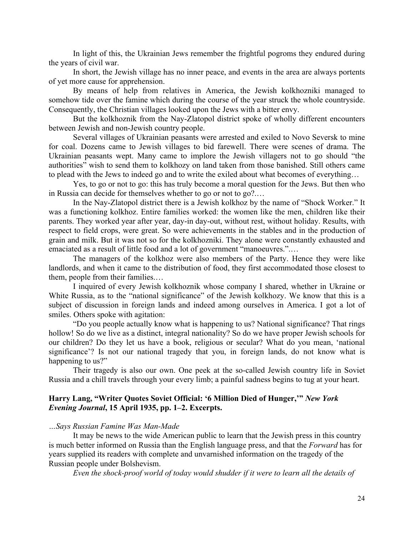In light of this, the Ukrainian Jews remember the frightful pogroms they endured during the years of civil war.

In short, the Jewish village has no inner peace, and events in the area are always portents of yet more cause for apprehension.

By means of help from relatives in America, the Jewish kolkhozniki managed to somehow tide over the famine which during the course of the year struck the whole countryside. Consequently, the Christian villages looked upon the Jews with a bitter envy.

But the kolkhoznik from the Nay-Zlatopol district spoke of wholly different encounters between Jewish and non-Jewish country people.

Several villages of Ukrainian peasants were arrested and exiled to Novo Seversk to mine for coal. Dozens came to Jewish villages to bid farewell. There were scenes of drama. The Ukrainian peasants wept. Many came to implore the Jewish villagers not to go should "the authorities" wish to send them to kolkhozy on land taken from those banished. Still others came to plead with the Jews to indeed go and to write the exiled about what becomes of everything…

Yes, to go or not to go: this has truly become a moral question for the Jews. But then who in Russia can decide for themselves whether to go or not to go?.…

In the Nay-Zlatopol district there is a Jewish kolkhoz by the name of "Shock Worker." It was a functioning kolkhoz. Entire families worked: the women like the men, children like their parents. They worked year after year, day-in day-out, without rest, without holiday. Results, with respect to field crops, were great. So were achievements in the stables and in the production of grain and milk. But it was not so for the kolkhozniki. They alone were constantly exhausted and emaciated as a result of little food and a lot of government "manoeuvres.".…

The managers of the kolkhoz were also members of the Party. Hence they were like landlords, and when it came to the distribution of food, they first accommodated those closest to them, people from their families.…

I inquired of every Jewish kolkhoznik whose company I shared, whether in Ukraine or White Russia, as to the "national significance" of the Jewish kolkhozy. We know that this is a subject of discussion in foreign lands and indeed among ourselves in America. I got a lot of smiles. Others spoke with agitation:

"Do you people actually know what is happening to us? National significance? That rings hollow! So do we live as a distinct, integral nationality? So do we have proper Jewish schools for our children? Do they let us have a book, religious or secular? What do you mean, 'national significance'? Is not our national tragedy that you, in foreign lands, do not know what is happening to us?"

Their tragedy is also our own. One peek at the so-called Jewish country life in Soviet Russia and a chill travels through your every limb; a painful sadness begins to tug at your heart.

# **Harry Lang, "Writer Quotes Soviet Official: '6 Million Died of Hunger,'"** *New York Evening Journal***, 15 April 1935, pp. 1–2. Excerpts.**

#### *…Says Russian Famine Was Man-Made*

It may be news to the wide American public to learn that the Jewish press in this country is much better informed on Russia than the English language press, and that the *Forward* has for years supplied its readers with complete and unvarnished information on the tragedy of the Russian people under Bolshevism.

*Even the shock-proof world of today would shudder if it were to learn all the details of*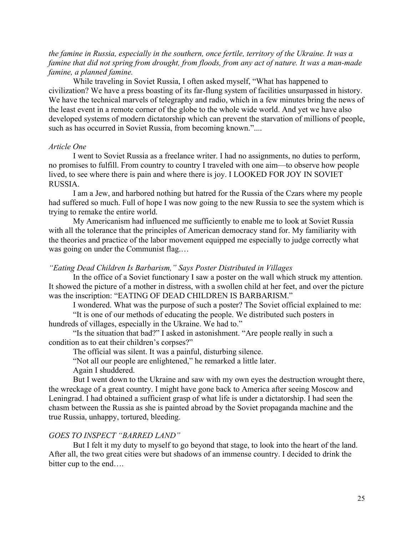*the famine in Russia, especially in the southern, once fertile, territory of the Ukraine. It was a famine that did not spring from drought, from floods, from any act of nature. It was a man-made famine, a planned famine.*

While traveling in Soviet Russia, I often asked myself, "What has happened to civilization? We have a press boasting of its far-flung system of facilities unsurpassed in history. We have the technical marvels of telegraphy and radio, which in a few minutes bring the news of the least event in a remote corner of the globe to the whole wide world. And yet we have also developed systems of modern dictatorship which can prevent the starvation of millions of people, such as has occurred in Soviet Russia, from becoming known."....

### *Article One*

I went to Soviet Russia as a freelance writer. I had no assignments, no duties to perform, no promises to fulfill. From country to country I traveled with one aim—to observe how people lived, to see where there is pain and where there is joy. I LOOKED FOR JOY IN SOVIET RUSSIA.

I am a Jew, and harbored nothing but hatred for the Russia of the Czars where my people had suffered so much. Full of hope I was now going to the new Russia to see the system which is trying to remake the entire world.

My Americanism had influenced me sufficiently to enable me to look at Soviet Russia with all the tolerance that the principles of American democracy stand for. My familiarity with the theories and practice of the labor movement equipped me especially to judge correctly what was going on under the Communist flag.…

# *"Eating Dead Children Is Barbarism," Says Poster Distributed in Villages*

In the office of a Soviet functionary I saw a poster on the wall which struck my attention. It showed the picture of a mother in distress, with a swollen child at her feet, and over the picture was the inscription: "EATING OF DEAD CHILDREN IS BARBARISM."

I wondered. What was the purpose of such a poster? The Soviet official explained to me:

"It is one of our methods of educating the people. We distributed such posters in hundreds of villages, especially in the Ukraine. We had to."

"Is the situation that bad?" I asked in astonishment. "Are people really in such a condition as to eat their children's corpses?"

The official was silent. It was a painful, disturbing silence.

"Not all our people are enlightened," he remarked a little later.

Again I shuddered.

But I went down to the Ukraine and saw with my own eyes the destruction wrought there, the wreckage of a great country. I might have gone back to America after seeing Moscow and Leningrad. I had obtained a sufficient grasp of what life is under a dictatorship. I had seen the chasm between the Russia as she is painted abroad by the Soviet propaganda machine and the true Russia, unhappy, tortured, bleeding.

### *GOES TO INSPECT "BARRED LAND"*

But I felt it my duty to myself to go beyond that stage, to look into the heart of the land. After all, the two great cities were but shadows of an immense country. I decided to drink the bitter cup to the end....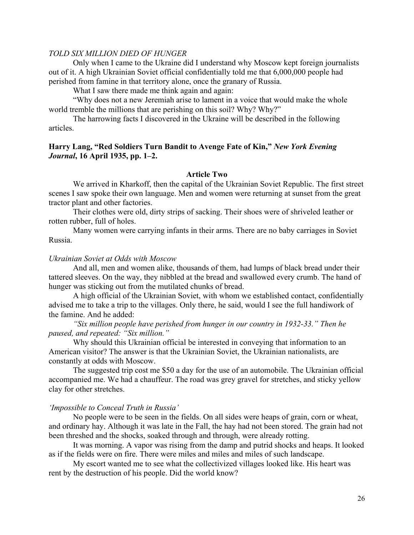### *TOLD SIX MILLION DIED OF HUNGER*

Only when I came to the Ukraine did I understand why Moscow kept foreign journalists out of it. A high Ukrainian Soviet official confidentially told me that 6,000,000 people had perished from famine in that territory alone, once the granary of Russia.

What I saw there made me think again and again:

"Why does not a new Jeremiah arise to lament in a voice that would make the whole world tremble the millions that are perishing on this soil? Why? Why?"

The harrowing facts I discovered in the Ukraine will be described in the following articles.

# **Harry Lang, "Red Soldiers Turn Bandit to Avenge Fate of Kin,"** *New York Evening Journal***, 16 April 1935, pp. 1–2.**

### **Article Two**

We arrived in Kharkoff, then the capital of the Ukrainian Soviet Republic. The first street scenes I saw spoke their own language. Men and women were returning at sunset from the great tractor plant and other factories.

Their clothes were old, dirty strips of sacking. Their shoes were of shriveled leather or rotten rubber, full of holes.

Many women were carrying infants in their arms. There are no baby carriages in Soviet Russia.

### *Ukrainian Soviet at Odds with Moscow*

And all, men and women alike, thousands of them, had lumps of black bread under their tattered sleeves. On the way, they nibbled at the bread and swallowed every crumb. The hand of hunger was sticking out from the mutilated chunks of bread.

A high official of the Ukrainian Soviet, with whom we established contact, confidentially advised me to take a trip to the villages. Only there, he said, would I see the full handiwork of the famine. And he added:

*"Six million people have perished from hunger in our country in 1932-33." Then he paused, and repeated: "Six million."*

Why should this Ukrainian official be interested in conveying that information to an American visitor? The answer is that the Ukrainian Soviet, the Ukrainian nationalists, are constantly at odds with Moscow.

The suggested trip cost me \$50 a day for the use of an automobile. The Ukrainian official accompanied me. We had a chauffeur. The road was grey gravel for stretches, and sticky yellow clay for other stretches.

### *'Impossible to Conceal Truth in Russia'*

No people were to be seen in the fields. On all sides were heaps of grain, corn or wheat, and ordinary hay. Although it was late in the Fall, the hay had not been stored. The grain had not been threshed and the shocks, soaked through and through, were already rotting.

It was morning. A vapor was rising from the damp and putrid shocks and heaps. It looked as if the fields were on fire. There were miles and miles and miles of such landscape.

My escort wanted me to see what the collectivized villages looked like. His heart was rent by the destruction of his people. Did the world know?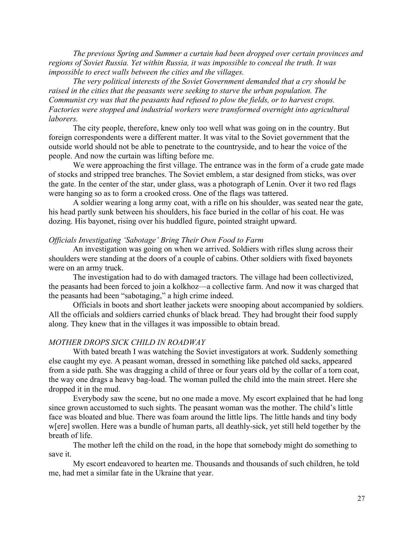*The previous Spring and Summer a curtain had been dropped over certain provinces and regions of Soviet Russia. Yet within Russia, it was impossible to conceal the truth. It was impossible to erect walls between the cities and the villages.*

*The very political interests of the Soviet Government demanded that a cry should be raised in the cities that the peasants were seeking to starve the urban population. The Communist cry was that the peasants had refused to plow the fields, or to harvest crops. Factories were stopped and industrial workers were transformed overnight into agricultural laborers.*

The city people, therefore, knew only too well what was going on in the country. But foreign correspondents were a different matter. It was vital to the Soviet government that the outside world should not be able to penetrate to the countryside, and to hear the voice of the people. And now the curtain was lifting before me.

We were approaching the first village. The entrance was in the form of a crude gate made of stocks and stripped tree branches. The Soviet emblem, a star designed from sticks, was over the gate. In the center of the star, under glass, was a photograph of Lenin. Over it two red flags were hanging so as to form a crooked cross. One of the flags was tattered.

A soldier wearing a long army coat, with a rifle on his shoulder, was seated near the gate, his head partly sunk between his shoulders, his face buried in the collar of his coat. He was dozing. His bayonet, rising over his huddled figure, pointed straight upward.

# *Officials Investigating 'Sabotage' Bring Their Own Food to Farm*

An investigation was going on when we arrived. Soldiers with rifles slung across their shoulders were standing at the doors of a couple of cabins. Other soldiers with fixed bayonets were on an army truck.

The investigation had to do with damaged tractors. The village had been collectivized, the peasants had been forced to join a kolkhoz—a collective farm. And now it was charged that the peasants had been "sabotaging," a high crime indeed.

Officials in boots and short leather jackets were snooping about accompanied by soldiers. All the officials and soldiers carried chunks of black bread. They had brought their food supply along. They knew that in the villages it was impossible to obtain bread.

# *MOTHER DROPS SICK CHILD IN ROADWAY*

With bated breath I was watching the Soviet investigators at work. Suddenly something else caught my eye. A peasant woman, dressed in something like patched old sacks, appeared from a side path. She was dragging a child of three or four years old by the collar of a torn coat, the way one drags a heavy bag-load. The woman pulled the child into the main street. Here she dropped it in the mud.

Everybody saw the scene, but no one made a move. My escort explained that he had long since grown accustomed to such sights. The peasant woman was the mother. The child's little face was bloated and blue. There was foam around the little lips. The little hands and tiny body w[ere] swollen. Here was a bundle of human parts, all deathly-sick, yet still held together by the breath of life.

The mother left the child on the road, in the hope that somebody might do something to save it.

My escort endeavored to hearten me. Thousands and thousands of such children, he told me, had met a similar fate in the Ukraine that year.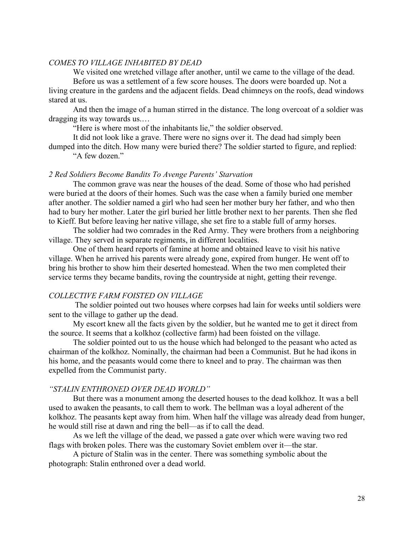## *COMES TO VILLAGE INHABITED BY DEAD*

We visited one wretched village after another, until we came to the village of the dead.

Before us was a settlement of a few score houses. The doors were boarded up. Not a living creature in the gardens and the adjacent fields. Dead chimneys on the roofs, dead windows stared at us.

And then the image of a human stirred in the distance. The long overcoat of a soldier was dragging its way towards us.…

"Here is where most of the inhabitants lie," the soldier observed.

It did not look like a grave. There were no signs over it. The dead had simply been dumped into the ditch. How many were buried there? The soldier started to figure, and replied: "A few dozen."

## *2 Red Soldiers Become Bandits To Avenge Parents' Starvation*

The common grave was near the houses of the dead. Some of those who had perished were buried at the doors of their homes. Such was the case when a family buried one member after another. The soldier named a girl who had seen her mother bury her father, and who then had to bury her mother. Later the girl buried her little brother next to her parents. Then she fled to Kieff. But before leaving her native village, she set fire to a stable full of army horses.

The soldier had two comrades in the Red Army. They were brothers from a neighboring village. They served in separate regiments, in different localities.

One of them heard reports of famine at home and obtained leave to visit his native village. When he arrived his parents were already gone, expired from hunger. He went off to bring his brother to show him their deserted homestead. When the two men completed their service terms they became bandits, roving the countryside at night, getting their revenge.

### *COLLECTIVE FARM FOISTED ON VILLAGE*

The soldier pointed out two houses where corpses had lain for weeks until soldiers were sent to the village to gather up the dead.

My escort knew all the facts given by the soldier, but he wanted me to get it direct from the source. It seems that a kolkhoz (collective farm) had been foisted on the village.

The soldier pointed out to us the house which had belonged to the peasant who acted as chairman of the kolkhoz. Nominally, the chairman had been a Communist. But he had ikons in his home, and the peasants would come there to kneel and to pray. The chairman was then expelled from the Communist party.

#### *"STALIN ENTHRONED OVER DEAD WORLD"*

But there was a monument among the deserted houses to the dead kolkhoz. It was a bell used to awaken the peasants, to call them to work. The bellman was a loyal adherent of the kolkhoz. The peasants kept away from him. When half the village was already dead from hunger, he would still rise at dawn and ring the bell—as if to call the dead.

As we left the village of the dead, we passed a gate over which were waving two red flags with broken poles. There was the customary Soviet emblem over it—the star.

A picture of Stalin was in the center. There was something symbolic about the photograph: Stalin enthroned over a dead world.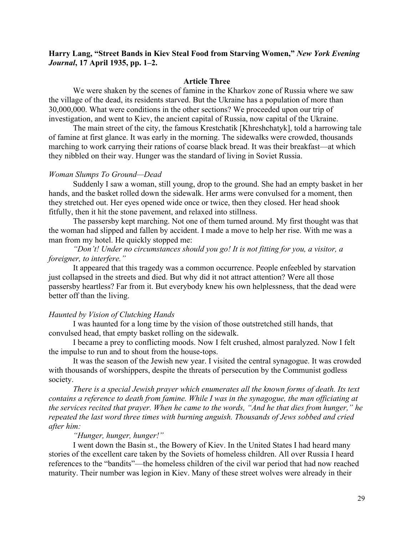# **Harry Lang, "Street Bands in Kiev Steal Food from Starving Women,"** *New York Evening Journal***, 17 April 1935, pp. 1–2.**

### **Article Three**

We were shaken by the scenes of famine in the Kharkov zone of Russia where we saw the village of the dead, its residents starved. But the Ukraine has a population of more than 30,000,000. What were conditions in the other sections? We proceeded upon our trip of investigation, and went to Kiev, the ancient capital of Russia, now capital of the Ukraine.

The main street of the city, the famous Krestchatik [Khreshchatyk], told a harrowing tale of famine at first glance. It was early in the morning. The sidewalks were crowded, thousands marching to work carrying their rations of coarse black bread. It was their breakfast—at which they nibbled on their way. Hunger was the standard of living in Soviet Russia.

#### *Woman Slumps To Ground—Dead*

Suddenly I saw a woman, still young, drop to the ground. She had an empty basket in her hands, and the basket rolled down the sidewalk. Her arms were convulsed for a moment, then they stretched out. Her eyes opened wide once or twice, then they closed. Her head shook fitfully, then it hit the stone pavement, and relaxed into stillness.

The passersby kept marching. Not one of them turned around. My first thought was that the woman had slipped and fallen by accident. I made a move to help her rise. With me was a man from my hotel. He quickly stopped me:

# *"Don't! Under no circumstances should you go! It is not fitting for you, a visitor, a foreigner, to interfere."*

It appeared that this tragedy was a common occurrence. People enfeebled by starvation just collapsed in the streets and died. But why did it not attract attention? Were all those passersby heartless? Far from it. But everybody knew his own helplessness, that the dead were better off than the living.

### *Haunted by Vision of Clutching Hands*

I was haunted for a long time by the vision of those outstretched still hands, that convulsed head, that empty basket rolling on the sidewalk.

I became a prey to conflicting moods. Now I felt crushed, almost paralyzed. Now I felt the impulse to run and to shout from the house-tops.

It was the season of the Jewish new year. I visited the central synagogue. It was crowded with thousands of worshippers, despite the threats of persecution by the Communist godless society.

*There is a special Jewish prayer which enumerates all the known forms of death. Its text contains a reference to death from famine. While I was in the synagogue, the man officiating at the services recited that prayer. When he came to the words, "And he that dies from hunger," he repeated the last word three times with burning anguish. Thousands of Jews sobbed and cried after him:*

#### *"Hunger, hunger, hunger!"*

I went down the Basin st., the Bowery of Kiev. In the United States I had heard many stories of the excellent care taken by the Soviets of homeless children. All over Russia I heard references to the "bandits"—the homeless children of the civil war period that had now reached maturity. Their number was legion in Kiev. Many of these street wolves were already in their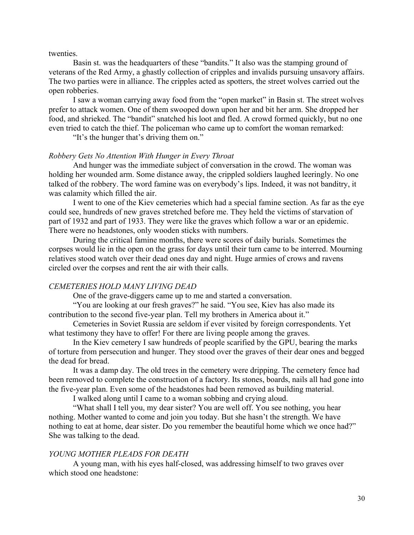### twenties.

Basin st. was the headquarters of these "bandits." It also was the stamping ground of veterans of the Red Army, a ghastly collection of cripples and invalids pursuing unsavory affairs. The two parties were in alliance. The cripples acted as spotters, the street wolves carried out the open robberies.

I saw a woman carrying away food from the "open market" in Basin st. The street wolves prefer to attack women. One of them swooped down upon her and bit her arm. She dropped her food, and shrieked. The "bandit" snatched his loot and fled. A crowd formed quickly, but no one even tried to catch the thief. The policeman who came up to comfort the woman remarked:

"It's the hunger that's driving them on."

### *Robbery Gets No Attention With Hunger in Every Throat*

And hunger was the immediate subject of conversation in the crowd. The woman was holding her wounded arm. Some distance away, the crippled soldiers laughed leeringly. No one talked of the robbery. The word famine was on everybody's lips. Indeed, it was not banditry, it was calamity which filled the air.

I went to one of the Kiev cemeteries which had a special famine section. As far as the eye could see, hundreds of new graves stretched before me. They held the victims of starvation of part of 1932 and part of 1933. They were like the graves which follow a war or an epidemic. There were no headstones, only wooden sticks with numbers.

During the critical famine months, there were scores of daily burials. Sometimes the corpses would lie in the open on the grass for days until their turn came to be interred. Mourning relatives stood watch over their dead ones day and night. Huge armies of crows and ravens circled over the corpses and rent the air with their calls.

## *CEMETERIES HOLD MANY LIVING DEAD*

One of the grave-diggers came up to me and started a conversation.

"You are looking at our fresh graves?" he said. "You see, Kiev has also made its contribution to the second five-year plan. Tell my brothers in America about it."

Cemeteries in Soviet Russia are seldom if ever visited by foreign correspondents. Yet what testimony they have to offer! For there are living people among the graves.

In the Kiev cemetery I saw hundreds of people scarified by the GPU, bearing the marks of torture from persecution and hunger. They stood over the graves of their dear ones and begged the dead for bread.

It was a damp day. The old trees in the cemetery were dripping. The cemetery fence had been removed to complete the construction of a factory. Its stones, boards, nails all had gone into the five-year plan. Even some of the headstones had been removed as building material.

I walked along until I came to a woman sobbing and crying aloud.

"What shall I tell you, my dear sister? You are well off. You see nothing, you hear nothing. Mother wanted to come and join you today. But she hasn't the strength. We have nothing to eat at home, dear sister. Do you remember the beautiful home which we once had?" She was talking to the dead.

## *YOUNG MOTHER PLEADS FOR DEATH*

A young man, with his eyes half-closed, was addressing himself to two graves over which stood one headstone: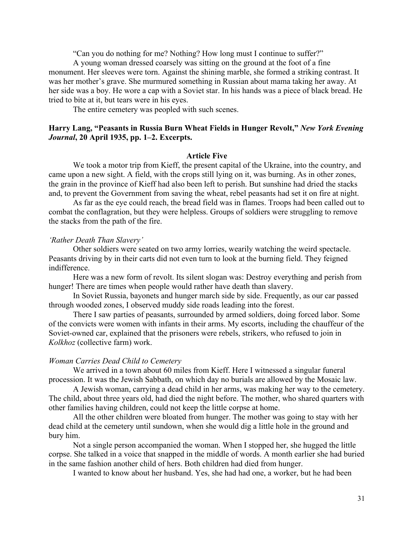"Can you do nothing for me? Nothing? How long must I continue to suffer?"

A young woman dressed coarsely was sitting on the ground at the foot of a fine monument. Her sleeves were torn. Against the shining marble, she formed a striking contrast. It was her mother's grave. She murmured something in Russian about mama taking her away. At her side was a boy. He wore a cap with a Soviet star. In his hands was a piece of black bread. He tried to bite at it, but tears were in his eyes.

The entire cemetery was peopled with such scenes.

# **Harry Lang, "Peasants in Russia Burn Wheat Fields in Hunger Revolt,"** *New York Evening Journal***, 20 April 1935, pp. 1–2. Excerpts.**

### **Article Five**

We took a motor trip from Kieff, the present capital of the Ukraine, into the country, and came upon a new sight. A field, with the crops still lying on it, was burning. As in other zones, the grain in the province of Kieff had also been left to perish. But sunshine had dried the stacks and, to prevent the Government from saving the wheat, rebel peasants had set it on fire at night.

As far as the eye could reach, the bread field was in flames. Troops had been called out to combat the conflagration, but they were helpless. Groups of soldiers were struggling to remove the stacks from the path of the fire.

### *'Rather Death Than Slavery'*

Other soldiers were seated on two army lorries, wearily watching the weird spectacle. Peasants driving by in their carts did not even turn to look at the burning field. They feigned indifference.

Here was a new form of revolt. Its silent slogan was: Destroy everything and perish from hunger! There are times when people would rather have death than slavery.

In Soviet Russia, bayonets and hunger march side by side. Frequently, as our car passed through wooded zones, I observed muddy side roads leading into the forest.

There I saw parties of peasants, surrounded by armed soldiers, doing forced labor. Some of the convicts were women with infants in their arms. My escorts, including the chauffeur of the Soviet-owned car, explained that the prisoners were rebels, strikers, who refused to join in *Kolkhoz* (collective farm) work.

#### *Woman Carries Dead Child to Cemetery*

We arrived in a town about 60 miles from Kieff. Here I witnessed a singular funeral procession. It was the Jewish Sabbath, on which day no burials are allowed by the Mosaic law.

A Jewish woman, carrying a dead child in her arms, was making her way to the cemetery. The child, about three years old, had died the night before. The mother, who shared quarters with other families having children, could not keep the little corpse at home.

All the other children were bloated from hunger. The mother was going to stay with her dead child at the cemetery until sundown, when she would dig a little hole in the ground and bury him.

Not a single person accompanied the woman. When I stopped her, she hugged the little corpse. She talked in a voice that snapped in the middle of words. A month earlier she had buried in the same fashion another child of hers. Both children had died from hunger.

I wanted to know about her husband. Yes, she had had one, a worker, but he had been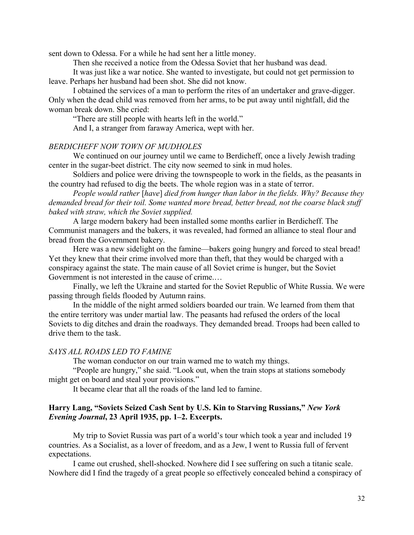sent down to Odessa. For a while he had sent her a little money.

Then she received a notice from the Odessa Soviet that her husband was dead.

It was just like a war notice. She wanted to investigate, but could not get permission to leave. Perhaps her husband had been shot. She did not know.

I obtained the services of a man to perform the rites of an undertaker and grave-digger. Only when the dead child was removed from her arms, to be put away until nightfall, did the woman break down. She cried:

"There are still people with hearts left in the world."

And I, a stranger from faraway America, wept with her.

### *BERDICHEFF NOW TOWN OF MUDHOLES*

We continued on our journey until we came to Berdicheff, once a lively Jewish trading center in the sugar-beet district. The city now seemed to sink in mud holes.

Soldiers and police were driving the townspeople to work in the fields, as the peasants in the country had refused to dig the beets. The whole region was in a state of terror.

*People would rather* [*have*] *died from hunger than labor in the fields. Why? Because they demanded bread for their toil. Some wanted more bread, better bread, not the coarse black stuff baked with straw, which the Soviet supplied.*

A large modern bakery had been installed some months earlier in Berdicheff. The Communist managers and the bakers, it was revealed, had formed an alliance to steal flour and bread from the Government bakery.

Here was a new sidelight on the famine—bakers going hungry and forced to steal bread! Yet they knew that their crime involved more than theft, that they would be charged with a conspiracy against the state. The main cause of all Soviet crime is hunger, but the Soviet Government is not interested in the cause of crime.…

Finally, we left the Ukraine and started for the Soviet Republic of White Russia. We were passing through fields flooded by Autumn rains.

In the middle of the night armed soldiers boarded our train. We learned from them that the entire territory was under martial law. The peasants had refused the orders of the local Soviets to dig ditches and drain the roadways. They demanded bread. Troops had been called to drive them to the task.

#### *SAYS ALL ROADS LED TO FAMINE*

The woman conductor on our train warned me to watch my things.

"People are hungry," she said. "Look out, when the train stops at stations somebody might get on board and steal your provisions."

It became clear that all the roads of the land led to famine.

# **Harry Lang, "Soviets Seized Cash Sent by U.S. Kin to Starving Russians,"** *New York Evening Journal***, 23 April 1935, pp. 1–2. Excerpts.**

My trip to Soviet Russia was part of a world's tour which took a year and included 19 countries. As a Socialist, as a lover of freedom, and as a Jew, I went to Russia full of fervent expectations.

I came out crushed, shell-shocked. Nowhere did I see suffering on such a titanic scale. Nowhere did I find the tragedy of a great people so effectively concealed behind a conspiracy of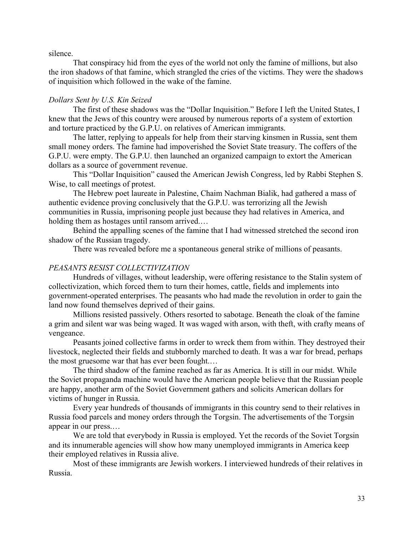### silence.

That conspiracy hid from the eyes of the world not only the famine of millions, but also the iron shadows of that famine, which strangled the cries of the victims. They were the shadows of inquisition which followed in the wake of the famine.

### *Dollars Sent by U.S. Kin Seized*

The first of these shadows was the "Dollar Inquisition." Before I left the United States, I knew that the Jews of this country were aroused by numerous reports of a system of extortion and torture practiced by the G.P.U. on relatives of American immigrants.

The latter, replying to appeals for help from their starving kinsmen in Russia, sent them small money orders. The famine had impoverished the Soviet State treasury. The coffers of the G.P.U. were empty. The G.P.U. then launched an organized campaign to extort the American dollars as a source of government revenue.

This "Dollar Inquisition" caused the American Jewish Congress, led by Rabbi Stephen S. Wise, to call meetings of protest.

The Hebrew poet laureate in Palestine, Chaim Nachman Bialik, had gathered a mass of authentic evidence proving conclusively that the G.P.U. was terrorizing all the Jewish communities in Russia, imprisoning people just because they had relatives in America, and holding them as hostages until ransom arrived.…

Behind the appalling scenes of the famine that I had witnessed stretched the second iron shadow of the Russian tragedy.

There was revealed before me a spontaneous general strike of millions of peasants.

# *PEASANTS RESIST COLLECTIVIZATION*

Hundreds of villages, without leadership, were offering resistance to the Stalin system of collectivization, which forced them to turn their homes, cattle, fields and implements into government-operated enterprises. The peasants who had made the revolution in order to gain the land now found themselves deprived of their gains.

Millions resisted passively. Others resorted to sabotage. Beneath the cloak of the famine a grim and silent war was being waged. It was waged with arson, with theft, with crafty means of vengeance.

Peasants joined collective farms in order to wreck them from within. They destroyed their livestock, neglected their fields and stubbornly marched to death. It was a war for bread, perhaps the most gruesome war that has ever been fought.…

The third shadow of the famine reached as far as America. It is still in our midst. While the Soviet propaganda machine would have the American people believe that the Russian people are happy, another arm of the Soviet Government gathers and solicits American dollars for victims of hunger in Russia.

Every year hundreds of thousands of immigrants in this country send to their relatives in Russia food parcels and money orders through the Torgsin. The advertisements of the Torgsin appear in our press.…

We are told that everybody in Russia is employed. Yet the records of the Soviet Torgsin and its innumerable agencies will show how many unemployed immigrants in America keep their employed relatives in Russia alive.

Most of these immigrants are Jewish workers. I interviewed hundreds of their relatives in Russia.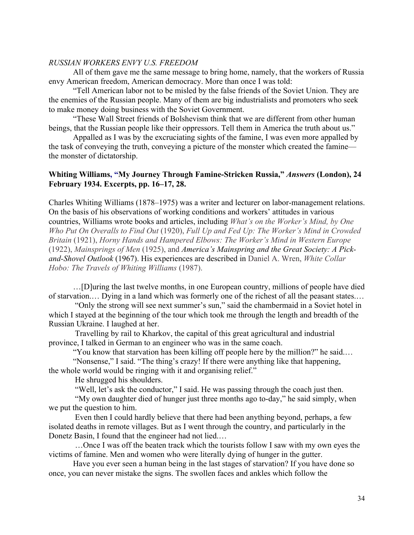### *RUSSIAN WORKERS ENVY U.S. FREEDOM*

All of them gave me the same message to bring home, namely, that the workers of Russia envy American freedom, American democracy. More than once I was told:

"Tell American labor not to be misled by the false friends of the Soviet Union. They are the enemies of the Russian people. Many of them are big industrialists and promoters who seek to make money doing business with the Soviet Government.

"These Wall Street friends of Bolshevism think that we are different from other human beings, that the Russian people like their oppressors. Tell them in America the truth about us."

Appalled as I was by the excruciating sights of the famine, I was even more appalled by the task of conveying the truth, conveying a picture of the monster which created the famine the monster of dictatorship.

# **Whiting Williams, "My Journey Through Famine-Stricken Russia,"** *Answers* **(London), 24 February 1934. Excerpts, pp. 16–17, 28.**

Charles Whiting Williams (1878–1975) was a writer and lecturer on labor-management relations. On the basis of his observations of working conditions and workers' attitudes in various countries, Williams wrote books and articles, including *What's on the Worker's Mind, by One Who Put On Overalls to Find Out* (1920), *Full Up and Fed Up: The Worker's Mind in Crowded Britain* (1921), *Horny Hands and Hampered Elbows: The Worker's Mind in Western Europe* (1922), *Mainsprings of Men* (1925), and *America's Mainspring and the Great Society: A Pickand-Shovel Outlook* (1967). His experiences are described in Daniel A. Wren, *White Collar Hobo: The Travels of Whiting Williams* (1987).

…[D]uring the last twelve months, in one European country, millions of people have died of starvation.… Dying in a land which was formerly one of the richest of all the peasant states.…

"Only the strong will see next summer's sun," said the chambermaid in a Soviet hotel in which I stayed at the beginning of the tour which took me through the length and breadth of the Russian Ukraine. I laughed at her.

Travelling by rail to Kharkov, the capital of this great agricultural and industrial province, I talked in German to an engineer who was in the same coach.

"You know that starvation has been killing off people here by the million?" he said.…

"Nonsense," I said. "The thing's crazy! If there were anything like that happening, the whole world would be ringing with it and organising relief."

He shrugged his shoulders.

"Well, let's ask the conductor," I said. He was passing through the coach just then.

"My own daughter died of hunger just three months ago to-day," he said simply, when we put the question to him.

Even then I could hardly believe that there had been anything beyond, perhaps, a few isolated deaths in remote villages. But as I went through the country, and particularly in the Donetz Basin, I found that the engineer had not lied.…

…Once I was off the beaten track which the tourists follow I saw with my own eyes the victims of famine. Men and women who were literally dying of hunger in the gutter.

Have you ever seen a human being in the last stages of starvation? If you have done so once, you can never mistake the signs. The swollen faces and ankles which follow the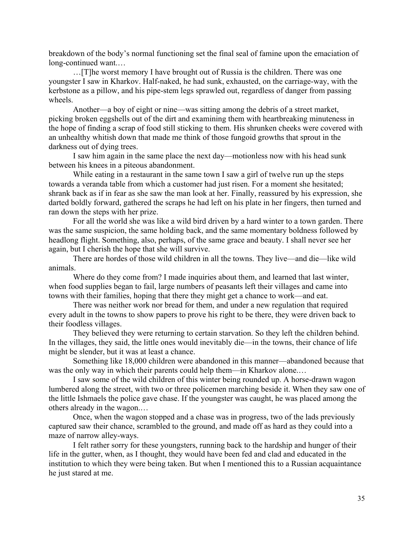breakdown of the body's normal functioning set the final seal of famine upon the emaciation of long-continued want.…

…[T]he worst memory I have brought out of Russia is the children. There was one youngster I saw in Kharkov. Half-naked, he had sunk, exhausted, on the carriage-way, with the kerbstone as a pillow, and his pipe-stem legs sprawled out, regardless of danger from passing wheels.

Another—a boy of eight or nine—was sitting among the debris of a street market, picking broken eggshells out of the dirt and examining them with heartbreaking minuteness in the hope of finding a scrap of food still sticking to them. His shrunken cheeks were covered with an unhealthy whitish down that made me think of those fungoid growths that sprout in the darkness out of dying trees.

I saw him again in the same place the next day—motionless now with his head sunk between his knees in a piteous abandonment.

While eating in a restaurant in the same town I saw a girl of twelve run up the steps towards a veranda table from which a customer had just risen. For a moment she hesitated; shrank back as if in fear as she saw the man look at her. Finally, reassured by his expression, she darted boldly forward, gathered the scraps he had left on his plate in her fingers, then turned and ran down the steps with her prize.

For all the world she was like a wild bird driven by a hard winter to a town garden. There was the same suspicion, the same holding back, and the same momentary boldness followed by headlong flight. Something, also, perhaps, of the same grace and beauty. I shall never see her again, but I cherish the hope that she will survive.

There are hordes of those wild children in all the towns. They live—and die—like wild animals.

Where do they come from? I made inquiries about them, and learned that last winter, when food supplies began to fail, large numbers of peasants left their villages and came into towns with their families, hoping that there they might get a chance to work—and eat.

There was neither work nor bread for them, and under a new regulation that required every adult in the towns to show papers to prove his right to be there, they were driven back to their foodless villages.

They believed they were returning to certain starvation. So they left the children behind. In the villages, they said, the little ones would inevitably die—in the towns, their chance of life might be slender, but it was at least a chance.

Something like 18,000 children were abandoned in this manner—abandoned because that was the only way in which their parents could help them—in Kharkov alone....

I saw some of the wild children of this winter being rounded up. A horse-drawn wagon lumbered along the street, with two or three policemen marching beside it. When they saw one of the little Ishmaels the police gave chase. If the youngster was caught, he was placed among the others already in the wagon.…

Once, when the wagon stopped and a chase was in progress, two of the lads previously captured saw their chance, scrambled to the ground, and made off as hard as they could into a maze of narrow alley-ways.

I felt rather sorry for these youngsters, running back to the hardship and hunger of their life in the gutter, when, as I thought, they would have been fed and clad and educated in the institution to which they were being taken. But when I mentioned this to a Russian acquaintance he just stared at me.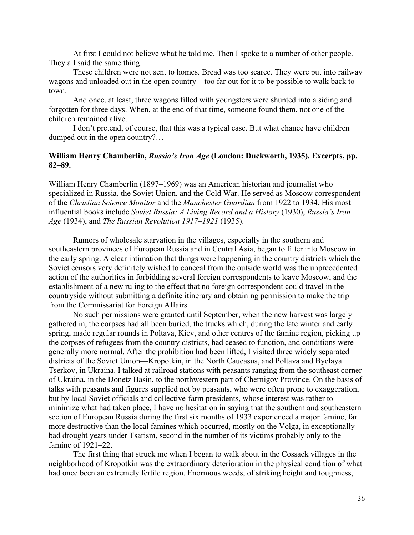At first I could not believe what he told me. Then I spoke to a number of other people. They all said the same thing.

These children were not sent to homes. Bread was too scarce. They were put into railway wagons and unloaded out in the open country—too far out for it to be possible to walk back to town.

And once, at least, three wagons filled with youngsters were shunted into a siding and forgotten for three days. When, at the end of that time, someone found them, not one of the children remained alive.

I don't pretend, of course, that this was a typical case. But what chance have children dumped out in the open country?…

# **William Henry Chamberlin,** *Russia's Iron Age* **(London: Duckworth, 1935). Excerpts, pp. 82–89.**

William Henry Chamberlin (1897–1969) was an American historian and journalist who specialized in Russia, the Soviet Union, and the Cold War. He served as Moscow correspondent of the *Christian Science Monitor* and the *Manchester Guardian* from 1922 to 1934. His most influential books include *Soviet Russia: A Living Record and a History* (1930), *Russia's Iron Age* (1934), and *The Russian Revolution 1917–1921* (1935).

Rumors of wholesale starvation in the villages, especially in the southern and southeastern provinces of European Russia and in Central Asia, began to filter into Moscow in the early spring. A clear intimation that things were happening in the country districts which the Soviet censors very definitely wished to conceal from the outside world was the unprecedented action of the authorities in forbidding several foreign correspondents to leave Moscow, and the establishment of a new ruling to the effect that no foreign correspondent could travel in the countryside without submitting a definite itinerary and obtaining permission to make the trip from the Commissariat for Foreign Affairs.

No such permissions were granted until September, when the new harvest was largely gathered in, the corpses had all been buried, the trucks which, during the late winter and early spring, made regular rounds in Poltava, Kiev, and other centres of the famine region, picking up the corpses of refugees from the country districts, had ceased to function, and conditions were generally more normal. After the prohibition had been lifted, I visited three widely separated districts of the Soviet Union—Kropotkin, in the North Caucasus, and Poltava and Byelaya Tserkov, in Ukraina. I talked at railroad stations with peasants ranging from the southeast corner of Ukraina, in the Donetz Basin, to the northwestern part of Chernigov Province. On the basis of talks with peasants and figures supplied not by peasants, who were often prone to exaggeration, but by local Soviet officials and collective-farm presidents, whose interest was rather to minimize what had taken place, I have no hesitation in saying that the southern and southeastern section of European Russia during the first six months of 1933 experienced a major famine, far more destructive than the local famines which occurred, mostly on the Volga, in exceptionally bad drought years under Tsarism, second in the number of its victims probably only to the famine of 1921–22.

The first thing that struck me when I began to walk about in the Cossack villages in the neighborhood of Kropotkin was the extraordinary deterioration in the physical condition of what had once been an extremely fertile region. Enormous weeds, of striking height and toughness,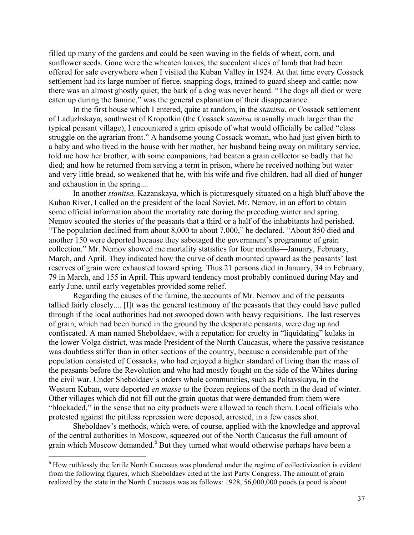filled up many of the gardens and could be seen waving in the fields of wheat, corn, and sunflower seeds. Gone were the wheaten loaves, the succulent slices of lamb that had been offered for sale everywhere when I visited the Kuban Valley in 1924. At that time every Cossack settlement had its large number of fierce, snapping dogs, trained to guard sheep and cattle; now there was an almost ghostly quiet; the bark of a dog was never heard. "The dogs all died or were eaten up during the famine," was the general explanation of their disappearance.

In the first house which I entered, quite at random, in the *stanitsa*, or Cossack settlement of Laduzhskaya, southwest of Kropotkin (the Cossack *stanitsa* is usually much larger than the typical peasant village), I encountered a grim episode of what would officially be called "class struggle on the agrarian front." A handsome young Cossack woman, who had just given birth to a baby and who lived in the house with her mother, her husband being away on military service, told me how her brother, with some companions, had beaten a grain collector so badly that he died; and how he returned from serving a term in prison, where he received nothing but water and very little bread, so weakened that he, with his wife and five children, had all died of hunger and exhaustion in the spring....

In another *stanitsa,* Kazanskaya, which is picturesquely situated on a high bluff above the Kuban River, I called on the president of the local Soviet, Mr. Nemov, in an effort to obtain some official information about the mortality rate during the preceding winter and spring. Nemov scouted the stories of the peasants that a third or a half of the inhabitants had perished. "The population declined from about 8,000 to about 7,000," he declared. "About 850 died and another 150 were deported because they sabotaged the government's programme of grain collection." Mr. Nemov showed me mortality statistics for four months—January, February, March, and April. They indicated how the curve of death mounted upward as the peasants' last reserves of grain were exhausted toward spring. Thus 21 persons died in January, 34 in February, 79 in March, and 155 in April. This upward tendency most probably continued during May and early June, until early vegetables provided some relief.

Regarding the causes of the famine, the accounts of Mr. Nemov and of the peasants tallied fairly closely.... [I]t was the general testimony of the peasants that they could have pulled through if the local authorities had not swooped down with heavy requisitions. The last reserves of grain, which had been buried in the ground by the desperate peasants, were dug up and confiscated. A man named Sheboldaev, with a reputation for cruelty in "liquidating" kulaks in the lower Volga district, was made President of the North Caucasus, where the passive resistance was doubtless stiffer than in other sections of the country, because a considerable part of the population consisted of Cossacks, who had enjoyed a higher standard of living than the mass of the peasants before the Revolution and who had mostly fought on the side of the Whites during the civil war. Under Sheboldaev's orders whole communities, such as Poltavskaya, in the Western Kuban, were deported *en masse* to the frozen regions of the north in the dead of winter. Other villages which did not fill out the grain quotas that were demanded from them were "blockaded," in the sense that no city products were allowed to reach them. Local officials who protested against the pitiless repression were deposed, arrested, in a few cases shot.

Sheboldaev's methods, which were, of course, applied with the knowledge and approval of the central authorities in Moscow, squeezed out of the North Caucasus the full amount of grain which Moscow demanded.<sup>6</sup> But they turned what would otherwise perhaps have been a

 $6$  How ruthlessly the fertile North Caucasus was plundered under the regime of collectivization is evident from the following figures, which Sheboldaev cited at the last Party Congress. The amount of grain realized by the state in the North Caucasus was as follows: 1928, 56,000,000 poods (a pood is about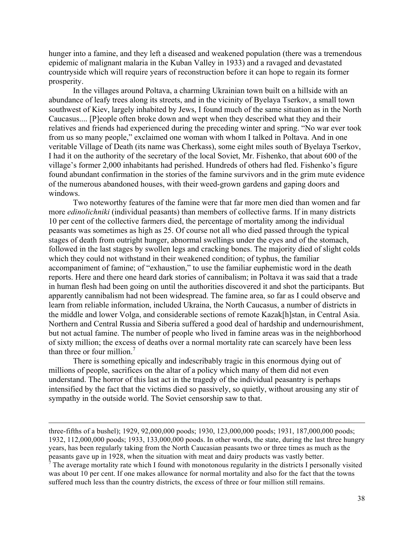hunger into a famine, and they left a diseased and weakened population (there was a tremendous epidemic of malignant malaria in the Kuban Valley in 1933) and a ravaged and devastated countryside which will require years of reconstruction before it can hope to regain its former prosperity.

In the villages around Poltava, a charming Ukrainian town built on a hillside with an abundance of leafy trees along its streets, and in the vicinity of Byelaya Tserkov, a small town southwest of Kiev, largely inhabited by Jews, I found much of the same situation as in the North Caucasus.... [P]eople often broke down and wept when they described what they and their relatives and friends had experienced during the preceding winter and spring. "No war ever took from us so many people," exclaimed one woman with whom I talked in Poltava. And in one veritable Village of Death (its name was Cherkass), some eight miles south of Byelaya Tserkov, I had it on the authority of the secretary of the local Soviet, Mr. Fishenko, that about 600 of the village's former 2,000 inhabitants had perished. Hundreds of others had fled. Fishenko's figure found abundant confirmation in the stories of the famine survivors and in the grim mute evidence of the numerous abandoned houses, with their weed-grown gardens and gaping doors and windows.

Two noteworthy features of the famine were that far more men died than women and far more *edinolichniki* (individual peasants) than members of collective farms. If in many districts 10 per cent of the collective farmers died, the percentage of mortality among the individual peasants was sometimes as high as 25. Of course not all who died passed through the typical stages of death from outright hunger, abnormal swellings under the eyes and of the stomach, followed in the last stages by swollen legs and cracking bones. The majority died of slight colds which they could not withstand in their weakened condition; of typhus, the familiar accompaniment of famine; of "exhaustion," to use the familiar euphemistic word in the death reports. Here and there one heard dark stories of cannibalism; in Poltava it was said that a trade in human flesh had been going on until the authorities discovered it and shot the participants. But apparently cannibalism had not been widespread. The famine area, so far as I could observe and learn from reliable information, included Ukraina, the North Caucasus, a number of districts in the middle and lower Volga, and considerable sections of remote Kazak[h]stan, in Central Asia. Northern and Central Russia and Siberia suffered a good deal of hardship and undernourishment, but not actual famine. The number of people who lived in famine areas was in the neighborhood of sixty million; the excess of deaths over a normal mortality rate can scarcely have been less than three or four million.<sup>7</sup>

There is something epically and indescribably tragic in this enormous dying out of millions of people, sacrifices on the altar of a policy which many of them did not even understand. The horror of this last act in the tragedy of the individual peasantry is perhaps intensified by the fact that the victims died so passively, so quietly, without arousing any stir of sympathy in the outside world. The Soviet censorship saw to that.

 $\overline{a}$ 

three-fifths of a bushel); 1929, 92,000,000 poods; 1930, 123,000,000 poods; 1931, 187,000,000 poods; 1932, 112,000,000 poods; 1933, 133,000,000 poods. In other words, the state, during the last three hungry years, has been regularly taking from the North Caucasian peasants two or three times as much as the peasants gave up in 1928, when the situation with meat and dairy products was vastly better.

<sup>7</sup> The average mortality rate which I found with monotonous regularity in the districts I personally visited was about 10 per cent. If one makes allowance for normal mortality and also for the fact that the towns suffered much less than the country districts, the excess of three or four million still remains.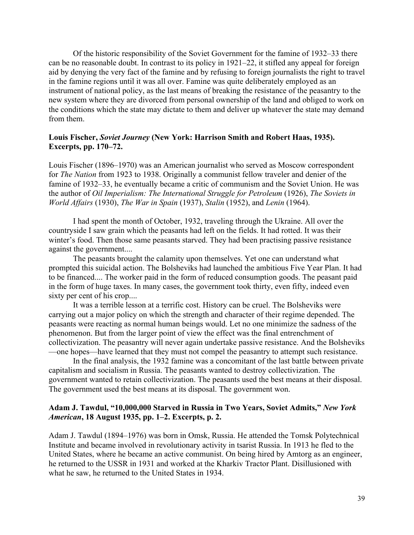Of the historic responsibility of the Soviet Government for the famine of 1932–33 there can be no reasonable doubt. In contrast to its policy in 1921–22, it stifled any appeal for foreign aid by denying the very fact of the famine and by refusing to foreign journalists the right to travel in the famine regions until it was all over. Famine was quite deliberately employed as an instrument of national policy, as the last means of breaking the resistance of the peasantry to the new system where they are divorced from personal ownership of the land and obliged to work on the conditions which the state may dictate to them and deliver up whatever the state may demand from them.

# **Louis Fischer,** *Soviet Journey* **(New York: Harrison Smith and Robert Haas, 1935). Excerpts, pp. 170–72.**

Louis Fischer (1896–1970) was an American journalist who served as Moscow correspondent for *The Nation* from 1923 to 1938. Originally a communist fellow traveler and denier of the famine of 1932–33, he eventually became a critic of communism and the Soviet Union. He was the author of *Oil Imperialism: The International Struggle for Petroleum* (1926), *The Soviets in World Affairs* (1930), *The War in Spain* (1937), *Stalin* (1952), and *Lenin* (1964).

I had spent the month of October, 1932, traveling through the Ukraine. All over the countryside I saw grain which the peasants had left on the fields. It had rotted. It was their winter's food. Then those same peasants starved. They had been practising passive resistance against the government....

The peasants brought the calamity upon themselves. Yet one can understand what prompted this suicidal action. The Bolsheviks had launched the ambitious Five Year Plan. It had to be financed.... The worker paid in the form of reduced consumption goods. The peasant paid in the form of huge taxes. In many cases, the government took thirty, even fifty, indeed even sixty per cent of his crop....

It was a terrible lesson at a terrific cost. History can be cruel. The Bolsheviks were carrying out a major policy on which the strength and character of their regime depended. The peasants were reacting as normal human beings would. Let no one minimize the sadness of the phenomenon. But from the larger point of view the effect was the final entrenchment of collectivization. The peasantry will never again undertake passive resistance. And the Bolsheviks —one hopes—have learned that they must not compel the peasantry to attempt such resistance.

In the final analysis, the 1932 famine was a concomitant of the last battle between private capitalism and socialism in Russia. The peasants wanted to destroy collectivization. The government wanted to retain collectivization. The peasants used the best means at their disposal. The government used the best means at its disposal. The government won.

# **Adam J. Tawdul, "10,000,000 Starved in Russia in Two Years, Soviet Admits,"** *New York American***, 18 August 1935, pp. 1–2. Excerpts, p. 2.**

Adam J. Tawdul (1894–1976) was born in Omsk, Russia. He attended the Tomsk Polytechnical Institute and became involved in revolutionary activity in tsarist Russia. In 1913 he fled to the United States, where he became an active communist. On being hired by Amtorg as an engineer, he returned to the USSR in 1931 and worked at the Kharkiv Tractor Plant. Disillusioned with what he saw, he returned to the United States in 1934.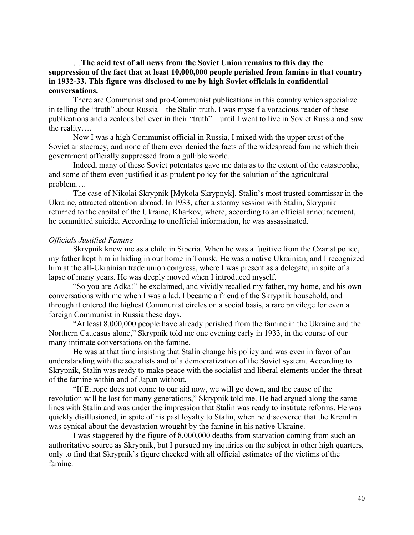# …**The acid test of all news from the Soviet Union remains to this day the suppression of the fact that at least 10,000,000 people perished from famine in that country in 1932-33. This figure was disclosed to me by high Soviet officials in confidential conversations.**

There are Communist and pro-Communist publications in this country which specialize in telling the "truth" about Russia—the Stalin truth. I was myself a voracious reader of these publications and a zealous believer in their "truth"—until I went to live in Soviet Russia and saw the reality….

Now I was a high Communist official in Russia, I mixed with the upper crust of the Soviet aristocracy, and none of them ever denied the facts of the widespread famine which their government officially suppressed from a gullible world.

Indeed, many of these Soviet potentates gave me data as to the extent of the catastrophe, and some of them even justified it as prudent policy for the solution of the agricultural problem….

The case of Nikolai Skrypnik [Mykola Skrypnyk], Stalin's most trusted commissar in the Ukraine, attracted attention abroad. In 1933, after a stormy session with Stalin, Skrypnik returned to the capital of the Ukraine, Kharkov, where, according to an official announcement, he committed suicide. According to unofficial information, he was assassinated.

### *Officials Justified Famine*

Skrypnik knew me as a child in Siberia. When he was a fugitive from the Czarist police, my father kept him in hiding in our home in Tomsk. He was a native Ukrainian, and I recognized him at the all-Ukrainian trade union congress, where I was present as a delegate, in spite of a lapse of many years. He was deeply moved when I introduced myself.

"So you are Adka!" he exclaimed, and vividly recalled my father, my home, and his own conversations with me when I was a lad. I became a friend of the Skrypnik household, and through it entered the highest Communist circles on a social basis, a rare privilege for even a foreign Communist in Russia these days.

"At least 8,000,000 people have already perished from the famine in the Ukraine and the Northern Caucasus alone," Skrypnik told me one evening early in 1933, in the course of our many intimate conversations on the famine.

He was at that time insisting that Stalin change his policy and was even in favor of an understanding with the socialists and of a democratization of the Soviet system. According to Skrypnik, Stalin was ready to make peace with the socialist and liberal elements under the threat of the famine within and of Japan without.

"If Europe does not come to our aid now, we will go down, and the cause of the revolution will be lost for many generations," Skrypnik told me. He had argued along the same lines with Stalin and was under the impression that Stalin was ready to institute reforms. He was quickly disillusioned, in spite of his past loyalty to Stalin, when he discovered that the Kremlin was cynical about the devastation wrought by the famine in his native Ukraine.

I was staggered by the figure of 8,000,000 deaths from starvation coming from such an authoritative source as Skrypnik, but I pursued my inquiries on the subject in other high quarters, only to find that Skrypnik's figure checked with all official estimates of the victims of the famine.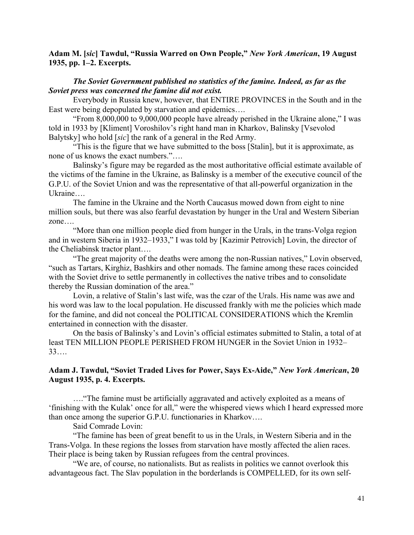**Adam M. [***sic***] Tawdul, "Russia Warred on Own People,"** *New York American***, 19 August 1935, pp. 1–2. Excerpts.**

# *The Soviet Government published no statistics of the famine. Indeed, as far as the Soviet press was concerned the famine did not exist.*

Everybody in Russia knew, however, that ENTIRE PROVINCES in the South and in the East were being depopulated by starvation and epidemics….

"From 8,000,000 to 9,000,000 people have already perished in the Ukraine alone," I was told in 1933 by [Kliment] Voroshilov's right hand man in Kharkov, Balinsky [Vsevolod Balytsky] who hold [*sic*] the rank of a general in the Red Army.

"This is the figure that we have submitted to the boss [Stalin], but it is approximate, as none of us knows the exact numbers."….

Balinsky's figure may be regarded as the most authoritative official estimate available of the victims of the famine in the Ukraine, as Balinsky is a member of the executive council of the G.P.U. of the Soviet Union and was the representative of that all-powerful organization in the Ukraine….

The famine in the Ukraine and the North Caucasus mowed down from eight to nine million souls, but there was also fearful devastation by hunger in the Ural and Western Siberian zone

"More than one million people died from hunger in the Urals, in the trans-Volga region and in western Siberia in 1932–1933," I was told by [Kazimir Petrovich] Lovin, the director of the Cheliabinsk tractor plant….

"The great majority of the deaths were among the non-Russian natives," Lovin observed, "such as Tartars, Kirghiz, Bashkirs and other nomads. The famine among these races coincided with the Soviet drive to settle permanently in collectives the native tribes and to consolidate thereby the Russian domination of the area."

Lovin, a relative of Stalin's last wife, was the czar of the Urals. His name was awe and his word was law to the local population. He discussed frankly with me the policies which made for the famine, and did not conceal the POLITICAL CONSIDERATIONS which the Kremlin entertained in connection with the disaster.

On the basis of Balinsky's and Lovin's official estimates submitted to Stalin, a total of at least TEN MILLION PEOPLE PERISHED FROM HUNGER in the Soviet Union in 1932– 33….

# **Adam J. Tawdul, "Soviet Traded Lives for Power, Says Ex-Aide,"** *New York American***, 20 August 1935, p. 4. Excerpts.**

…."The famine must be artificially aggravated and actively exploited as a means of 'finishing with the Kulak' once for all," were the whispered views which I heard expressed more than once among the superior G.P.U. functionaries in Kharkov….

Said Comrade Lovin:

"The famine has been of great benefit to us in the Urals, in Western Siberia and in the Trans-Volga. In these regions the losses from starvation have mostly affected the alien races. Their place is being taken by Russian refugees from the central provinces.

"We are, of course, no nationalists. But as realists in politics we cannot overlook this advantageous fact. The Slav population in the borderlands is COMPELLED, for its own self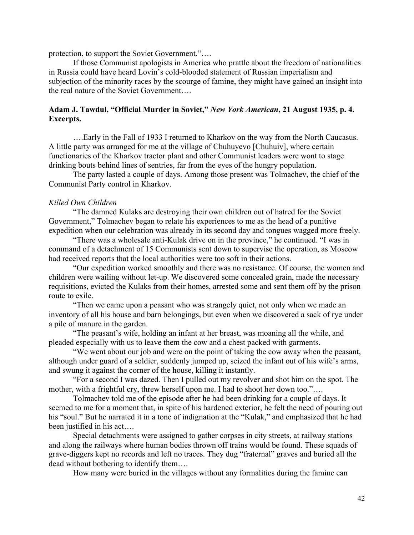protection, to support the Soviet Government."….

If those Communist apologists in America who prattle about the freedom of nationalities in Russia could have heard Lovin's cold-blooded statement of Russian imperialism and subjection of the minority races by the scourge of famine, they might have gained an insight into the real nature of the Soviet Government….

# **Adam J. Tawdul, "Official Murder in Soviet,"** *New York American***, 21 August 1935, p. 4. Excerpts.**

….Early in the Fall of 1933 I returned to Kharkov on the way from the North Caucasus. A little party was arranged for me at the village of Chuhuyevo [Chuhuiv], where certain functionaries of the Kharkov tractor plant and other Communist leaders were wont to stage drinking bouts behind lines of sentries, far from the eyes of the hungry population.

The party lasted a couple of days. Among those present was Tolmachev, the chief of the Communist Party control in Kharkov.

### *Killed Own Children*

"The damned Kulaks are destroying their own children out of hatred for the Soviet Government," Tolmachev began to relate his experiences to me as the head of a punitive expedition when our celebration was already in its second day and tongues wagged more freely.

"There was a wholesale anti-Kulak drive on in the province," he continued. "I was in command of a detachment of 15 Communists sent down to supervise the operation, as Moscow had received reports that the local authorities were too soft in their actions.

"Our expedition worked smoothly and there was no resistance. Of course, the women and children were wailing without let-up. We discovered some concealed grain, made the necessary requisitions, evicted the Kulaks from their homes, arrested some and sent them off by the prison route to exile.

"Then we came upon a peasant who was strangely quiet, not only when we made an inventory of all his house and barn belongings, but even when we discovered a sack of rye under a pile of manure in the garden.

"The peasant's wife, holding an infant at her breast, was moaning all the while, and pleaded especially with us to leave them the cow and a chest packed with garments.

"We went about our job and were on the point of taking the cow away when the peasant, although under guard of a soldier, suddenly jumped up, seized the infant out of his wife's arms, and swung it against the corner of the house, killing it instantly.

"For a second I was dazed. Then I pulled out my revolver and shot him on the spot. The mother, with a frightful cry, threw herself upon me. I had to shoot her down too."….

Tolmachev told me of the episode after he had been drinking for a couple of days. It seemed to me for a moment that, in spite of his hardened exterior, he felt the need of pouring out his "soul." But he narrated it in a tone of indignation at the "Kulak," and emphasized that he had been justified in his act….

Special detachments were assigned to gather corpses in city streets, at railway stations and along the railways where human bodies thrown off trains would be found. These squads of grave-diggers kept no records and left no traces. They dug "fraternal" graves and buried all the dead without bothering to identify them….

How many were buried in the villages without any formalities during the famine can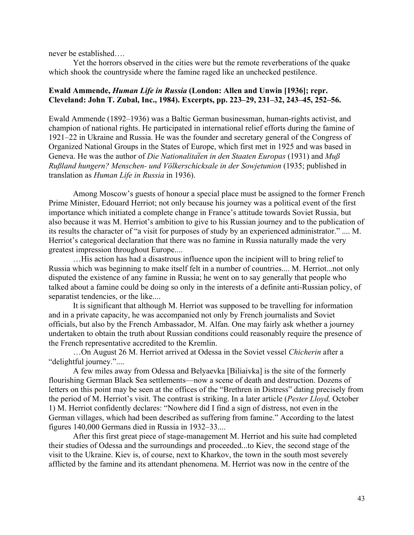never be established….

Yet the horrors observed in the cities were but the remote reverberations of the quake which shook the countryside where the famine raged like an unchecked pestilence.

# **Ewald Ammende,** *Human Life in Russia* **(London: Allen and Unwin [1936]; repr. Cleveland: John T. Zubal, Inc., 1984). Excerpts, pp. 223–29, 231–32, 243–45, 252–56.**

Ewald Ammende (1892–1936) was a Baltic German businessman, human-rights activist, and champion of national rights. He participated in international relief efforts during the famine of 1921–22 in Ukraine and Russia. He was the founder and secretary general of the Congress of Organized National Groups in the States of Europe, which first met in 1925 and was based in Geneva. He was the author of *Die Nationalita*̈*ten in den Staaten Europas* (1931) and *Muß Rußland hungern? Menschen- und Völkerschicksale in der Sowjetunion* (1935; published in translation as *Human Life in Russia* in 1936).

Among Moscow's guests of honour a special place must be assigned to the former French Prime Minister, Edouard Herriot; not only because his journey was a political event of the first importance which initiated a complete change in France's attitude towards Soviet Russia, but also because it was M. Herriot's ambition to give to his Russian journey and to the publication of its results the character of "a visit for purposes of study by an experienced administrator." .... M. Herriot's categorical declaration that there was no famine in Russia naturally made the very greatest impression throughout Europe....

…His action has had a disastrous influence upon the incipient will to bring relief to Russia which was beginning to make itself felt in a number of countries.... M. Herriot...not only disputed the existence of any famine in Russia; he went on to say generally that people who talked about a famine could be doing so only in the interests of a definite anti-Russian policy, of separatist tendencies, or the like....

It is significant that although M. Herriot was supposed to be travelling for information and in a private capacity, he was accompanied not only by French journalists and Soviet officials, but also by the French Ambassador, M. Alfan. One may fairly ask whether a journey undertaken to obtain the truth about Russian conditions could reasonably require the presence of the French representative accredited to the Kremlin.

…On August 26 M. Herriot arrived at Odessa in the Soviet vessel *Chicherin* after a "delightful journey."....

A few miles away from Odessa and Belyaevka [Biliaivka] is the site of the formerly flourishing German Black Sea settlements—now a scene of death and destruction. Dozens of letters on this point may be seen at the offices of the "Brethren in Distress" dating precisely from the period of M. Herriot's visit. The contrast is striking. In a later article (*Pester Lloyd,* October 1) M. Herriot confidently declares: "Nowhere did I find a sign of distress, not even in the German villages, which had been described as suffering from famine." According to the latest figures 140,000 Germans died in Russia in 1932–33....

After this first great piece of stage-management M. Herriot and his suite had completed their studies of Odessa and the surroundings and proceeded...to Kiev, the second stage of the visit to the Ukraine. Kiev is, of course, next to Kharkov, the town in the south most severely afflicted by the famine and its attendant phenomena. M. Herriot was now in the centre of the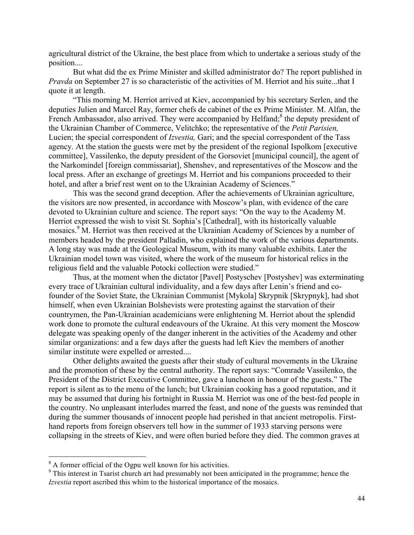agricultural district of the Ukraine, the best place from which to undertake a serious study of the position....

But what did the ex Prime Minister and skilled administrator do? The report published in *Pravda* on September 27 is so characteristic of the activities of M. Herriot and his suite...that I quote it at length.

"This morning M. Herriot arrived at Kiev, accompanied by his secretary Serlen, and the deputies Julien and Marcel Ray, former chefs de cabinet of the ex Prime Minister. M. Alfan, the French Ambassador, also arrived. They were accompanied by Helfand;<sup>8</sup> the deputy president of the Ukrainian Chamber of Commerce, Velitchko; the representative of the *Petit Parisien,* Lucien; the special correspondent of *Izvestia,* Gari; and the special correspondent of the Tass agency. At the station the guests were met by the president of the regional Ispolkom [executive committee], Vassilenko, the deputy president of the Gorsoviet [municipal council], the agent of the Narkomindel [foreign commissariat], Shenshev, and representatives of the Moscow and the local press. After an exchange of greetings M. Herriot and his companions proceeded to their hotel, and after a brief rest went on to the Ukrainian Academy of Sciences."

This was the second grand deception. After the achievements of Ukrainian agriculture, the visitors are now presented, in accordance with Moscow's plan, with evidence of the care devoted to Ukrainian culture and science. The report says: "On the way to the Academy M. Herriot expressed the wish to visit St. Sophia's [Cathedral], with its historically valuable mosaics.<sup>9</sup> M. Herriot was then received at the Ukrainian Academy of Sciences by a number of members headed by the president Palladin, who explained the work of the various departments. A long stay was made at the Geological Museum, with its many valuable exhibits. Later the Ukrainian model town was visited, where the work of the museum for historical relics in the religious field and the valuable Potocki collection were studied."

Thus, at the moment when the dictator [Pavel] Postyschev [Postyshev] was exterminating every trace of Ukrainian cultural individuality, and a few days after Lenin's friend and cofounder of the Soviet State, the Ukrainian Communist [Mykola] Skrypnik [Skrypnyk], had shot himself, when even Ukrainian Bolshevists were protesting against the starvation of their countrymen, the Pan-Ukrainian academicians were enlightening M. Herriot about the splendid work done to promote the cultural endeavours of the Ukraine. At this very moment the Moscow delegate was speaking openly of the danger inherent in the activities of the Academy and other similar organizations: and a few days after the guests had left Kiev the members of another similar institute were expelled or arrested....

Other delights awaited the guests after their study of cultural movements in the Ukraine and the promotion of these by the central authority. The report says: "Comrade Vassilenko, the President of the District Executive Committee, gave a luncheon in honour of the guests." The report is silent as to the menu of the lunch; but Ukrainian cooking has a good reputation, and it may be assumed that during his fortnight in Russia M. Herriot was one of the best-fed people in the country. No unpleasant interludes marred the feast, and none of the guests was reminded that during the summer thousands of innocent people had perished in that ancient metropolis. Firsthand reports from foreign observers tell how in the summer of 1933 starving persons were collapsing in the streets of Kiev, and were often buried before they died. The common graves at

 $8<sup>8</sup>$  A former official of the Ogpu well known for his activities.

<sup>&</sup>lt;sup>9</sup> This interest in Tsarist church art had presumably not been anticipated in the programme; hence the *Izvestia* report ascribed this whim to the historical importance of the mosaics.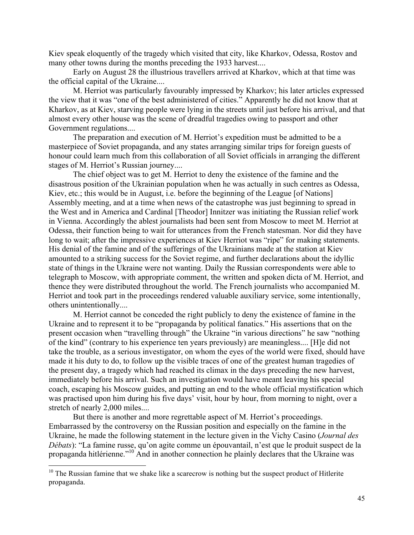Kiev speak eloquently of the tragedy which visited that city, like Kharkov, Odessa, Rostov and many other towns during the months preceding the 1933 harvest....

Early on August 28 the illustrious travellers arrived at Kharkov, which at that time was the official capital of the Ukraine....

M. Herriot was particularly favourably impressed by Kharkov; his later articles expressed the view that it was "one of the best administered of cities." Apparently he did not know that at Kharkov, as at Kiev, starving people were lying in the streets until just before his arrival, and that almost every other house was the scene of dreadful tragedies owing to passport and other Government regulations....

The preparation and execution of M. Herriot's expedition must be admitted to be a masterpiece of Soviet propaganda, and any states arranging similar trips for foreign guests of honour could learn much from this collaboration of all Soviet officials in arranging the different stages of M. Herriot's Russian journey....

The chief object was to get M. Herriot to deny the existence of the famine and the disastrous position of the Ukrainian population when he was actually in such centres as Odessa, Kiev, etc.; this would be in August, i.e. before the beginning of the League [of Nations] Assembly meeting, and at a time when news of the catastrophe was just beginning to spread in the West and in America and Cardinal [Theodor] Innitzer was initiating the Russian relief work in Vienna. Accordingly the ablest journalists had been sent from Moscow to meet M. Herriot at Odessa, their function being to wait for utterances from the French statesman. Nor did they have long to wait; after the impressive experiences at Kiev Herriot was "ripe" for making statements. His denial of the famine and of the sufferings of the Ukrainians made at the station at Kiev amounted to a striking success for the Soviet regime, and further declarations about the idyllic state of things in the Ukraine were not wanting. Daily the Russian correspondents were able to telegraph to Moscow, with appropriate comment, the written and spoken dicta of M. Herriot, and thence they were distributed throughout the world. The French journalists who accompanied M. Herriot and took part in the proceedings rendered valuable auxiliary service, some intentionally, others unintentionally....

M. Herriot cannot be conceded the right publicly to deny the existence of famine in the Ukraine and to represent it to be "propaganda by political fanatics." His assertions that on the present occasion when "travelling through" the Ukraine "in various directions" he saw "nothing of the kind" (contrary to his experience ten years previously) are meaningless.... [H]e did not take the trouble, as a serious investigator, on whom the eyes of the world were fixed, should have made it his duty to do, to follow up the visible traces of one of the greatest human tragedies of the present day, a tragedy which had reached its climax in the days preceding the new harvest, immediately before his arrival. Such an investigation would have meant leaving his special coach, escaping his Moscow guides, and putting an end to the whole official mystification which was practised upon him during his five days' visit, hour by hour, from morning to night, over a stretch of nearly 2,000 miles....

But there is another and more regrettable aspect of M. Herriot's proceedings. Embarrassed by the controversy on the Russian position and especially on the famine in the Ukraine, he made the following statement in the lecture given in the Vichy Casino (*Journal des Débats*): "La famine russe, qu'on agite comme un épouvantail, n'est que le produit suspect de la propaganda hitlérienne."10 And in another connection he plainly declares that the Ukraine was

 $10$  The Russian famine that we shake like a scarecrow is nothing but the suspect product of Hitlerite propaganda.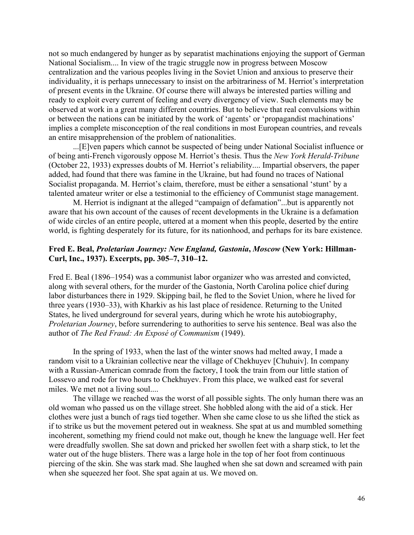not so much endangered by hunger as by separatist machinations enjoying the support of German National Socialism.... In view of the tragic struggle now in progress between Moscow centralization and the various peoples living in the Soviet Union and anxious to preserve their individuality, it is perhaps unnecessary to insist on the arbitrariness of M. Herriot's interpretation of present events in the Ukraine. Of course there will always be interested parties willing and ready to exploit every current of feeling and every divergency of view. Such elements may be observed at work in a great many different countries. But to believe that real convulsions within or between the nations can be initiated by the work of 'agents' or 'propagandist machinations' implies a complete misconception of the real conditions in most European countries, and reveals an entire misapprehension of the problem of nationalities.

...[E]ven papers which cannot be suspected of being under National Socialist influence or of being anti-French vigorously oppose M. Herriot's thesis. Thus the *New York Herald-Tribune* (October 22, 1933) expresses doubts of M. Herriot's reliability.... Impartial observers, the paper added, had found that there was famine in the Ukraine, but had found no traces of National Socialist propaganda. M. Herriot's claim, therefore, must be either a sensational 'stunt' by a talented amateur writer or else a testimonial to the efficiency of Communist stage management.

M. Herriot is indignant at the alleged "campaign of defamation"...but is apparently not aware that his own account of the causes of recent developments in the Ukraine is a defamation of wide circles of an entire people, uttered at a moment when this people, deserted by the entire world, is fighting desperately for its future, for its nationhood, and perhaps for its bare existence.

# **Fred E. Beal,** *Proletarian Journey: New England, Gastonia***,** *Moscow* **(New York: Hillman-Curl, Inc., 1937). Excerpts, pp. 305–7, 310–12.**

Fred E. Beal (1896–1954) was a communist labor organizer who was arrested and convicted, along with several others, for the murder of the Gastonia, North Carolina police chief during labor disturbances there in 1929. Skipping bail, he fled to the Soviet Union, where he lived for three years (1930–33), with Kharkiv as his last place of residence. Returning to the United States, he lived underground for several years, during which he wrote his autobiography, *Proletarian Journey*, before surrendering to authorities to serve his sentence. Beal was also the author of *The Red Fraud: An Exposé of Communism* (1949).

In the spring of 1933, when the last of the winter snows had melted away, I made a random visit to a Ukrainian collective near the village of Chekhuyev [Chuhuiv]. In company with a Russian-American comrade from the factory, I took the train from our little station of Lossevo and rode for two hours to Chekhuyev. From this place, we walked east for several miles. We met not a living soul....

The village we reached was the worst of all possible sights. The only human there was an old woman who passed us on the village street. She hobbled along with the aid of a stick. Her clothes were just a bunch of rags tied together. When she came close to us she lifted the stick as if to strike us but the movement petered out in weakness. She spat at us and mumbled something incoherent, something my friend could not make out, though he knew the language well. Her feet were dreadfully swollen. She sat down and pricked her swollen feet with a sharp stick, to let the water out of the huge blisters. There was a large hole in the top of her foot from continuous piercing of the skin. She was stark mad. She laughed when she sat down and screamed with pain when she squeezed her foot. She spat again at us. We moved on.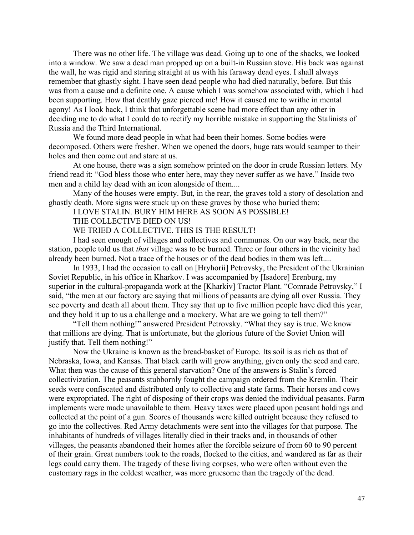There was no other life. The village was dead. Going up to one of the shacks, we looked into a window. We saw a dead man propped up on a built-in Russian stove. His back was against the wall, he was rigid and staring straight at us with his faraway dead eyes. I shall always remember that ghastly sight. I have seen dead people who had died naturally, before. But this was from a cause and a definite one. A cause which I was somehow associated with, which I had been supporting. How that deathly gaze pierced me! How it caused me to writhe in mental agony! As I look back, I think that unforgettable scene had more effect than any other in deciding me to do what I could do to rectify my horrible mistake in supporting the Stalinists of Russia and the Third International.

We found more dead people in what had been their homes. Some bodies were decomposed. Others were fresher. When we opened the doors, huge rats would scamper to their holes and then come out and stare at us.

At one house, there was a sign somehow printed on the door in crude Russian letters. My friend read it: "God bless those who enter here, may they never suffer as we have." Inside two men and a child lay dead with an icon alongside of them....

Many of the houses were empty. But, in the rear, the graves told a story of desolation and ghastly death. More signs were stuck up on these graves by those who buried them:

I LOVE STALIN. BURY HIM HERE AS SOON AS POSSIBLE!

### THE COLLECTIVE DIED ON US!

#### WE TRIED A COLLECTIVE. THIS IS THE RESULT!

I had seen enough of villages and collectives and communes. On our way back, near the station, people told us that *that* village was to be burned. Three or four others in the vicinity had already been burned. Not a trace of the houses or of the dead bodies in them was left....

In 1933, I had the occasion to call on [Hryhorii] Petrovsky, the President of the Ukrainian Soviet Republic, in his office in Kharkov. I was accompanied by [Isadore] Erenburg, my superior in the cultural-propaganda work at the [Kharkiv] Tractor Plant. "Comrade Petrovsky," I said, "the men at our factory are saying that millions of peasants are dying all over Russia. They see poverty and death all about them. They say that up to five million people have died this year, and they hold it up to us a challenge and a mockery. What are we going to tell them?"

"Tell them nothing!" answered President Petrovsky. "What they say is true. We know that millions are dying. That is unfortunate, but the glorious future of the Soviet Union will justify that. Tell them nothing!"

Now the Ukraine is known as the bread-basket of Europe. Its soil is as rich as that of Nebraska, Iowa, and Kansas. That black earth will grow anything, given only the seed and care. What then was the cause of this general starvation? One of the answers is Stalin's forced collectivization. The peasants stubbornly fought the campaign ordered from the Kremlin. Their seeds were confiscated and distributed only to collective and state farms. Their horses and cows were expropriated. The right of disposing of their crops was denied the individual peasants. Farm implements were made unavailable to them. Heavy taxes were placed upon peasant holdings and collected at the point of a gun. Scores of thousands were killed outright because they refused to go into the collectives. Red Army detachments were sent into the villages for that purpose. The inhabitants of hundreds of villages literally died in their tracks and, in thousands of other villages, the peasants abandoned their homes after the forcible seizure of from 60 to 90 percent of their grain. Great numbers took to the roads, flocked to the cities, and wandered as far as their legs could carry them. The tragedy of these living corpses, who were often without even the customary rags in the coldest weather, was more gruesome than the tragedy of the dead.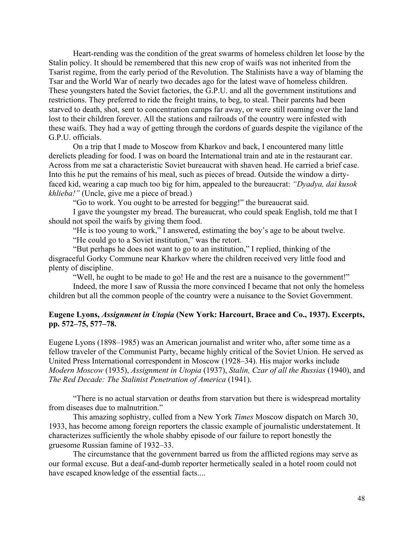Heart-rending was the condition of the great swarms of homeless children let loose by the Stalin policy. It should be remembered that this new crop of waifs was not inherited from the Tsarist regime, from the early period of the Revolution. The Stalinists have a way of blaming the Tsar and the World War of nearly two decades ago for the latest wave of homeless children. These youngsters hated the Soviet factories, the G.P.U. and all the government institutions and restrictions. They preferred to ride the freight trains, to beg, to steal. Their parents had been starved to death, shot, sent to concentration camps far away, or were still roaming over the land lost to their children forever. All the stations and railroads of the country were infested with these waifs. They had a way of getting through the cordons of guards despite the vigilance of the G.P.U. officials.

On a trip that I made to Moscow from Kharkov and back, I encountered many little derelicts pleading for food. I was on board the International train and ate in the restaurant car. Across from me sat a characteristic Soviet bureaucrat with shaven head. He carried a brief case. Into this he put the remains of his meal, such as pieces of bread. Outside the window a dirtyfaced kid, wearing a cap much too big for him, appealed to the bureaucrat: *"Dyadya, dai kusok khlieba!"* (Uncle, give me a piece of bread.)

"Go to work. You ought to be arrested for begging!" the bureaucrat said.

I gave the youngster my bread. The bureaucrat, who could speak English, told me that I should not spoil the waifs by giving them food.

"He is too young to work," I answered, estimating the boy's age to be about twelve.

"He could go to a Soviet institution," was the retort.

"But perhaps he does not want to go to an institution," I replied, thinking of the disgraceful Gorky Commune near Kharkov where the children received very little food and plenty of discipline.

"Well, he ought to be made to go! He and the rest are a nuisance to the government!"

Indeed, the more I saw of Russia the more convinced I became that not only the homeless children but all the common people of the country were a nuisance to the Soviet Government.

# **Eugene Lyons,** *Assignment in Utopia* **(New York: Harcourt, Brace and Co., 1937). Excerpts, pp. 572–75, 577–78.**

Eugene Lyons (1898–1985) was an American journalist and writer who, after some time as a fellow traveler of the Communist Party, became highly critical of the Soviet Union. He served as United Press International correspondent in Moscow (1928–34). His major works include *Modern Moscow* (1935), *Assignment in Utopia* (1937), *Stalin, Czar of all the Russias* (1940), and *The Red Decade: The Stalinist Penetration of America* (1941).

"There is no actual starvation or deaths from starvation but there is widespread mortality from diseases due to malnutrition."

This amazing sophistry, culled from a New York *Times* Moscow dispatch on March 30, 1933, has become among foreign reporters the classic example of journalistic understatement. It characterizes sufficiently the whole shabby episode of our failure to report honestly the gruesome Russian famine of 1932–33.

The circumstance that the government barred us from the afflicted regions may serve as our formal excuse. But a deaf-and-dumb reporter hermetically sealed in a hotel room could not have escaped knowledge of the essential facts....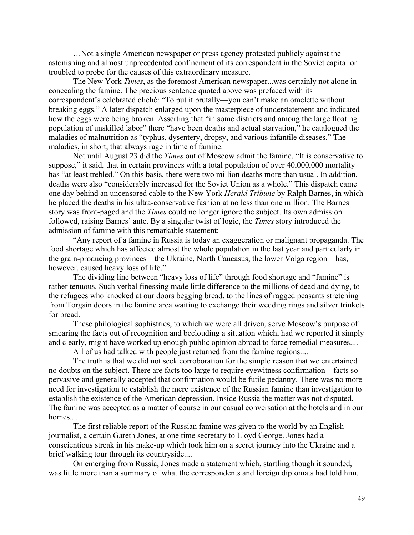…Not a single American newspaper or press agency protested publicly against the astonishing and almost unprecedented confinement of its correspondent in the Soviet capital or troubled to probe for the causes of this extraordinary measure.

The New York *Times*, as the foremost American newspaper...was certainly not alone in concealing the famine. The precious sentence quoted above was prefaced with its correspondent's celebrated cliché: "To put it brutally—you can't make an omelette without breaking eggs." A later dispatch enlarged upon the masterpiece of understatement and indicated how the eggs were being broken. Asserting that "in some districts and among the large floating population of unskilled labor" there "have been deaths and actual starvation," he catalogued the maladies of malnutrition as "typhus, dysentery, dropsy, and various infantile diseases." The maladies, in short, that always rage in time of famine.

Not until August 23 did the *Times* out of Moscow admit the famine. "It is conservative to suppose," it said, that in certain provinces with a total population of over 40,000,000 mortality has "at least trebled." On this basis, there were two million deaths more than usual. In addition, deaths were also "considerably increased for the Soviet Union as a whole." This dispatch came one day behind an uncensored cable to the New York *Herald Tribune* by Ralph Barnes, in which he placed the deaths in his ultra-conservative fashion at no less than one million. The Barnes story was front-paged and the *Times* could no longer ignore the subject. Its own admission followed, raising Barnes' ante. By a singular twist of logic, the *Times* story introduced the admission of famine with this remarkable statement:

"Any report of a famine in Russia is today an exaggeration or malignant propaganda. The food shortage which has affected almost the whole population in the last year and particularly in the grain-producing provinces—the Ukraine, North Caucasus, the lower Volga region—has, however, caused heavy loss of life."

The dividing line between "heavy loss of life" through food shortage and "famine" is rather tenuous. Such verbal finessing made little difference to the millions of dead and dying, to the refugees who knocked at our doors begging bread, to the lines of ragged peasants stretching from Torgsin doors in the famine area waiting to exchange their wedding rings and silver trinkets for bread.

These philological sophistries, to which we were all driven, serve Moscow's purpose of smearing the facts out of recognition and beclouding a situation which, had we reported it simply and clearly, might have worked up enough public opinion abroad to force remedial measures....

All of us had talked with people just returned from the famine regions....

The truth is that we did not seek corroboration for the simple reason that we entertained no doubts on the subject. There are facts too large to require eyewitness confirmation—facts so pervasive and generally accepted that confirmation would be futile pedantry. There was no more need for investigation to establish the mere existence of the Russian famine than investigation to establish the existence of the American depression. Inside Russia the matter was not disputed. The famine was accepted as a matter of course in our casual conversation at the hotels and in our homes....

The first reliable report of the Russian famine was given to the world by an English journalist, a certain Gareth Jones, at one time secretary to Lloyd George. Jones had a conscientious streak in his make-up which took him on a secret journey into the Ukraine and a brief walking tour through its countryside....

On emerging from Russia, Jones made a statement which, startling though it sounded, was little more than a summary of what the correspondents and foreign diplomats had told him.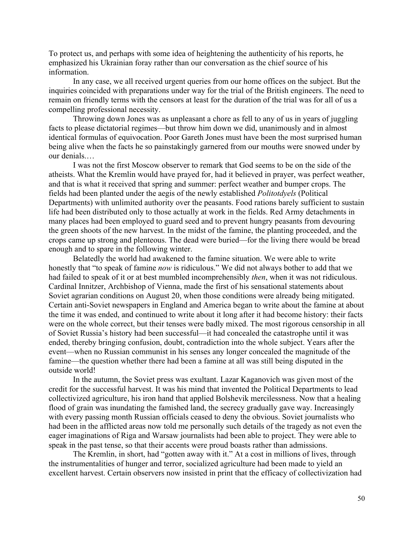To protect us, and perhaps with some idea of heightening the authenticity of his reports, he emphasized his Ukrainian foray rather than our conversation as the chief source of his information.

In any case, we all received urgent queries from our home offices on the subject. But the inquiries coincided with preparations under way for the trial of the British engineers. The need to remain on friendly terms with the censors at least for the duration of the trial was for all of us a compelling professional necessity.

Throwing down Jones was as unpleasant a chore as fell to any of us in years of juggling facts to please dictatorial regimes—but throw him down we did, unanimously and in almost identical formulas of equivocation. Poor Gareth Jones must have been the most surprised human being alive when the facts he so painstakingly garnered from our mouths were snowed under by our denials.…

I was not the first Moscow observer to remark that God seems to be on the side of the atheists. What the Kremlin would have prayed for, had it believed in prayer, was perfect weather, and that is what it received that spring and summer: perfect weather and bumper crops. The fields had been planted under the aegis of the newly established *Politotdyels* (Political Departments) with unlimited authority over the peasants. Food rations barely sufficient to sustain life had been distributed only to those actually at work in the fields. Red Army detachments in many places had been employed to guard seed and to prevent hungry peasants from devouring the green shoots of the new harvest. In the midst of the famine, the planting proceeded, and the crops came up strong and plenteous. The dead were buried—for the living there would be bread enough and to spare in the following winter.

Belatedly the world had awakened to the famine situation. We were able to write honestly that "to speak of famine *now* is ridiculous." We did not always bother to add that we had failed to speak of it or at best mumbled incomprehensibly *then*, when it was not ridiculous. Cardinal Innitzer, Archbishop of Vienna, made the first of his sensational statements about Soviet agrarian conditions on August 20, when those conditions were already being mitigated. Certain anti-Soviet newspapers in England and America began to write about the famine at about the time it was ended, and continued to write about it long after it had become history: their facts were on the whole correct, but their tenses were badly mixed. The most rigorous censorship in all of Soviet Russia's history had been successful—it had concealed the catastrophe until it was ended, thereby bringing confusion, doubt, contradiction into the whole subject. Years after the event—when no Russian communist in his senses any longer concealed the magnitude of the famine—the question whether there had been a famine at all was still being disputed in the outside world!

In the autumn, the Soviet press was exultant. Lazar Kaganovich was given most of the credit for the successful harvest. It was his mind that invented the Political Departments to lead collectivized agriculture, his iron hand that applied Bolshevik mercilessness. Now that a healing flood of grain was inundating the famished land, the secrecy gradually gave way. Increasingly with every passing month Russian officials ceased to deny the obvious. Soviet journalists who had been in the afflicted areas now told me personally such details of the tragedy as not even the eager imaginations of Riga and Warsaw journalists had been able to project. They were able to speak in the past tense, so that their accents were proud boasts rather than admissions.

The Kremlin, in short, had "gotten away with it." At a cost in millions of lives, through the instrumentalities of hunger and terror, socialized agriculture had been made to yield an excellent harvest. Certain observers now insisted in print that the efficacy of collectivization had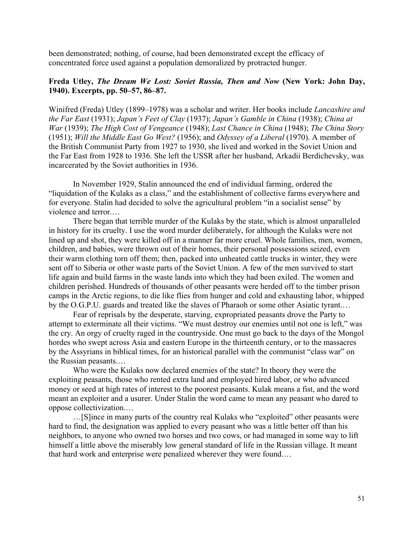been demonstrated; nothing, of course, had been demonstrated except the efficacy of concentrated force used against a population demoralized by protracted hunger.

# **Freda Utley,** *The Dream We Lost: Soviet Russia, Then and Now* **(New York: John Day, 1940). Excerpts, pp. 50–57, 86–87.**

Winifred (Freda) Utley (1899–1978) was a scholar and writer. Her books include *Lancashire and the Far East* (1931); *Japan's Feet of Clay* (1937); *Japan's Gamble in China* (1938); *China at War* (1939); *The High Cost of Vengeance* (1948); *Last Chance in China* (1948); *The China Story* (1951); *Will the Middle East Go West?* (1956); and *Odyssey of a Liberal* (1970). A member of the British Communist Party from 1927 to 1930, she lived and worked in the Soviet Union and the Far East from 1928 to 1936. She left the USSR after her husband, Arkadii Berdichevsky, was incarcerated by the Soviet authorities in 1936.

In November 1929, Stalin announced the end of individual farming, ordered the "liquidation of the Kulaks as a class," and the establishment of collective farms everywhere and for everyone. Stalin had decided to solve the agricultural problem "in a socialist sense" by violence and terror.…

There began that terrible murder of the Kulaks by the state, which is almost unparalleled in history for its cruelty. I use the word murder deliberately, for although the Kulaks were not lined up and shot, they were killed off in a manner far more cruel. Whole families, men, women, children, and babies, were thrown out of their homes, their personal possessions seized, even their warm clothing torn off them; then, packed into unheated cattle trucks in winter, they were sent off to Siberia or other waste parts of the Soviet Union. A few of the men survived to start life again and build farms in the waste lands into which they had been exiled. The women and children perished. Hundreds of thousands of other peasants were herded off to the timber prison camps in the Arctic regions, to die like flies from hunger and cold and exhausting labor, whipped by the O.G.P.U. guards and treated like the slaves of Pharaoh or some other Asiatic tyrant.…

Fear of reprisals by the desperate, starving, expropriated peasants drove the Party to attempt to exterminate all their victims. "We must destroy our enemies until not one is left," was the cry. An orgy of cruelty raged in the countryside. One must go back to the days of the Mongol hordes who swept across Asia and eastern Europe in the thirteenth century, or to the massacres by the Assyrians in biblical times, for an historical parallel with the communist "class war" on the Russian peasants.…

Who were the Kulaks now declared enemies of the state? In theory they were the exploiting peasants, those who rented extra land and employed hired labor, or who advanced money or seed at high rates of interest to the poorest peasants. Kulak means a fist, and the word meant an exploiter and a usurer. Under Stalin the word came to mean any peasant who dared to oppose collectivization.…

…[S]ince in many parts of the country real Kulaks who "exploited" other peasants were hard to find, the designation was applied to every peasant who was a little better off than his neighbors, to anyone who owned two horses and two cows, or had managed in some way to lift himself a little above the miserably low general standard of life in the Russian village. It meant that hard work and enterprise were penalized wherever they were found.…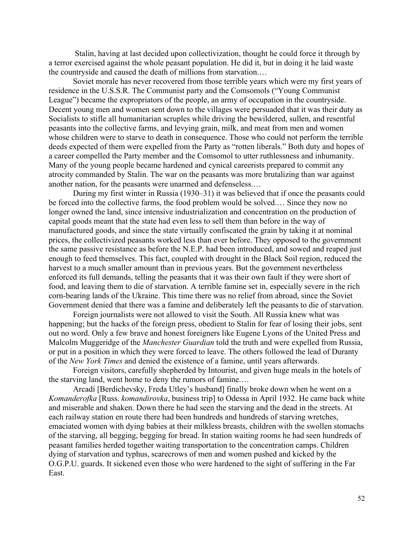Stalin, having at last decided upon collectivization, thought he could force it through by a terror exercised against the whole peasant population. He did it, but in doing it he laid waste the countryside and caused the death of millions from starvation.…

Soviet morale has never recovered from those terrible years which were my first years of residence in the U.S.S.R. The Communist party and the Comsomols ("Young Communist League") became the expropriators of the people, an army of occupation in the countryside. Decent young men and women sent down to the villages were persuaded that it was their duty as Socialists to stifle all humanitarian scruples while driving the bewildered, sullen, and resentful peasants into the collective farms, and levying grain, milk, and meat from men and women whose children were to starve to death in consequence. Those who could not perform the terrible deeds expected of them were expelled from the Party as "rotten liberals." Both duty and hopes of a career compelled the Party member and the Comsomol to utter ruthlessness and inhumanity. Many of the young people became hardened and cynical careerists prepared to commit any atrocity commanded by Stalin. The war on the peasants was more brutalizing than war against another nation, for the peasants were unarmed and defenseless.…

During my first winter in Russia (1930–31) it was believed that if once the peasants could be forced into the collective farms, the food problem would be solved.… Since they now no longer owned the land, since intensive industrialization and concentration on the production of capital goods meant that the state had even less to sell them than before in the way of manufactured goods, and since the state virtually confiscated the grain by taking it at nominal prices, the collectivized peasants worked less than ever before. They opposed to the government the same passive resistance as before the N.E.P. had been introduced, and sowed and reaped just enough to feed themselves. This fact, coupled with drought in the Black Soil region, reduced the harvest to a much smaller amount than in previous years. But the government nevertheless enforced its full demands, telling the peasants that it was their own fault if they were short of food, and leaving them to die of starvation. A terrible famine set in, especially severe in the rich corn-bearing lands of the Ukraine. This time there was no relief from abroad, since the Soviet Government denied that there was a famine and deliberately left the peasants to die of starvation.

Foreign journalists were not allowed to visit the South. All Russia knew what was happening; but the hacks of the foreign press, obedient to Stalin for fear of losing their jobs, sent out no word. Only a few brave and honest foreigners like Eugene Lyons of the United Press and Malcolm Muggeridge of the *Manchester Guardian* told the truth and were expelled from Russia, or put in a position in which they were forced to leave. The others followed the lead of Duranty of the *New York Times* and denied the existence of a famine, until years afterwards.

Foreign visitors, carefully shepherded by Intourist, and given huge meals in the hotels of the starving land, went home to deny the rumors of famine.…

Arcadi [Berdichevsky, Freda Utley's husband] finally broke down when he went on a *Komanderofka* [Russ. *komandirovka*, business trip] to Odessa in April 1932. He came back white and miserable and shaken. Down there he had seen the starving and the dead in the streets. At each railway station en route there had been hundreds and hundreds of starving wretches, emaciated women with dying babies at their milkless breasts, children with the swollen stomachs of the starving, all begging, begging for bread. In station waiting rooms he had seen hundreds of peasant families herded together waiting transportation to the concentration camps. Children dying of starvation and typhus, scarecrows of men and women pushed and kicked by the O.G.P.U. guards. It sickened even those who were hardened to the sight of suffering in the Far East.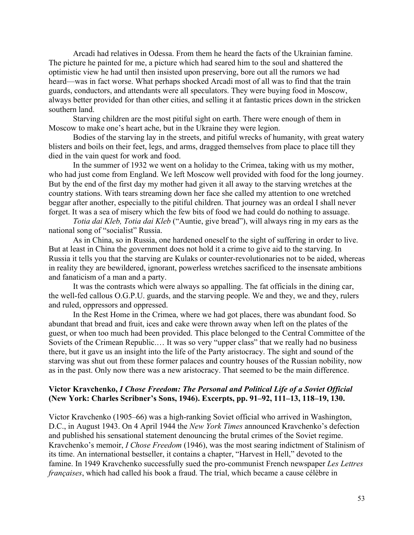Arcadi had relatives in Odessa. From them he heard the facts of the Ukrainian famine. The picture he painted for me, a picture which had seared him to the soul and shattered the optimistic view he had until then insisted upon preserving, bore out all the rumors we had heard—was in fact worse. What perhaps shocked Arcadi most of all was to find that the train guards, conductors, and attendants were all speculators. They were buying food in Moscow, always better provided for than other cities, and selling it at fantastic prices down in the stricken southern land.

Starving children are the most pitiful sight on earth. There were enough of them in Moscow to make one's heart ache, but in the Ukraine they were legion.

Bodies of the starving lay in the streets, and pitiful wrecks of humanity, with great watery blisters and boils on their feet, legs, and arms, dragged themselves from place to place till they died in the vain quest for work and food.

In the summer of 1932 we went on a holiday to the Crimea, taking with us my mother, who had just come from England. We left Moscow well provided with food for the long journey. But by the end of the first day my mother had given it all away to the starving wretches at the country stations. With tears streaming down her face she called my attention to one wretched beggar after another, especially to the pitiful children. That journey was an ordeal I shall never forget. It was a sea of misery which the few bits of food we had could do nothing to assuage.

*Totia dai Kleb, Totia dai Kleb* ("Auntie, give bread"), will always ring in my ears as the national song of "socialist" Russia.

As in China, so in Russia, one hardened oneself to the sight of suffering in order to live. But at least in China the government does not hold it a crime to give aid to the starving. In Russia it tells you that the starving are Kulaks or counter-revolutionaries not to be aided, whereas in reality they are bewildered, ignorant, powerless wretches sacrificed to the insensate ambitions and fanaticism of a man and a party.

It was the contrasts which were always so appalling. The fat officials in the dining car, the well-fed callous O.G.P.U. guards, and the starving people. We and they, we and they, rulers and ruled, oppressors and oppressed.

In the Rest Home in the Crimea, where we had got places, there was abundant food. So abundant that bread and fruit, ices and cake were thrown away when left on the plates of the guest, or when too much had been provided. This place belonged to the Central Committee of the Soviets of the Crimean Republic.… It was so very "upper class" that we really had no business there, but it gave us an insight into the life of the Party aristocracy. The sight and sound of the starving was shut out from these former palaces and country houses of the Russian nobility, now as in the past. Only now there was a new aristocracy. That seemed to be the main difference.

# **Victor Kravchenko,** *I Chose Freedom: The Personal and Political Life of a Soviet Official* **(New York: Charles Scribner's Sons, 1946). Excerpts, pp. 91–92, 111–13, 118–19, 130.**

Victor Kravchenko (1905–66) was a high-ranking Soviet official who arrived in Washington, D.C., in August 1943. On 4 April 1944 the *New York Times* announced Kravchenko's defection and published his sensational statement denouncing the brutal crimes of the Soviet regime. Kravchenko's memoir, *I Chose Freedom* (1946), was the most searing indictment of Stalinism of its time. An international bestseller, it contains a chapter, "Harvest in Hell," devoted to the famine. In 1949 Kravchenko successfully sued the pro-communist French newspaper *Les Lettres françaises*, which had called his book a fraud. The trial, which became a cause célèbre in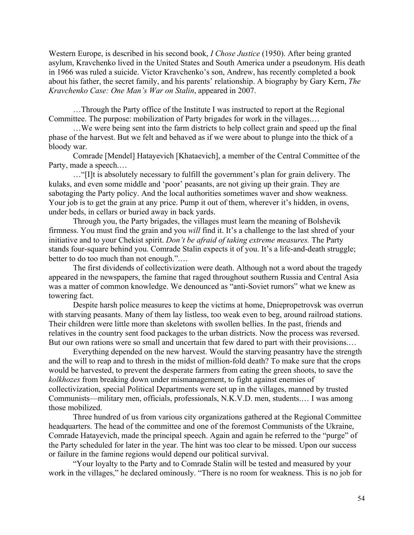Western Europe, is described in his second book, *I Chose Justice* (1950). After being granted asylum, Kravchenko lived in the United States and South America under a pseudonym. His death in 1966 was ruled a suicide. Victor Kravchenko's son, Andrew, has recently completed a book about his father, the secret family, and his parents' relationship. A biography by Gary Kern, *The Kravchenko Case: One Man's War on Stalin*, appeared in 2007.

…Through the Party office of the Institute I was instructed to report at the Regional Committee. The purpose: mobilization of Party brigades for work in the villages.…

…We were being sent into the farm districts to help collect grain and speed up the final phase of the harvest. But we felt and behaved as if we were about to plunge into the thick of a bloody war.

Comrade [Mendel] Hatayevich [Khataevich], a member of the Central Committee of the Party, made a speech.…

…"[I]t is absolutely necessary to fulfill the government's plan for grain delivery. The kulaks, and even some middle and 'poor' peasants, are not giving up their grain. They are sabotaging the Party policy. And the local authorities sometimes waver and show weakness. Your job is to get the grain at any price. Pump it out of them, wherever it's hidden, in ovens, under beds, in cellars or buried away in back yards.

Through you, the Party brigades, the villages must learn the meaning of Bolshevik firmness. You must find the grain and you *will* find it. It's a challenge to the last shred of your initiative and to your Chekist spirit. *Don't be afraid of taking extreme measures.* The Party stands four-square behind you. Comrade Stalin expects it of you. It's a life-and-death struggle; better to do too much than not enough.".…

The first dividends of collectivization were death. Although not a word about the tragedy appeared in the newspapers, the famine that raged throughout southern Russia and Central Asia was a matter of common knowledge. We denounced as "anti-Soviet rumors" what we knew as towering fact.

Despite harsh police measures to keep the victims at home, Dniepropetrovsk was overrun with starving peasants. Many of them lay listless, too weak even to beg, around railroad stations. Their children were little more than skeletons with swollen bellies. In the past, friends and relatives in the country sent food packages to the urban districts. Now the process was reversed. But our own rations were so small and uncertain that few dared to part with their provisions...

Everything depended on the new harvest. Would the starving peasantry have the strength and the will to reap and to thresh in the midst of million-fold death? To make sure that the crops would be harvested, to prevent the desperate farmers from eating the green shoots, to save the *kolkhozes* from breaking down under mismanagement, to fight against enemies of collectivization, special Political Departments were set up in the villages, manned by trusted Communists—military men, officials, professionals, N.K.V.D. men, students.… I was among those mobilized.

Three hundred of us from various city organizations gathered at the Regional Committee headquarters. The head of the committee and one of the foremost Communists of the Ukraine, Comrade Hatayevich, made the principal speech. Again and again he referred to the "purge" of the Party scheduled for later in the year. The hint was too clear to be missed. Upon our success or failure in the famine regions would depend our political survival.

"Your loyalty to the Party and to Comrade Stalin will be tested and measured by your work in the villages," he declared ominously. "There is no room for weakness. This is no job for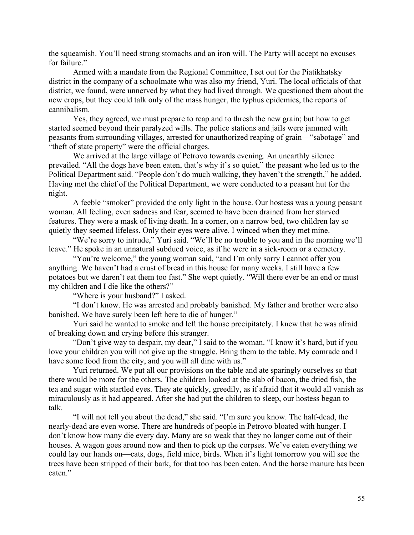the squeamish. You'll need strong stomachs and an iron will. The Party will accept no excuses for failure."

Armed with a mandate from the Regional Committee, I set out for the Piatikhatsky district in the company of a schoolmate who was also my friend, Yuri. The local officials of that district, we found, were unnerved by what they had lived through. We questioned them about the new crops, but they could talk only of the mass hunger, the typhus epidemics, the reports of cannibalism.

Yes, they agreed, we must prepare to reap and to thresh the new grain; but how to get started seemed beyond their paralyzed wills. The police stations and jails were jammed with peasants from surrounding villages, arrested for unauthorized reaping of grain—"sabotage" and "theft of state property" were the official charges.

We arrived at the large village of Petrovo towards evening. An unearthly silence prevailed. "All the dogs have been eaten, that's why it's so quiet," the peasant who led us to the Political Department said. "People don't do much walking, they haven't the strength," he added. Having met the chief of the Political Department, we were conducted to a peasant hut for the night.

A feeble "smoker" provided the only light in the house. Our hostess was a young peasant woman. All feeling, even sadness and fear, seemed to have been drained from her starved features. They were a mask of living death. In a corner, on a narrow bed, two children lay so quietly they seemed lifeless. Only their eyes were alive. I winced when they met mine.

"We're sorry to intrude," Yuri said. "We'll be no trouble to you and in the morning we'll leave." He spoke in an unnatural subdued voice, as if he were in a sick-room or a cemetery.

"You're welcome," the young woman said, "and I'm only sorry I cannot offer you anything. We haven't had a crust of bread in this house for many weeks. I still have a few potatoes but we daren't eat them too fast." She wept quietly. "Will there ever be an end or must my children and I die like the others?"

"Where is your husband?" I asked.

"I don't know. He was arrested and probably banished. My father and brother were also banished. We have surely been left here to die of hunger."

Yuri said he wanted to smoke and left the house precipitately. I knew that he was afraid of breaking down and crying before this stranger.

"Don't give way to despair, my dear," I said to the woman. "I know it's hard, but if you love your children you will not give up the struggle. Bring them to the table. My comrade and I have some food from the city, and you will all dine with us."

Yuri returned. We put all our provisions on the table and ate sparingly ourselves so that there would be more for the others. The children looked at the slab of bacon, the dried fish, the tea and sugar with startled eyes. They ate quickly, greedily, as if afraid that it would all vanish as miraculously as it had appeared. After she had put the children to sleep, our hostess began to talk.

"I will not tell you about the dead," she said. "I'm sure you know. The half-dead, the nearly-dead are even worse. There are hundreds of people in Petrovo bloated with hunger. I don't know how many die every day. Many are so weak that they no longer come out of their houses. A wagon goes around now and then to pick up the corpses. We've eaten everything we could lay our hands on—cats, dogs, field mice, birds. When it's light tomorrow you will see the trees have been stripped of their bark, for that too has been eaten. And the horse manure has been eaten."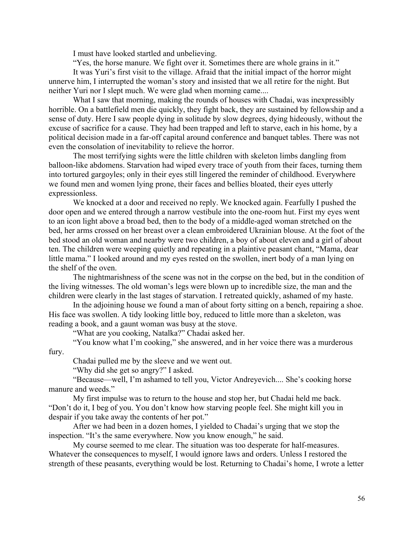I must have looked startled and unbelieving.

"Yes, the horse manure. We fight over it. Sometimes there are whole grains in it."

It was Yuri's first visit to the village. Afraid that the initial impact of the horror might unnerve him, I interrupted the woman's story and insisted that we all retire for the night. But neither Yuri nor I slept much. We were glad when morning came....

What I saw that morning, making the rounds of houses with Chadai, was inexpressibly horrible. On a battlefield men die quickly, they fight back, they are sustained by fellowship and a sense of duty. Here I saw people dying in solitude by slow degrees, dying hideously, without the excuse of sacrifice for a cause. They had been trapped and left to starve, each in his home, by a political decision made in a far-off capital around conference and banquet tables. There was not even the consolation of inevitability to relieve the horror.

The most terrifying sights were the little children with skeleton limbs dangling from balloon-like abdomens. Starvation had wiped every trace of youth from their faces, turning them into tortured gargoyles; only in their eyes still lingered the reminder of childhood. Everywhere we found men and women lying prone, their faces and bellies bloated, their eyes utterly expressionless.

We knocked at a door and received no reply. We knocked again. Fearfully I pushed the door open and we entered through a narrow vestibule into the one-room hut. First my eyes went to an icon light above a broad bed, then to the body of a middle-aged woman stretched on the bed, her arms crossed on her breast over a clean embroidered Ukrainian blouse. At the foot of the bed stood an old woman and nearby were two children, a boy of about eleven and a girl of about ten. The children were weeping quietly and repeating in a plaintive peasant chant, "Mama, dear little mama." I looked around and my eyes rested on the swollen, inert body of a man lying on the shelf of the oven.

The nightmarishness of the scene was not in the corpse on the bed, but in the condition of the living witnesses. The old woman's legs were blown up to incredible size, the man and the children were clearly in the last stages of starvation. I retreated quickly, ashamed of my haste.

In the adjoining house we found a man of about forty sitting on a bench, repairing a shoe. His face was swollen. A tidy looking little boy, reduced to little more than a skeleton, was reading a book, and a gaunt woman was busy at the stove.

"What are you cooking, Natalka?" Chadai asked her.

"You know what I'm cooking," she answered, and in her voice there was a murderous fury.

Chadai pulled me by the sleeve and we went out.

"Why did she get so angry?" I asked.

"Because—well, I'm ashamed to tell you, Victor Andreyevich.... She's cooking horse manure and weeds."

My first impulse was to return to the house and stop her, but Chadai held me back. "Don't do it, I beg of you. You don't know how starving people feel. She might kill you in despair if you take away the contents of her pot."

After we had been in a dozen homes, I yielded to Chadai's urging that we stop the inspection. "It's the same everywhere. Now you know enough," he said.

My course seemed to me clear. The situation was too desperate for half-measures. Whatever the consequences to myself, I would ignore laws and orders. Unless I restored the strength of these peasants, everything would be lost. Returning to Chadai's home, I wrote a letter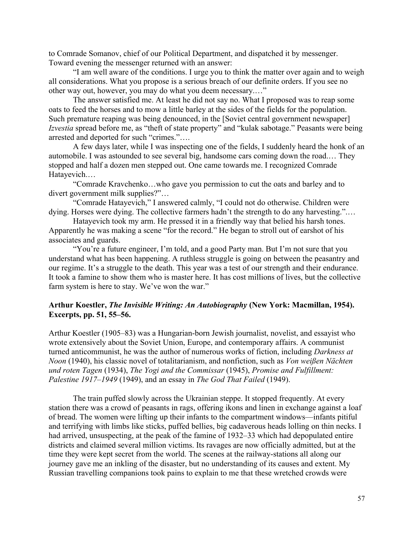to Comrade Somanov, chief of our Political Department, and dispatched it by messenger. Toward evening the messenger returned with an answer:

"I am well aware of the conditions. I urge you to think the matter over again and to weigh all considerations. What you propose is a serious breach of our definite orders. If you see no other way out, however, you may do what you deem necessary.…"

The answer satisfied me. At least he did not say no. What I proposed was to reap some oats to feed the horses and to mow a little barley at the sides of the fields for the population. Such premature reaping was being denounced, in the [Soviet central government newspaper] *Izvestia* spread before me, as "theft of state property" and "kulak sabotage." Peasants were being arrested and deported for such "crimes."….

A few days later, while I was inspecting one of the fields, I suddenly heard the honk of an automobile. I was astounded to see several big, handsome cars coming down the road.… They stopped and half a dozen men stepped out. One came towards me. I recognized Comrade Hatayevich.…

"Comrade Kravchenko…who gave you permission to cut the oats and barley and to divert government milk supplies?"…

"Comrade Hatayevich," I answered calmly, "I could not do otherwise. Children were dying. Horses were dying. The collective farmers hadn't the strength to do any harvesting.".…

Hatayevich took my arm. He pressed it in a friendly way that belied his harsh tones. Apparently he was making a scene "for the record." He began to stroll out of earshot of his associates and guards.

"You're a future engineer, I'm told, and a good Party man. But I'm not sure that you understand what has been happening. A ruthless struggle is going on between the peasantry and our regime. It's a struggle to the death. This year was a test of our strength and their endurance. It took a famine to show them who is master here. It has cost millions of lives, but the collective farm system is here to stay. We've won the war."

# **Arthur Koestler,** *The Invisible Writing: An Autobiography* **(New York: Macmillan, 1954). Excerpts, pp. 51, 55–56.**

Arthur Koestler (1905–83) was a Hungarian-born Jewish journalist, novelist, and essayist who wrote extensively about the Soviet Union, Europe, and contemporary affairs. A communist turned anticommunist, he was the author of numerous works of fiction, including *Darkness at Noon* (1940), his classic novel of totalitarianism, and nonfiction, such as *Von weißen Nächten und roten Tagen* (1934), *The Yogi and the Commissar* (1945), *Promise and Fulfillment: Palestine 1917–1949* (1949), and an essay in *The God That Failed* (1949).

The train puffed slowly across the Ukrainian steppe. It stopped frequently. At every station there was a crowd of peasants in rags, offering ikons and linen in exchange against a loaf of bread. The women were lifting up their infants to the compartment windows—infants pitiful and terrifying with limbs like sticks, puffed bellies, big cadaverous heads lolling on thin necks. I had arrived, unsuspecting, at the peak of the famine of 1932–33 which had depopulated entire districts and claimed several million victims. Its ravages are now officially admitted, but at the time they were kept secret from the world. The scenes at the railway-stations all along our journey gave me an inkling of the disaster, but no understanding of its causes and extent. My Russian travelling companions took pains to explain to me that these wretched crowds were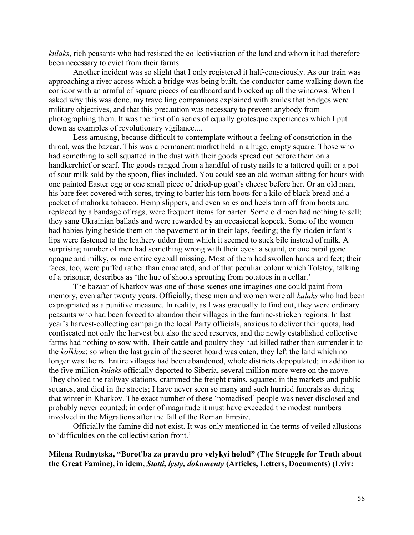*kulaks*, rich peasants who had resisted the collectivisation of the land and whom it had therefore been necessary to evict from their farms.

Another incident was so slight that I only registered it half-consciously. As our train was approaching a river across which a bridge was being built, the conductor came walking down the corridor with an armful of square pieces of cardboard and blocked up all the windows. When I asked why this was done, my travelling companions explained with smiles that bridges were military objectives, and that this precaution was necessary to prevent anybody from photographing them. It was the first of a series of equally grotesque experiences which I put down as examples of revolutionary vigilance....

Less amusing, because difficult to contemplate without a feeling of constriction in the throat, was the bazaar. This was a permanent market held in a huge, empty square. Those who had something to sell squatted in the dust with their goods spread out before them on a handkerchief or scarf. The goods ranged from a handful of rusty nails to a tattered quilt or a pot of sour milk sold by the spoon, flies included. You could see an old woman sitting for hours with one painted Easter egg or one small piece of dried-up goat's cheese before her. Or an old man, his bare feet covered with sores, trying to barter his torn boots for a kilo of black bread and a packet of mahorka tobacco. Hemp slippers, and even soles and heels torn off from boots and replaced by a bandage of rags, were frequent items for barter. Some old men had nothing to sell; they sang Ukrainian ballads and were rewarded by an occasional kopeck. Some of the women had babies lying beside them on the pavement or in their laps, feeding; the fly-ridden infant's lips were fastened to the leathery udder from which it seemed to suck bile instead of milk. A surprising number of men had something wrong with their eyes: a squint, or one pupil gone opaque and milky, or one entire eyeball missing. Most of them had swollen hands and feet; their faces, too, were puffed rather than emaciated, and of that peculiar colour which Tolstoy, talking of a prisoner, describes as 'the hue of shoots sprouting from potatoes in a cellar.'

The bazaar of Kharkov was one of those scenes one imagines one could paint from memory, even after twenty years. Officially, these men and women were all *kulaks* who had been expropriated as a punitive measure. In reality, as I was gradually to find out, they were ordinary peasants who had been forced to abandon their villages in the famine-stricken regions. In last year's harvest-collecting campaign the local Party officials, anxious to deliver their quota, had confiscated not only the harvest but also the seed reserves, and the newly established collective farms had nothing to sow with. Their cattle and poultry they had killed rather than surrender it to the *kolkhoz*; so when the last grain of the secret hoard was eaten, they left the land which no longer was theirs. Entire villages had been abandoned, whole districts depopulated; in addition to the five million *kulaks* officially deported to Siberia, several million more were on the move. They choked the railway stations, crammed the freight trains, squatted in the markets and public squares, and died in the streets; I have never seen so many and such hurried funerals as during that winter in Kharkov. The exact number of these 'nomadised' people was never disclosed and probably never counted; in order of magnitude it must have exceeded the modest numbers involved in the Migrations after the fall of the Roman Empire.

Officially the famine did not exist. It was only mentioned in the terms of veiled allusions to 'difficulties on the collectivisation front.'

# **Milena Rudnytska, "Borot'ba za pravdu pro velykyi holod" (The Struggle for Truth about the Great Famine), in idem,** *Statti, lysty, dokumenty* **(Articles, Letters, Documents) (Lviv:**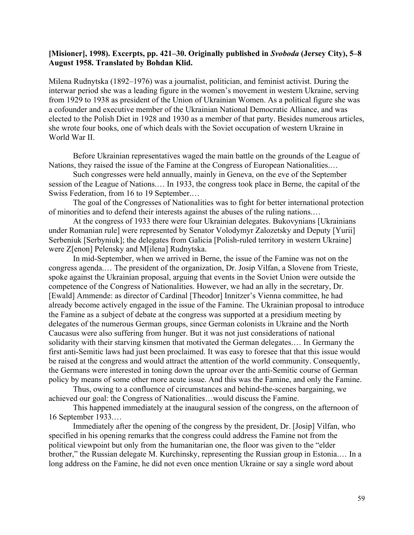# **[Misioner], 1998). Excerpts, pp. 421–30. Originally published in** *Svoboda* **(Jersey City), 5–8 August 1958. Translated by Bohdan Klid.**

Milena Rudnytska (1892–1976) was a journalist, politician, and feminist activist. During the interwar period she was a leading figure in the women's movement in western Ukraine, serving from 1929 to 1938 as president of the Union of Ukrainian Women. As a political figure she was a cofounder and executive member of the Ukrainian National Democratic Alliance, and was elected to the Polish Diet in 1928 and 1930 as a member of that party. Besides numerous articles, she wrote four books, one of which deals with the Soviet occupation of western Ukraine in World War II.

Before Ukrainian representatives waged the main battle on the grounds of the League of Nations, they raised the issue of the Famine at the Congress of European Nationalities.…

Such congresses were held annually, mainly in Geneva, on the eve of the September session of the League of Nations.… In 1933, the congress took place in Berne, the capital of the Swiss Federation, from 16 to 19 September.…

The goal of the Congresses of Nationalities was to fight for better international protection of minorities and to defend their interests against the abuses of the ruling nations.…

At the congress of 1933 there were four Ukrainian delegates. Bukovynians [Ukrainians under Romanian rule] were represented by Senator Volodymyr Zalozetsky and Deputy [Yurii] Serbeniuk [Serbyniuk]; the delegates from Galicia [Polish-ruled territory in western Ukraine] were Z[enon] Pelensky and M[ilena] Rudnytska.

In mid-September, when we arrived in Berne, the issue of the Famine was not on the congress agenda.… The president of the organization, Dr. Josip Vilfan, a Slovene from Trieste, spoke against the Ukrainian proposal, arguing that events in the Soviet Union were outside the competence of the Congress of Nationalities. However, we had an ally in the secretary, Dr. [Ewald] Ammende: as director of Cardinal [Theodor] Innitzer's Vienna committee, he had already become actively engaged in the issue of the Famine. The Ukrainian proposal to introduce the Famine as a subject of debate at the congress was supported at a presidium meeting by delegates of the numerous German groups, since German colonists in Ukraine and the North Caucasus were also suffering from hunger. But it was not just considerations of national solidarity with their starving kinsmen that motivated the German delegates.… In Germany the first anti-Semitic laws had just been proclaimed. It was easy to foresee that that this issue would be raised at the congress and would attract the attention of the world community. Consequently, the Germans were interested in toning down the uproar over the anti-Semitic course of German policy by means of some other more acute issue. And this was the Famine, and only the Famine.

Thus, owing to a confluence of circumstances and behind-the-scenes bargaining, we achieved our goal: the Congress of Nationalities…would discuss the Famine.

This happened immediately at the inaugural session of the congress, on the afternoon of 16 September 1933.…

Immediately after the opening of the congress by the president, Dr. [Josip] Vilfan, who specified in his opening remarks that the congress could address the Famine not from the political viewpoint but only from the humanitarian one, the floor was given to the "elder brother," the Russian delegate M. Kurchinsky, representing the Russian group in Estonia.… In a long address on the Famine, he did not even once mention Ukraine or say a single word about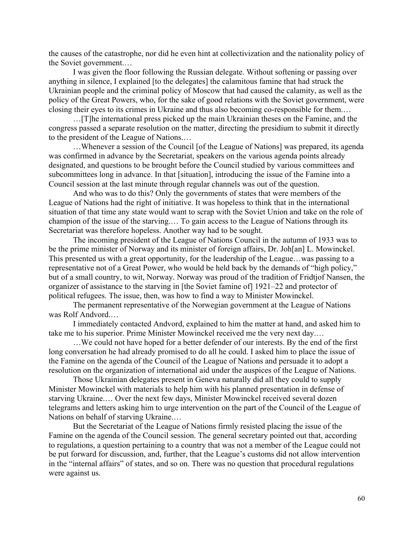the causes of the catastrophe, nor did he even hint at collectivization and the nationality policy of the Soviet government.…

I was given the floor following the Russian delegate. Without softening or passing over anything in silence, I explained [to the delegates] the calamitous famine that had struck the Ukrainian people and the criminal policy of Moscow that had caused the calamity, as well as the policy of the Great Powers, who, for the sake of good relations with the Soviet government, were closing their eyes to its crimes in Ukraine and thus also becoming co-responsible for them.…

…[T]he international press picked up the main Ukrainian theses on the Famine, and the congress passed a separate resolution on the matter, directing the presidium to submit it directly to the president of the League of Nations.…

…Whenever a session of the Council [of the League of Nations] was prepared, its agenda was confirmed in advance by the Secretariat, speakers on the various agenda points already designated, and questions to be brought before the Council studied by various committees and subcommittees long in advance. In that [situation], introducing the issue of the Famine into a Council session at the last minute through regular channels was out of the question.

And who was to do this? Only the governments of states that were members of the League of Nations had the right of initiative. It was hopeless to think that in the international situation of that time any state would want to scrap with the Soviet Union and take on the role of champion of the issue of the starving.… To gain access to the League of Nations through its Secretariat was therefore hopeless. Another way had to be sought.

The incoming president of the League of Nations Council in the autumn of 1933 was to be the prime minister of Norway and its minister of foreign affairs, Dr. Joh[an] L. Mowinckel. This presented us with a great opportunity, for the leadership of the League…was passing to a representative not of a Great Power, who would be held back by the demands of "high policy," but of a small country, to wit, Norway. Norway was proud of the tradition of Fridtjof Nansen, the organizer of assistance to the starving in [the Soviet famine of] 1921–22 and protector of political refugees. The issue, then, was how to find a way to Minister Mowinckel.

The permanent representative of the Norwegian government at the League of Nations was Rolf Andvord.…

I immediately contacted Andvord, explained to him the matter at hand, and asked him to take me to his superior. Prime Minister Mowinckel received me the very next day.…

…We could not have hoped for a better defender of our interests. By the end of the first long conversation he had already promised to do all he could. I asked him to place the issue of the Famine on the agenda of the Council of the League of Nations and persuade it to adopt a resolution on the organization of international aid under the auspices of the League of Nations.

Those Ukrainian delegates present in Geneva naturally did all they could to supply Minister Mowinckel with materials to help him with his planned presentation in defense of starving Ukraine.… Over the next few days, Minister Mowinckel received several dozen telegrams and letters asking him to urge intervention on the part of the Council of the League of Nations on behalf of starving Ukraine.…

But the Secretariat of the League of Nations firmly resisted placing the issue of the Famine on the agenda of the Council session. The general secretary pointed out that, according to regulations, a question pertaining to a country that was not a member of the League could not be put forward for discussion, and, further, that the League's customs did not allow intervention in the "internal affairs" of states, and so on. There was no question that procedural regulations were against us.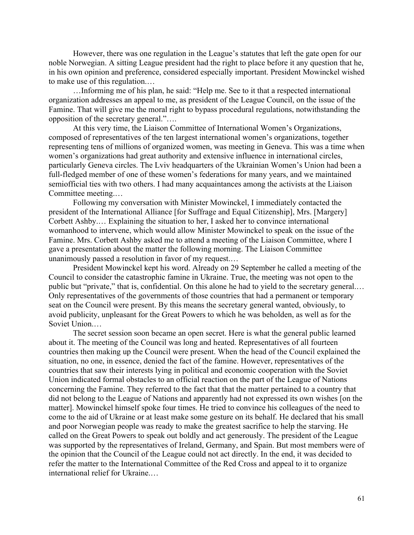However, there was one regulation in the League's statutes that left the gate open for our noble Norwegian. A sitting League president had the right to place before it any question that he, in his own opinion and preference, considered especially important. President Mowinckel wished to make use of this regulation.…

…Informing me of his plan, he said: "Help me. See to it that a respected international organization addresses an appeal to me, as president of the League Council, on the issue of the Famine. That will give me the moral right to bypass procedural regulations, notwithstanding the opposition of the secretary general."….

At this very time, the Liaison Committee of International Women's Organizations, composed of representatives of the ten largest international women's organizations, together representing tens of millions of organized women, was meeting in Geneva. This was a time when women's organizations had great authority and extensive influence in international circles, particularly Geneva circles. The Lviv headquarters of the Ukrainian Women's Union had been a full-fledged member of one of these women's federations for many years, and we maintained semiofficial ties with two others. I had many acquaintances among the activists at the Liaison Committee meeting.…

Following my conversation with Minister Mowinckel, I immediately contacted the president of the International Alliance [for Suffrage and Equal Citizenship], Mrs. [Margery] Corbett Ashby.… Explaining the situation to her, I asked her to convince international womanhood to intervene, which would allow Minister Mowinckel to speak on the issue of the Famine. Mrs. Corbett Ashby asked me to attend a meeting of the Liaison Committee, where I gave a presentation about the matter the following morning. The Liaison Committee unanimously passed a resolution in favor of my request.…

President Mowinckel kept his word. Already on 29 September he called a meeting of the Council to consider the catastrophic famine in Ukraine. True, the meeting was not open to the public but "private," that is, confidential. On this alone he had to yield to the secretary general.… Only representatives of the governments of those countries that had a permanent or temporary seat on the Council were present. By this means the secretary general wanted, obviously, to avoid publicity, unpleasant for the Great Powers to which he was beholden, as well as for the Soviet Union.…

The secret session soon became an open secret. Here is what the general public learned about it. The meeting of the Council was long and heated. Representatives of all fourteen countries then making up the Council were present. When the head of the Council explained the situation, no one, in essence, denied the fact of the famine. However, representatives of the countries that saw their interests lying in political and economic cooperation with the Soviet Union indicated formal obstacles to an official reaction on the part of the League of Nations concerning the Famine. They referred to the fact that that the matter pertained to a country that did not belong to the League of Nations and apparently had not expressed its own wishes [on the matter]. Mowinckel himself spoke four times. He tried to convince his colleagues of the need to come to the aid of Ukraine or at least make some gesture on its behalf. He declared that his small and poor Norwegian people was ready to make the greatest sacrifice to help the starving. He called on the Great Powers to speak out boldly and act generously. The president of the League was supported by the representatives of Ireland, Germany, and Spain. But most members were of the opinion that the Council of the League could not act directly. In the end, it was decided to refer the matter to the International Committee of the Red Cross and appeal to it to organize international relief for Ukraine.…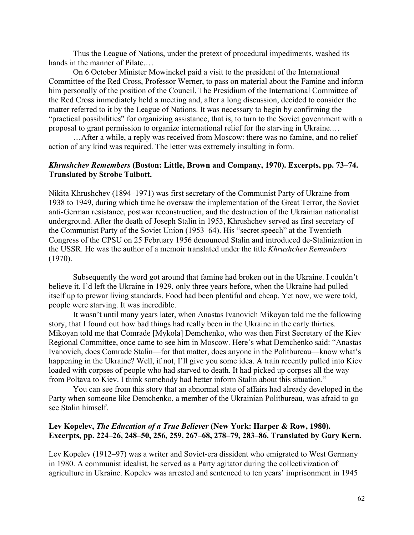Thus the League of Nations, under the pretext of procedural impediments, washed its hands in the manner of Pilate.…

On 6 October Minister Mowinckel paid a visit to the president of the International Committee of the Red Cross, Professor Werner, to pass on material about the Famine and inform him personally of the position of the Council. The Presidium of the International Committee of the Red Cross immediately held a meeting and, after a long discussion, decided to consider the matter referred to it by the League of Nations. It was necessary to begin by confirming the "practical possibilities" for organizing assistance, that is, to turn to the Soviet government with a proposal to grant permission to organize international relief for the starving in Ukraine.…

…After a while, a reply was received from Moscow: there was no famine, and no relief action of any kind was required. The letter was extremely insulting in form.

# *Khrushchev Remembers* **(Boston: Little, Brown and Company, 1970). Excerpts, pp. 73–74. Translated by Strobe Talbott.**

Nikita Khrushchev (1894–1971) was first secretary of the Communist Party of Ukraine from 1938 to 1949, during which time he oversaw the implementation of the Great Terror, the Soviet anti-German resistance, postwar reconstruction, and the destruction of the Ukrainian nationalist underground. After the death of Joseph Stalin in 1953, Khrushchev served as first secretary of the Communist Party of the Soviet Union (1953–64). His "secret speech" at the Twentieth Congress of the CPSU on 25 February 1956 denounced Stalin and introduced de-Stalinization in the USSR. He was the author of a memoir translated under the title *Khrushchev Remembers* (1970).

Subsequently the word got around that famine had broken out in the Ukraine. I couldn't believe it. I'd left the Ukraine in 1929, only three years before, when the Ukraine had pulled itself up to prewar living standards. Food had been plentiful and cheap. Yet now, we were told, people were starving. It was incredible.

It wasn't until many years later, when Anastas Ivanovich Mikoyan told me the following story, that I found out how bad things had really been in the Ukraine in the early thirties. Mikoyan told me that Comrade [Mykola] Demchenko, who was then First Secretary of the Kiev Regional Committee, once came to see him in Moscow. Here's what Demchenko said: "Anastas Ivanovich, does Comrade Stalin—for that matter, does anyone in the Politbureau—know what's happening in the Ukraine? Well, if not, I'll give you some idea. A train recently pulled into Kiev loaded with corpses of people who had starved to death. It had picked up corpses all the way from Poltava to Kiev. I think somebody had better inform Stalin about this situation."

You can see from this story that an abnormal state of affairs had already developed in the Party when someone like Demchenko, a member of the Ukrainian Politbureau, was afraid to go see Stalin himself.

# **Lev Kopelev,** *The Education of a True Believer* **(New York: Harper & Row, 1980). Excerpts, pp. 224–26, 248–50, 256, 259, 267–68, 278–79, 283–86. Translated by Gary Kern.**

Lev Kopelev (1912–97) was a writer and Soviet-era dissident who emigrated to West Germany in 1980. A communist idealist, he served as a Party agitator during the collectivization of agriculture in Ukraine. Kopelev was arrested and sentenced to ten years' imprisonment in 1945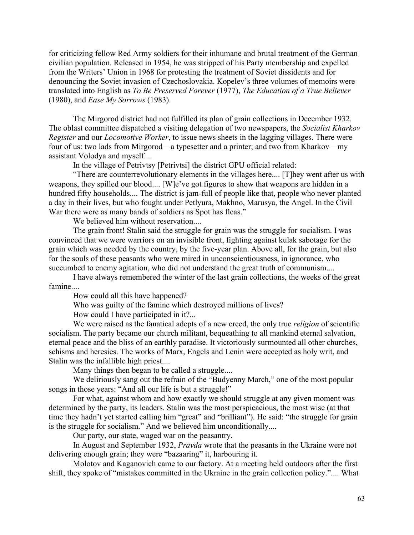for criticizing fellow Red Army soldiers for their inhumane and brutal treatment of the German civilian population. Released in 1954, he was stripped of his Party membership and expelled from the Writers' Union in 1968 for protesting the treatment of Soviet dissidents and for denouncing the Soviet invasion of Czechoslovakia. Kopelev's three volumes of memoirs were translated into English as *To Be Preserved Forever* (1977), *The Education of a True Believer* (1980), and *Ease My Sorrows* (1983).

The Mirgorod district had not fulfilled its plan of grain collections in December 1932. The oblast committee dispatched a visiting delegation of two newspapers, the *Socialist Kharkov Register* and our *Locomotive Worker*, to issue news sheets in the lagging villages. There were four of us: two lads from Mirgorod—a typesetter and a printer; and two from Kharkov—my assistant Volodya and myself....

In the village of Petrivtsy [Petrivtsi] the district GPU official related:

"There are counterrevolutionary elements in the villages here.... [T]hey went after us with weapons, they spilled our blood.... [W]e've got figures to show that weapons are hidden in a hundred fifty households.... The district is jam-full of people like that, people who never planted a day in their lives, but who fought under Petlyura, Makhno, Marusya, the Angel. In the Civil War there were as many bands of soldiers as Spot has fleas."

We believed him without reservation....

The grain front! Stalin said the struggle for grain was the struggle for socialism. I was convinced that we were warriors on an invisible front, fighting against kulak sabotage for the grain which was needed by the country, by the five-year plan. Above all, for the grain, but also for the souls of these peasants who were mired in unconscientiousness, in ignorance, who succumbed to enemy agitation, who did not understand the great truth of communism....

I have always remembered the winter of the last grain collections, the weeks of the great famine....

How could all this have happened?

Who was guilty of the famine which destroyed millions of lives?

How could I have participated in it?...

We were raised as the fanatical adepts of a new creed, the only true *religion* of scientific socialism. The party became our church militant, bequeathing to all mankind eternal salvation, eternal peace and the bliss of an earthly paradise. It victoriously surmounted all other churches, schisms and heresies. The works of Marx, Engels and Lenin were accepted as holy writ, and Stalin was the infallible high priest....

Many things then began to be called a struggle....

We deliriously sang out the refrain of the "Budyenny March," one of the most popular songs in those years: "And all our life is but a struggle!"

For what, against whom and how exactly we should struggle at any given moment was determined by the party, its leaders. Stalin was the most perspicacious, the most wise (at that time they hadn't yet started calling him "great" and "brilliant"). He said: "the struggle for grain is the struggle for socialism." And we believed him unconditionally....

Our party, our state, waged war on the peasantry.

In August and September 1932, *Pravda* wrote that the peasants in the Ukraine were not delivering enough grain; they were "bazaaring" it, harbouring it.

Molotov and Kaganovich came to our factory. At a meeting held outdoors after the first shift, they spoke of "mistakes committed in the Ukraine in the grain collection policy.".... What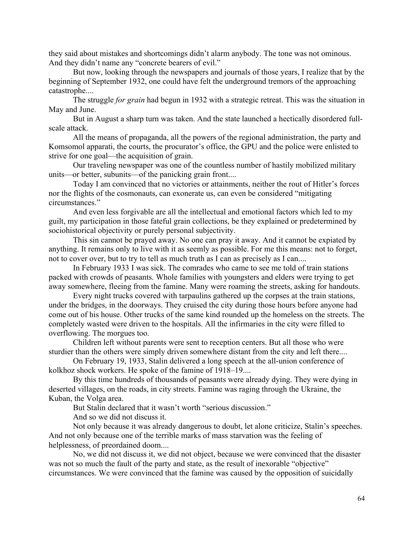they said about mistakes and shortcomings didn't alarm anybody. The tone was not ominous. And they didn't name any "concrete bearers of evil."

But now, looking through the newspapers and journals of those years, I realize that by the beginning of September 1932, one could have felt the underground tremors of the approaching catastrophe....

The struggle *for grain* had begun in 1932 with a strategic retreat. This was the situation in May and June.

But in August a sharp turn was taken. And the state launched a hectically disordered fullscale attack.

All the means of propaganda, all the powers of the regional administration, the party and Komsomol apparati, the courts, the procurator's office, the GPU and the police were enlisted to strive for one goal—the acquisition of grain.

Our traveling newspaper was one of the countless number of hastily mobilized military units—or better, subunits—of the panicking grain front....

Today I am convinced that no victories or attainments, neither the rout of Hitler's forces nor the flights of the cosmonauts, can exonerate us, can even be considered "mitigating circumstances."

And even less forgivable are all the intellectual and emotional factors which led to my guilt, my participation in those fateful grain collections, be they explained or predetermined by sociohistorical objectivity or purely personal subjectivity.

This sin cannot be prayed away. No one can pray it away. And it cannot be expiated by anything. It remains only to live with it as seemly as possible. For me this means: not to forget, not to cover over, but to try to tell as much truth as I can as precisely as I can....

In February 1933 I was sick. The comrades who came to see me told of train stations packed with crowds of peasants. Whole families with youngsters and elders were trying to get away somewhere, fleeing from the famine. Many were roaming the streets, asking for handouts.

Every night trucks covered with tarpaulins gathered up the corpses at the train stations, under the bridges, in the doorways. They cruised the city during those hours before anyone had come out of his house. Other trucks of the same kind rounded up the homeless on the streets. The completely wasted were driven to the hospitals. All the infirmaries in the city were filled to overflowing. The morgues too.

Children left without parents were sent to reception centers. But all those who were sturdier than the others were simply driven somewhere distant from the city and left there....

On February 19, 1933, Stalin delivered a long speech at the all-union conference of kolkhoz shock workers. He spoke of the famine of 1918–19....

By this time hundreds of thousands of peasants were already dying. They were dying in deserted villages, on the roads, in city streets. Famine was raging through the Ukraine, the Kuban, the Volga area.

But Stalin declared that it wasn't worth "serious discussion."

And so we did not discuss it.

Not only because it was already dangerous to doubt, let alone criticize, Stalin's speeches. And not only because one of the terrible marks of mass starvation was the feeling of helplessness, of preordained doom....

No, we did not discuss it, we did not object, because we were convinced that the disaster was not so much the fault of the party and state, as the result of inexorable "objective" circumstances. We were convinced that the famine was caused by the opposition of suicidally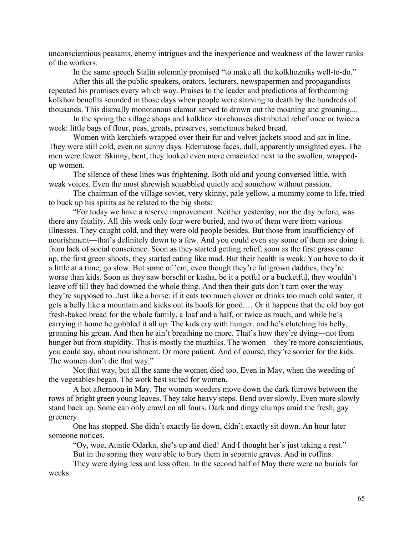unconscientious peasants, enemy intrigues and the inexperience and weakness of the lower ranks of the workers.

In the same speech Stalin solemnly promised "to make all the kolkhozniks well-to-do."

After this all the public speakers, orators, lecturers, newspapermen and propagandists repeated his promises every which way. Praises to the leader and predictions of forthcoming kolkhoz benefits sounded in those days when people were starving to death by the hundreds of thousands. This dismally monotonous clamor served to drown out the moaning and groaning....

In the spring the village shops and kolkhoz storehouses distributed relief once or twice a week: little bags of flour, peas, groats, preserves, sometimes baked bread.

Women with kerchiefs wrapped over their fur and velvet jackets stood and sat in line. They were still cold, even on sunny days. Edematose faces, dull, apparently unsighted eyes. The men were fewer. Skinny, bent, they looked even more emaciated next to the swollen, wrappedup women.

The silence of these lines was frightening. Both old and young conversed little, with weak voices. Even the most shrewish squabbled quietly and somehow without passion.

The chairman of the village soviet, very skinny, pale yellow, a mummy come to life, tried to buck up his spirits as he related to the big shots:

"For today we have a reserve improvement. Neither yesterday, nor the day before, was there any fatality. All this week only four were buried, and two of them were from various illnesses. They caught cold, and they were old people besides. But those from insufficiency of nourishment—that's definitely down to a few. And you could even say some of them are doing it from lack of social conscience. Soon as they started getting relief, soon as the first grass came up, the first green shoots, they started eating like mad. But their health is weak. You have to do it a little at a time, go slow. But some of 'em, even though they're fullgrown daddies, they're worse than kids. Soon as they saw borscht or kasha, be it a potful or a bucketful, they wouldn't leave off till they had downed the whole thing. And then their guts don't turn over the way they're supposed to. Just like a horse: if it eats too much clover or drinks too much cold water, it gets a belly like a mountain and kicks out its hoofs for good.… Or it happens that the old boy got fresh-baked bread for the whole family, a loaf and a half, or twice as much, and while he's carrying it home he gobbled it all up. The kids cry with hunger, and he's clutching his belly, groaning his groan. And then he ain't breathing no more. That's how they're dying—not from hunger but from stupidity. This is mostly the muzhiks. The women—they're more conscientious, you could say, about nourishment. Or more patient. And of course, they're sorrier for the kids. The women don't die that way."

Not that way, but all the same the women died too. Even in May, when the weeding of the vegetables began. The work best suited for women.

A hot afternoon in May. The women weeders move down the dark furrows between the rows of bright green young leaves. They take heavy steps. Bend over slowly. Even more slowly stand back up. Some can only crawl on all fours. Dark and dingy clumps amid the fresh, gay greenery.

One has stopped. She didn't exactly lie down, didn't exactly sit down. An hour later someone notices.

"Oy, woe, Auntie Odarka, she's up and died! And I thought her's just taking a rest." But in the spring they were able to bury them in separate graves. And in coffins.

They were dying less and less often. In the second half of May there were no burials for weeks.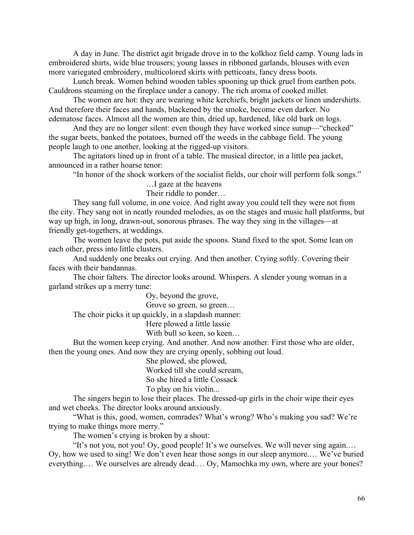A day in June. The district agit brigade drove in to the kolkhoz field camp. Young lads in embroidered shirts, wide blue trousers; young lasses in ribboned garlands, blouses with even more variegated embroidery, multicolored skirts with petticoats, fancy dress boots.

Lunch break. Women behind wooden tables spooning up thick gruel from earthen pots. Cauldrons steaming on the fireplace under a canopy. The rich aroma of cooked millet.

The women are hot: they are wearing white kerchiefs, bright jackets or linen undershirts. And therefore their faces and hands, blackened by the smoke, become even darker. No edematose faces. Almost all the women are thin, dried up, hardened, like old bark on logs.

And they are no longer silent: even though they have worked since sunup—"checked" the sugar beets, banked the potatoes, burned off the weeds in the cabbage field. The young people laugh to one another, looking at the rigged-up visitors.

The agitators lined up in front of a table. The musical director, in a little pea jacket, announced in a rather hoarse tenor:

"In honor of the shock workers of the socialist fields, our choir will perform folk songs." …I gaze at the heavens

Their riddle to ponder…

They sang full volume, in one voice. And right away you could tell they were not from the city. They sang not in neatly rounded melodies, as on the stages and music hall platforms, but way up high, in long, drawn-out, sonorous phrases. The way they sing in the villages—at friendly get-togethers, at weddings.

The women leave the pots, put aside the spoons. Stand fixed to the spot. Some lean on each other, press into little clusters.

And suddenly one breaks out crying. And then another. Crying softly. Covering their faces with their bandannas.

The choir falters. The director looks around. Whispers. A slender young woman in a garland strikes up a merry tune:

Oy, beyond the grove,

Grove so green, so green…

The choir picks it up quickly, in a slapdash manner:

Here plowed a little lassie

With bull so keen, so keen…

But the women keep crying. And another. And now another. First those who are older, then the young ones. And now they are crying openly, sobbing out loud.

She plowed, she plowed,

Worked till she could scream,

So she hired a little Cossack

To play on his violin...

The singers begin to lose their places. The dressed-up girls in the choir wipe their eyes and wet cheeks. The director looks around anxiously.

"What is this, good, women, comrades? What's wrong? Who's making you sad? We're trying to make things more merry."

The women's crying is broken by a shout:

"It's not you, not you! Oy, good people! It's we ourselves. We will never sing again.… Oy, how we used to sing! We don't even hear those songs in our sleep anymore.… We've buried everything.… We ourselves are already dead.… Oy, Mamochka my own, where are your bones?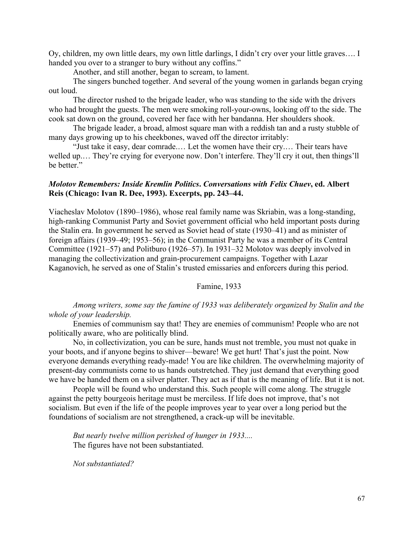Oy, children, my own little dears, my own little darlings, I didn't cry over your little graves…. I handed you over to a stranger to bury without any coffins."

Another, and still another, began to scream, to lament.

The singers bunched together. And several of the young women in garlands began crying out loud.

The director rushed to the brigade leader, who was standing to the side with the drivers who had brought the guests. The men were smoking roll-your-owns, looking off to the side. The cook sat down on the ground, covered her face with her bandanna. Her shoulders shook.

The brigade leader, a broad, almost square man with a reddish tan and a rusty stubble of many days growing up to his cheekbones, waved off the director irritably:

"Just take it easy, dear comrade.… Let the women have their cry.… Their tears have welled up.… They're crying for everyone now. Don't interfere. They'll cry it out, then things'll be better."

# *Molotov Remembers: Inside Kremlin Politics***.** *Conversations with Felix Chuev***, ed. Albert Reis (Chicago: Ivan R. Dee, 1993). Excerpts, pp. 243–44.**

Viacheslav Molotov (1890–1986), whose real family name was Skriabin, was a long-standing, high-ranking Communist Party and Soviet government official who held important posts during the Stalin era. In government he served as Soviet head of state (1930–41) and as minister of foreign affairs (1939–49; 1953–56); in the Communist Party he was a member of its Central Committee (1921–57) and Politburo (1926–57). In 1931–32 Molotov was deeply involved in managing the collectivization and grain-procurement campaigns. Together with Lazar Kaganovich, he served as one of Stalin's trusted emissaries and enforcers during this period.

## Famine, 1933

*Among writers, some say the famine of 1933 was deliberately organized by Stalin and the whole of your leadership.*

Enemies of communism say that! They are enemies of communism! People who are not politically aware, who are politically blind.

No, in collectivization, you can be sure, hands must not tremble, you must not quake in your boots, and if anyone begins to shiver—beware! We get hurt! That's just the point. Now everyone demands everything ready-made! You are like children. The overwhelming majority of present-day communists come to us hands outstretched. They just demand that everything good we have be handed them on a silver platter. They act as if that is the meaning of life. But it is not.

People will be found who understand this. Such people will come along. The struggle against the petty bourgeois heritage must be merciless. If life does not improve, that's not socialism. But even if the life of the people improves year to year over a long period but the foundations of socialism are not strengthened, a crack-up will be inevitable.

*But nearly twelve million perished of hunger in 1933....* The figures have not been substantiated.

*Not substantiated?*